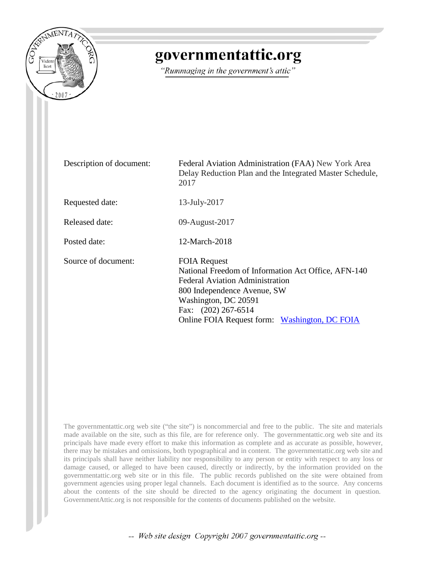

## governmentattic.org

"Rummaging in the government's attic"

| Description of document: | Federal Aviation Administration (FAA) New York Area<br>Delay Reduction Plan and the Integrated Master Schedule,<br>2017                                                                                                                             |
|--------------------------|-----------------------------------------------------------------------------------------------------------------------------------------------------------------------------------------------------------------------------------------------------|
| Requested date:          | $13$ -July- $2017$                                                                                                                                                                                                                                  |
| Released date:           | 09-August-2017                                                                                                                                                                                                                                      |
| Posted date:             | 12-March-2018                                                                                                                                                                                                                                       |
| Source of document:      | <b>FOIA Request</b><br>National Freedom of Information Act Office, AFN-140<br><b>Federal Aviation Administration</b><br>800 Independence Avenue, SW<br>Washington, DC 20591<br>Fax: (202) 267-6514<br>Online FOIA Request form: Washington, DC FOIA |

The governmentattic.org web site ("the site") is noncommercial and free to the public. The site and materials made available on the site, such as this file, are for reference only. The governmentattic.org web site and its principals have made every effort to make this information as complete and as accurate as possible, however, there may be mistakes and omissions, both typographical and in content. The governmentattic.org web site and its principals shall have neither liability nor responsibility to any person or entity with respect to any loss or damage caused, or alleged to have been caused, directly or indirectly, by the information provided on the governmentattic.org web site or in this file. The public records published on the site were obtained from government agencies using proper legal channels. Each document is identified as to the source. Any concerns about the contents of the site should be directed to the agency originating the document in question. GovernmentAttic.org is not responsible for the contents of documents published on the website.

-- Web site design Copyright 2007 governmentattic.org --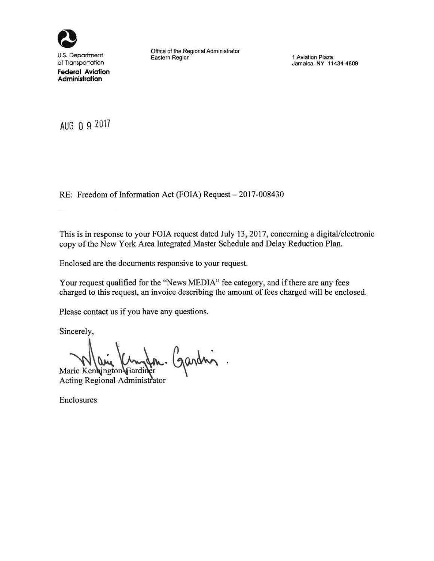

U.S. Department of Transportation **Federal** Aviation **Administration** 

Office of the Regional Administrator Eastern Region

**1 Aviation** Plaza **Jamaica, NY 11434-4809** 

AUG 0 9 2017

RE: Freedom of Information Act (FOIA) Request - 2017-008430

This is in response to your FOIA request dated July 13, 2017, concerning a digital/electronic copy of the New York Area Integrated Master Schedule and Delay Reduction Plan.

Enclosed are the documents responsive to your request.

Your request qualified for the "News MEDIA" fee category, and if there are any fees charged to this request, an invoice describing the amount of fees charged will be enclosed.

Please contact us if you have any questions.

Sincerely,

**Marie Kenki**<br> **Acting Regio** aria Kungan. Gardin.

Acting Regional Administrator

Enclosures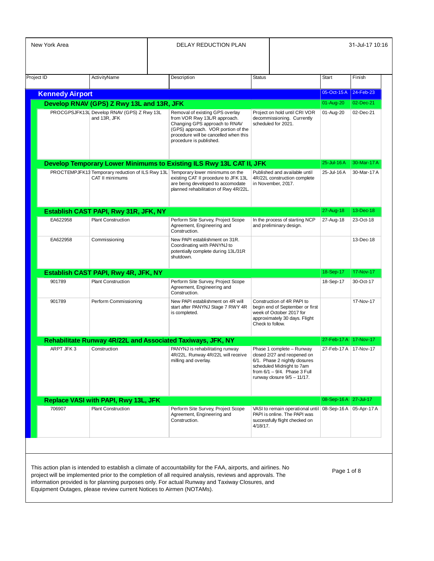| New York Area                                                        |                                                                                         |  | <b>DELAY REDUCTION PLAN</b>                                                                                                                                                                                                                                                                                                  |               |                                                                                                                                                                                             |                         | 31-Jul-17 10:16 |
|----------------------------------------------------------------------|-----------------------------------------------------------------------------------------|--|------------------------------------------------------------------------------------------------------------------------------------------------------------------------------------------------------------------------------------------------------------------------------------------------------------------------------|---------------|---------------------------------------------------------------------------------------------------------------------------------------------------------------------------------------------|-------------------------|-----------------|
|                                                                      |                                                                                         |  |                                                                                                                                                                                                                                                                                                                              |               |                                                                                                                                                                                             |                         |                 |
| Project ID                                                           | ActivityName                                                                            |  | Description                                                                                                                                                                                                                                                                                                                  | <b>Status</b> |                                                                                                                                                                                             | <b>Start</b>            | Finish          |
|                                                                      |                                                                                         |  |                                                                                                                                                                                                                                                                                                                              |               |                                                                                                                                                                                             | 05-Oct-15 A 24-Feb-23   |                 |
| <b>Kennedy Airport</b>                                               |                                                                                         |  |                                                                                                                                                                                                                                                                                                                              |               |                                                                                                                                                                                             | 01-Aug-20               | 02-Dec-21       |
|                                                                      | Develop RNAV (GPS) Z Rwy 13L and 13R, JFK<br>PROCGPSJFK13L Develop RNAV (GPS) Z Rwy 13L |  | Removal of existing GPS overlay                                                                                                                                                                                                                                                                                              |               | Project on hold until CRI VOR                                                                                                                                                               | 01-Aug-20               | 02-Dec-21       |
|                                                                      | and 13R, JFK                                                                            |  | from VOR Rwy 13L/R approach.<br>Changing GPS approach to RNAV<br>(GPS) approach. VOR portion of the<br>procedure will be cancelled when this<br>procedure is published.                                                                                                                                                      |               | decommissioning. Currently<br>scheduled for 2021.                                                                                                                                           |                         |                 |
|                                                                      | Develop Temporary Lower Minimums to Existing ILS Rwy 13L CAT II, JFK                    |  |                                                                                                                                                                                                                                                                                                                              |               |                                                                                                                                                                                             | 25-Jul-16A              | 30-Mar-17 A     |
|                                                                      | CAT II minimums                                                                         |  | PROCTEMPJFK13 Temporary reduction of ILS Rwy 13L Temporary lower minimums on the<br>existing CAT II procedure to JFK 13L<br>are being developed to accomodate<br>planned rehabilitation of Rwy 4R/22L.                                                                                                                       |               | Published and available until<br>4R/22L construction complete<br>in November, 2017.                                                                                                         | 25-Jul-16A              | 30-Mar-17 A     |
| Establish CAST PAPI, Rwy 31R, JFK, NY                                |                                                                                         |  |                                                                                                                                                                                                                                                                                                                              |               |                                                                                                                                                                                             | 27-Aug-18               | 13-Dec-18       |
| EA622958<br><b>Plant Construction</b>                                |                                                                                         |  | Perform Site Survey, Project Scope                                                                                                                                                                                                                                                                                           |               | In the process of starting NCP                                                                                                                                                              | 27-Aug-18               | 23-Oct-18       |
|                                                                      |                                                                                         |  | Agreement, Engineering and<br>Construction.                                                                                                                                                                                                                                                                                  |               | and preliminary design.                                                                                                                                                                     |                         |                 |
| EA622958                                                             | Commissioning                                                                           |  | New PAPI establishment on 31R.<br>Coordinating with PANYNJ to<br>potentially complete during 13L/31R<br>shutdown.                                                                                                                                                                                                            |               |                                                                                                                                                                                             |                         | 13-Dec-18       |
|                                                                      | Establish CAST PAPI, Rwy 4R, JFK, NY                                                    |  |                                                                                                                                                                                                                                                                                                                              |               |                                                                                                                                                                                             | 18-Sep-17               | 17-Nov-17       |
| 901789                                                               | <b>Plant Construction</b>                                                               |  | Perform Site Survey, Project Scope<br>Agreement, Engineering and<br>Construction.                                                                                                                                                                                                                                            |               |                                                                                                                                                                                             | 18-Sep-17               | 30-Oct-17       |
| 901789                                                               | Perform Commissioning                                                                   |  | New PAPI establishment on 4R will<br>start after PANYNJ Stage 7 RWY 4R<br>is completed.                                                                                                                                                                                                                                      |               | Construction of 4R PAPI to<br>begin end of September or first<br>week of October 2017 for<br>approximately 30 days. Flight<br>Check to follow.                                              |                         | 17-Nov-17       |
|                                                                      |                                                                                         |  | Rehabilitate Runway 4R/22L and Associated Taxiways, JFK, NY                                                                                                                                                                                                                                                                  |               |                                                                                                                                                                                             | 27-Feb-17 A   17-Nov-17 |                 |
| ARPT JFK 3                                                           | Construction                                                                            |  | PANYNJ is rehabilitating runway<br>4R/22L. Runway 4R/22L will receive<br>milling and overlay.                                                                                                                                                                                                                                |               | Phase 1 complete - Runway<br>closed 2/27 and reopened on<br>6/1. Phase 2 nightly closures<br>scheduled Midnight to 7am<br>from $6/1 - 9/4$ . Phase 3 Full<br>runway closure $9/5 - 11/17$ . | 27-Feb-17 A   17-Nov-17 |                 |
|                                                                      | Replace VASI with PAPI, Rwy 13L, JFK                                                    |  |                                                                                                                                                                                                                                                                                                                              |               |                                                                                                                                                                                             | 08-Sep-16 A   27-Jul-17 |                 |
| 706907                                                               | <b>Plant Construction</b>                                                               |  | Perform Site Survey, Project Scope<br>Agreement, Engineering and<br>Construction.                                                                                                                                                                                                                                            | 4/18/17.      | VASI to remain operational until 08-Sep-16 A 05-Apr-17 A<br>PAPI is online. The PAPI was<br>successfully flight checked on                                                                  |                         |                 |
| Equipment Outages, please review current Notices to Airmen (NOTAMs). |                                                                                         |  | This action plan is intended to establish a climate of accountability for the FAA, airports, and airlines. No<br>project will be implemented prior to the completion of all required analysis, reviews and approvals. The<br>information provided is for planning purposes only. For actual Runway and Taxiway Closures, and |               |                                                                                                                                                                                             | Page 1 of 8             |                 |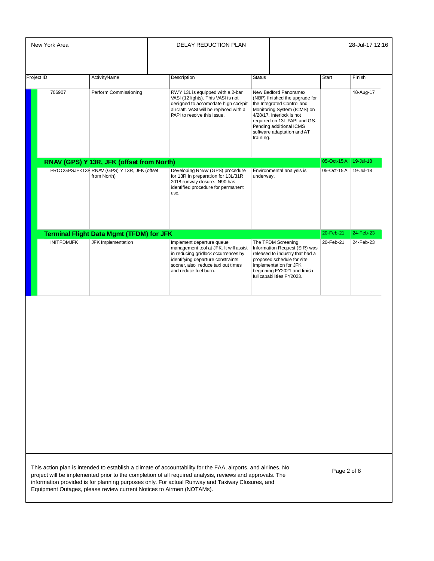|                   |                                                                                                         |             | <b>DELAY REDUCTION PLAN</b>                                                                                                                                                                                    |                                                                                                                                                                                                                                                         |            | 28-Jul-17 12:16 |
|-------------------|---------------------------------------------------------------------------------------------------------|-------------|----------------------------------------------------------------------------------------------------------------------------------------------------------------------------------------------------------------|---------------------------------------------------------------------------------------------------------------------------------------------------------------------------------------------------------------------------------------------------------|------------|-----------------|
| Project ID        | ActivityName                                                                                            | Description |                                                                                                                                                                                                                | <b>Status</b>                                                                                                                                                                                                                                           | Start      | Finish          |
| 706907            | Perform Commissioning                                                                                   |             | RWY 13L is equipped with a 2-bar<br>VASI (12 lights). This VASI is not<br>designed to accomodate high cockpit<br>aircraft. VASI will be replaced with a<br>PAPI to resolve this issue.                         | New Bedford Panoramex<br>(NBP) finished the upgrade for<br>the Integrated Control and<br>Monitoring System (ICMS) on<br>4/28/17. Interlock is not<br>required on 13L PAPI and GS.<br>Pending additional ICMS<br>software adaptation and AT<br>training. |            | 18-Aug-17       |
|                   |                                                                                                         |             |                                                                                                                                                                                                                |                                                                                                                                                                                                                                                         | 05-Oct-15A | 19-Jul-18       |
|                   | RNAV (GPS) Y 13R, JFK (offset from North)<br>PROCGPSJFK13R RNAV (GPS) Y 13R, JFK (offset<br>from North) | use.        | Developing RNAV (GPS) procedure<br>for 13R in preparation for 13L/31R<br>2018 runway closure. N90 has<br>identified procedure for permanent                                                                    | Environmental analysis is<br>underway.                                                                                                                                                                                                                  | 05-Oct-15A | 19-Jul-18       |
|                   | <b>Terminal Flight Data Mgmt (TFDM) for JFK</b>                                                         |             |                                                                                                                                                                                                                |                                                                                                                                                                                                                                                         | 20-Feb-21  | 24-Feb-23       |
| <b>INITFDMJFK</b> | JFK Implementation                                                                                      |             | Implement departure queue<br>management tool at JFK. It will assist<br>in reducing gridlock occurrences by<br>identifying departure constraints<br>sooner, also reduce taxi out times<br>and reduce fuel burn. | The TFDM Screening<br>Information Request (SIR) was<br>released to industry that had a<br>proposed schedule for site<br>implementation for JFK<br>beginning FY2021 and finish<br>full capabilities FY2023.                                              | 20-Feb-21  | 24-Feb-23       |
|                   |                                                                                                         |             |                                                                                                                                                                                                                |                                                                                                                                                                                                                                                         |            |                 |
|                   |                                                                                                         |             |                                                                                                                                                                                                                |                                                                                                                                                                                                                                                         |            |                 |
|                   |                                                                                                         |             |                                                                                                                                                                                                                |                                                                                                                                                                                                                                                         |            |                 |
|                   |                                                                                                         |             |                                                                                                                                                                                                                |                                                                                                                                                                                                                                                         |            |                 |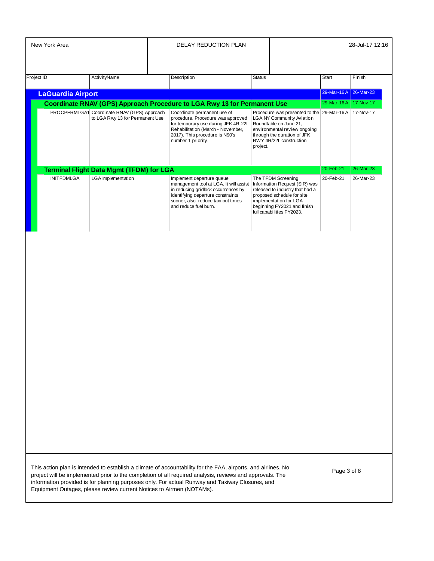| New York Area                                                                   |                                                 |  | DELAY REDUCTION PLAN                                                                                                                                                                                           |          |                                                                                                                                                                                                            |                       | 28-Jul-17 12:16 |  |
|---------------------------------------------------------------------------------|-------------------------------------------------|--|----------------------------------------------------------------------------------------------------------------------------------------------------------------------------------------------------------------|----------|------------------------------------------------------------------------------------------------------------------------------------------------------------------------------------------------------------|-----------------------|-----------------|--|
| Project ID                                                                      | ActivityName                                    |  | Description                                                                                                                                                                                                    | Status   |                                                                                                                                                                                                            | <b>Start</b>          | Finish          |  |
| <b>LaGuardia Airport</b>                                                        |                                                 |  |                                                                                                                                                                                                                |          |                                                                                                                                                                                                            | 29-Mar-16 A 26-Mar-23 |                 |  |
|                                                                                 |                                                 |  | Coordinate RNAV (GPS) Approach Procedure to LGA Rwy 13 for Permanent Use                                                                                                                                       |          |                                                                                                                                                                                                            | 29-Mar-16 A           | 17-Nov-17       |  |
| PROCPERMLGA1 Coordinate RNAV (GPS) Approach<br>to LGA R wy 13 for Permanent Use |                                                 |  | Coordinate permanent use of<br>procedure. Procedure was approved<br>for temporary use during JFK 4R-22L<br>Rehabilitation (March - November,<br>2017). This procedure is N90's<br>number 1 priority.           | project. | Procedure was presented to the 29-Mar-16A<br><b>LGA NY Community Aviation</b><br>Roundtable on June 21.<br>environmental review ongoing<br>through the duration of JFK<br>RWY 4R/22L construction          |                       | 17-Nov-17       |  |
|                                                                                 | <b>Terminal Flight Data Mgmt (TFDM) for LGA</b> |  |                                                                                                                                                                                                                |          |                                                                                                                                                                                                            | 20-Feb-21             | 26-Mar-23       |  |
| <b>INITFDMLGA</b>                                                               | LGA Implementation                              |  | Implement departure queue<br>management tool at LGA. It will assist<br>in reducing gridlock occurrences by<br>identifying departure constraints<br>sooner, also reduce taxi out times<br>and reduce fuel burn. |          | The TFDM Screening<br>Information Request (SIR) was<br>released to industry that had a<br>proposed schedule for site<br>implementation for LGA<br>beginning FY2021 and finish<br>full capabilities FY2023. | 20-Feb-21             | 26-Mar-23       |  |

Page 3 of 8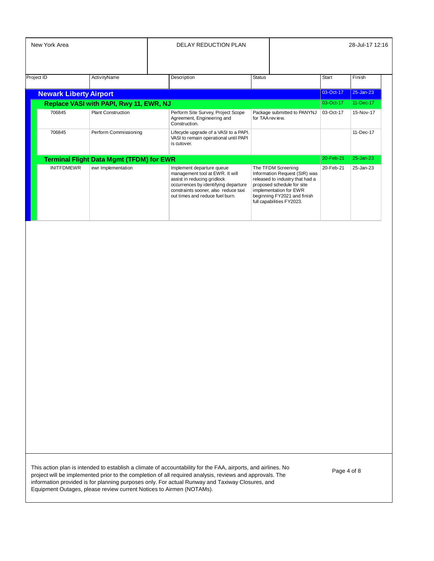| New York Area                 |                                                 |  | <b>DELAY REDUCTION PLAN</b>                                                                                                                                                                                    |               |                                                                                                                                                                                                            | 28-Jul-17 12:16 |                 |  |
|-------------------------------|-------------------------------------------------|--|----------------------------------------------------------------------------------------------------------------------------------------------------------------------------------------------------------------|---------------|------------------------------------------------------------------------------------------------------------------------------------------------------------------------------------------------------------|-----------------|-----------------|--|
| Project ID                    | ActivityName                                    |  | Description                                                                                                                                                                                                    | <b>Status</b> |                                                                                                                                                                                                            | <b>Start</b>    | Finish          |  |
| <b>Newark Liberty Airport</b> |                                                 |  |                                                                                                                                                                                                                |               |                                                                                                                                                                                                            | 03-Oct-17       | $25 - Jan - 23$ |  |
|                               | Replace VASI with PAPI, Rwy 11, EWR, NJ         |  |                                                                                                                                                                                                                |               |                                                                                                                                                                                                            | 03-Oct-17       | 11-Dec-17       |  |
| 706845                        | <b>Plant Construction</b>                       |  | Perform Site Survey, Project Scope<br>Agreement, Engineering and<br>Construction.                                                                                                                              |               | Package submitted to PANYNJ<br>for TAA review.                                                                                                                                                             | 03-Oct-17       | 15-Nov-17       |  |
| 706845                        | Perform Commissioning                           |  | Lifecycle upgrade of a VASI to a PAPI.<br>VASI to remain operational until PAPI<br>is cutover.                                                                                                                 |               |                                                                                                                                                                                                            |                 | 11-Dec-17       |  |
|                               | <b>Terminal Flight Data Mgmt (TFDM) for EWR</b> |  |                                                                                                                                                                                                                |               |                                                                                                                                                                                                            | 20-Feb-21       | 25-Jan-23       |  |
| <b>INITFDMEWR</b>             | ewr Implementation                              |  | Implement departure queue<br>management tool at EWR. It will<br>assist in reducing gridlock<br>occurrences by identifying departure<br>constraints sooner, also reduce taxi<br>out times and reduce fuel burn. |               | The TFDM Screening<br>Information Request (SIR) was<br>released to industry that had a<br>proposed schedule for site<br>implementation for EWR<br>beginning FY2021 and finish<br>full capabilities FY2023. | 20-Feb-21       | 25-Jan-23       |  |

Page 4 of 8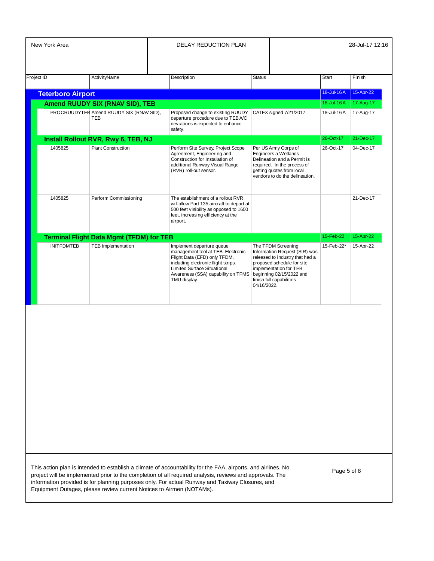| New York Area |                                     |                                                 | <b>DELAY REDUCTION PLAN</b> |                                                                                                                                                                                                                                    |                                                                                                                                                                                                                       | 28-Jul-17 12:16 |           |
|---------------|-------------------------------------|-------------------------------------------------|-----------------------------|------------------------------------------------------------------------------------------------------------------------------------------------------------------------------------------------------------------------------------|-----------------------------------------------------------------------------------------------------------------------------------------------------------------------------------------------------------------------|-----------------|-----------|
|               | Project ID                          | ActivityName                                    |                             | Description                                                                                                                                                                                                                        | <b>Status</b>                                                                                                                                                                                                         | Start           | Finish    |
|               | <b>Teterboro Airport</b>            |                                                 |                             |                                                                                                                                                                                                                                    |                                                                                                                                                                                                                       | 18-Jul-16A      | 15-Apr-22 |
|               |                                     | Amend RUUDY SIX (RNAV SID), TEB                 |                             |                                                                                                                                                                                                                                    |                                                                                                                                                                                                                       | 18-Jul-16 A     | 17-Aug-17 |
|               |                                     | PROCRUUDYTEB Amend RUUDY SIX (RNAV SID),<br>TEB |                             | Proposed change to existing RUUDY<br>departure procedure due to TEBA/C<br>deviations is expected to enhance<br>safety.                                                                                                             | CATEX signed 7/21/2017.                                                                                                                                                                                               | 18-Jul-16 A     | 17-Aug-17 |
|               | Install Rollout RVR, Rwy 6, TEB, NJ |                                                 |                             |                                                                                                                                                                                                                                    | 26-Oct-17                                                                                                                                                                                                             | 21-Dec-17       |           |
|               | 1405825                             | <b>Plant Construction</b>                       |                             | Perform Site Survey, Project Scope<br>Agreement, Engineering and<br>Construction for installation of<br>additional Runway Visual Range<br>(RVR) roll-out sensor.                                                                   | Per US Army Corps of<br>Engineers a Wetlands<br>Delineation and a Permit is<br>required. In the process of<br>getting quotes from local<br>vendors to do the delineation.                                             | 26-Oct-17       | 04-Dec-17 |
|               | 1405825                             | Perform Commissioning                           |                             | The establishment of a rollout RVR<br>will allow Part 135 aircraft to depart at<br>500 feet visibility as opposed to 1600<br>feet, increasing efficiency at the<br>airport.                                                        |                                                                                                                                                                                                                       |                 | 21-Dec-17 |
|               |                                     | <b>Terminal Flight Data Mgmt (TFDM) for TEB</b> |                             |                                                                                                                                                                                                                                    |                                                                                                                                                                                                                       | 15-Feb-22       | 15-Apr-22 |
|               | <b>INITFDMTEB</b>                   | <b>TEB Implementation</b>                       |                             | Implement departure queue<br>management tool at TEB. Electronic<br>Flight Data (EFD) only TFDM,<br>including electronic flight strips.<br><b>Limited Surface Situational</b><br>Awareness (SSA) capability on TFMS<br>TMU display. | The TFDM Screening<br>Information Request (SIR) was<br>released to industry that had a<br>proposed schedule for site<br>implementation for TEB<br>beginning 02/15/2022 and<br>finish full capabilities<br>04/16/2022. | 15-Feb-22*      | 15-Apr-22 |

| This action plan is intended to establish a climate of accountability for the FAA, airports, and airlines. No |
|---------------------------------------------------------------------------------------------------------------|
| project will be implemented prior to the completion of all required analysis, reviews and approvals. The      |
| information provided is for planning purposes only. For actual Runway and Taxiway Closures, and               |
| Equipment Outages, please review current Notices to Airmen (NOTAMs).                                          |

Page 5 of 8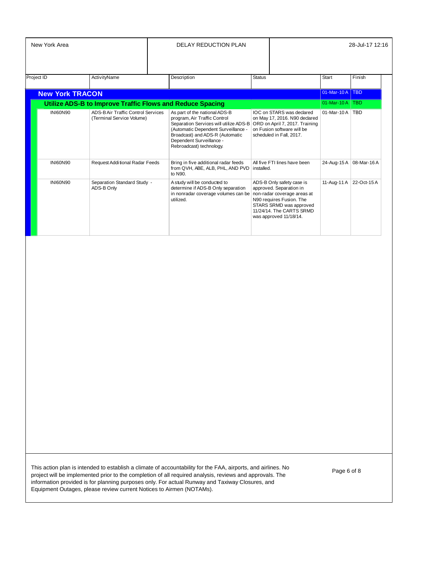| New York Area          |                                                                  | <b>DELAY REDUCTION PLAN</b>                                                                                                                                                                                                               |               |                                                                                                                                                                                                  |                  | 28-Jul-17 12:16 |
|------------------------|------------------------------------------------------------------|-------------------------------------------------------------------------------------------------------------------------------------------------------------------------------------------------------------------------------------------|---------------|--------------------------------------------------------------------------------------------------------------------------------------------------------------------------------------------------|------------------|-----------------|
| <b>Project ID</b>      | ActivityName                                                     | Description                                                                                                                                                                                                                               | <b>Status</b> |                                                                                                                                                                                                  | <b>Start</b>     | Finish          |
| <b>New York TRACON</b> |                                                                  |                                                                                                                                                                                                                                           |               |                                                                                                                                                                                                  | 01-Mar-10A   TBD |                 |
|                        | <b>Utilize ADS-B to Improve Traffic Flows and Reduce Spacing</b> |                                                                                                                                                                                                                                           |               |                                                                                                                                                                                                  | $01-Mar-10A$     | <b>TBD</b>      |
| <b>INI60N90</b>        | ADS-B Air Traffic Control Services<br>(Terminal Service Volume)  | As part of the national ADS-B<br>program, Air Traffic Control<br>Separation Services will utilize ADS-B<br>(Automatic Dependent Surveillance -<br>Broadcast) and ADS-R (Automatic<br>Dependent Surveillance -<br>Rebroadcast) technology. |               | IOC on STARS was declared<br>on May 17, 2016. N90 declared<br>ORD on April 7, 2017. Training<br>on Fusion software will be<br>scheduled in Fall, 2017.                                           | $01-Mar-10A$ TBD |                 |
| <b>INI60N90</b>        | Request Additional Radar Feeds                                   | Bring in five additional radar feeds<br>from QVH, ABE, ALB, PHL, AND PVD<br>to N90.                                                                                                                                                       | installed.    | All five FTI lines have been                                                                                                                                                                     | 24-Aug-15 A      | 08-Mar-16A      |
| <b>INI60N90</b>        | Separation Standard Study -<br>ADS-B Only                        | A study will be conducted to<br>determine if ADS-B Only separation<br>in nonradar coverage volumes can be<br>utilized.                                                                                                                    |               | ADS-B Only safety case is<br>approved. Separation in<br>non-radar coverage areas at<br>N90 requires Fusion. The<br>STARS SRMD was approved<br>11/24/14. The CARTS SRMD<br>was approved 11/18/14. | 11-Aug-11 A      | 22-Oct-15A      |

Page 6 of 8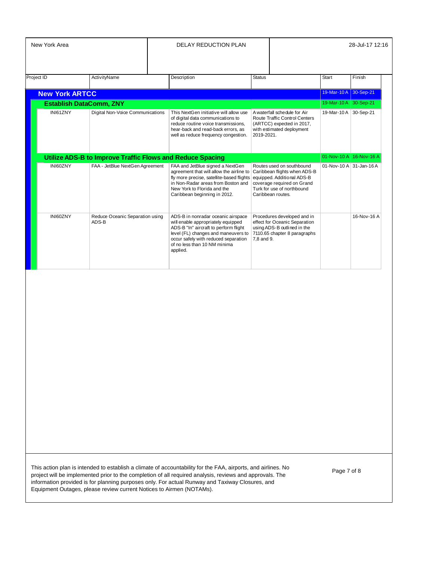| Project ID<br><b>ActivityName</b><br>Description<br><b>Status</b><br><b>Start</b><br>19-Mar-10 A 30-Sep-21<br><b>New York ARTCC</b><br>19-Mar-10 A 30-Sep-21<br><b>Establish DataComm, ZNY</b><br>INI61ZNY<br>Digital Non-Voice Communications<br>19-Mar-10 A 30-Sep-21<br>This NextGen initiative will allow use<br>A waterfall schedule for Air<br>of digital data communications to<br><b>Route Traffic Control Centers</b><br>reduce routine voice transmissions,<br>(ARTCC) expected in 2017,<br>hear-back and read-back errors, as<br>with estimated deployment<br>2019-2021.<br>well as reduce frequency congestion.<br>01-Nov-10 A 16-Nov-16 A<br>Utilize ADS-B to Improve Traffic Flows and Reduce Spacing<br>INI60ZNY<br>FAA - JetBlue NextGen Agreement<br>FAA and JetBlue signed a NextGen<br>01-Nov-10 A 31-Jan-16 A<br>Routes used on southbound<br>agreement that will allow the airline to<br>Caribbean flights when ADS-B<br>fly more precise, satellite-based flights<br>equipped. Additional ADS-B<br>in Non-Radar areas from Boston and<br>coverage required on Grand<br>New York to Florida and the<br>Turk for use of northbound<br>Caribbean beginning in 2012.<br>Caribbean routes.<br>INI60ZNY<br>Reduce Oceanic Separation using<br>ADS-B in nonradar oceanic airspace<br>Procedures developed and in<br>ADS-B<br>will enable appropriately equipped<br>effect for Oceanic Separation<br>ADS-B "In" aircraft to perform flight<br>using ADS-B outlined in the<br>level (FL) changes and maneuvers to<br>7110.65 chapter 8 paragraphs | Finish      |
|----------------------------------------------------------------------------------------------------------------------------------------------------------------------------------------------------------------------------------------------------------------------------------------------------------------------------------------------------------------------------------------------------------------------------------------------------------------------------------------------------------------------------------------------------------------------------------------------------------------------------------------------------------------------------------------------------------------------------------------------------------------------------------------------------------------------------------------------------------------------------------------------------------------------------------------------------------------------------------------------------------------------------------------------------------------------------------------------------------------------------------------------------------------------------------------------------------------------------------------------------------------------------------------------------------------------------------------------------------------------------------------------------------------------------------------------------------------------------------------------------------------------------------------------------------------|-------------|
|                                                                                                                                                                                                                                                                                                                                                                                                                                                                                                                                                                                                                                                                                                                                                                                                                                                                                                                                                                                                                                                                                                                                                                                                                                                                                                                                                                                                                                                                                                                                                                |             |
|                                                                                                                                                                                                                                                                                                                                                                                                                                                                                                                                                                                                                                                                                                                                                                                                                                                                                                                                                                                                                                                                                                                                                                                                                                                                                                                                                                                                                                                                                                                                                                |             |
|                                                                                                                                                                                                                                                                                                                                                                                                                                                                                                                                                                                                                                                                                                                                                                                                                                                                                                                                                                                                                                                                                                                                                                                                                                                                                                                                                                                                                                                                                                                                                                |             |
|                                                                                                                                                                                                                                                                                                                                                                                                                                                                                                                                                                                                                                                                                                                                                                                                                                                                                                                                                                                                                                                                                                                                                                                                                                                                                                                                                                                                                                                                                                                                                                |             |
|                                                                                                                                                                                                                                                                                                                                                                                                                                                                                                                                                                                                                                                                                                                                                                                                                                                                                                                                                                                                                                                                                                                                                                                                                                                                                                                                                                                                                                                                                                                                                                |             |
|                                                                                                                                                                                                                                                                                                                                                                                                                                                                                                                                                                                                                                                                                                                                                                                                                                                                                                                                                                                                                                                                                                                                                                                                                                                                                                                                                                                                                                                                                                                                                                |             |
| occur safely with reduced separation<br>7,8 and 9.<br>of no less than 10 NM minima<br>applied.                                                                                                                                                                                                                                                                                                                                                                                                                                                                                                                                                                                                                                                                                                                                                                                                                                                                                                                                                                                                                                                                                                                                                                                                                                                                                                                                                                                                                                                                 | 16-Nov-16 A |

Page 7 of 8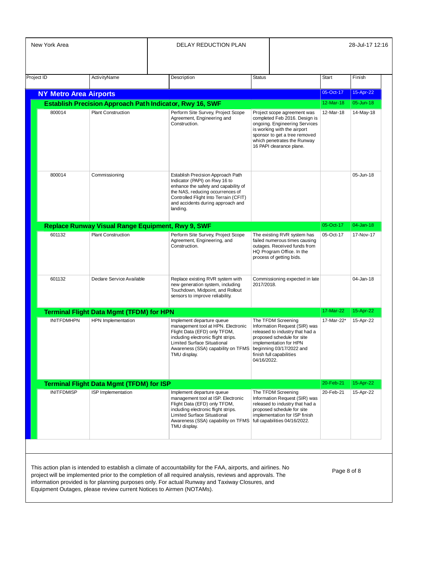| New York Area                                                                              |                                                          |                                                                                                                                                                                                                                          | DELAY REDUCTION PLAN                                                                                                                                                                                                                                                                                                         |               |                                                                                                                                                                                                                          |              | 28-Jul-17 12:16 |
|--------------------------------------------------------------------------------------------|----------------------------------------------------------|------------------------------------------------------------------------------------------------------------------------------------------------------------------------------------------------------------------------------------------|------------------------------------------------------------------------------------------------------------------------------------------------------------------------------------------------------------------------------------------------------------------------------------------------------------------------------|---------------|--------------------------------------------------------------------------------------------------------------------------------------------------------------------------------------------------------------------------|--------------|-----------------|
|                                                                                            |                                                          |                                                                                                                                                                                                                                          |                                                                                                                                                                                                                                                                                                                              |               |                                                                                                                                                                                                                          |              |                 |
| Project ID                                                                                 | ActivityName                                             |                                                                                                                                                                                                                                          | Description                                                                                                                                                                                                                                                                                                                  | <b>Status</b> |                                                                                                                                                                                                                          | <b>Start</b> | Finish          |
| <b>NY Metro Area Airports</b>                                                              |                                                          |                                                                                                                                                                                                                                          |                                                                                                                                                                                                                                                                                                                              |               |                                                                                                                                                                                                                          | 05-Oct-17    | 15-Apr-22       |
|                                                                                            | Establish Precision Approach Path Indicator, Rwy 16, SWF |                                                                                                                                                                                                                                          |                                                                                                                                                                                                                                                                                                                              |               |                                                                                                                                                                                                                          | 12-Mar-18    | 05-Jun-18       |
| 800014                                                                                     | <b>Plant Construction</b>                                |                                                                                                                                                                                                                                          | Perform Site Survey, Project Scope<br>Agreement, Engineering and<br>Construction.                                                                                                                                                                                                                                            |               | Project scope agreement was<br>completed Feb 2016. Design is<br>ongoing. Engineering Services<br>is working with the airport<br>sponsor to get a tree removed<br>which penetrates the Runway<br>16 PAPI clearance plane. | 12-Mar-18    | 14-May-18       |
| 800014<br>Commissioning                                                                    |                                                          | Establish Precision Approach Path<br>Indicator (PAPI) on Rwy 16 to<br>enhance the safety and capability of<br>the NAS, reducing occurrences of<br>Controlled Flight Into Terrain (CFIT)<br>and accidents during approach and<br>landing. |                                                                                                                                                                                                                                                                                                                              |               |                                                                                                                                                                                                                          | 05-Jun-18    |                 |
|                                                                                            | Replace Runway Visual Range Equipment, Rwy 9, SWF        |                                                                                                                                                                                                                                          |                                                                                                                                                                                                                                                                                                                              | 05-Oct-17     |                                                                                                                                                                                                                          | 04-Jan-18    |                 |
| 601132<br><b>Plant Construction</b>                                                        |                                                          |                                                                                                                                                                                                                                          | Perform Site Survey, Project Scope<br>Agreement, Engineering, and<br>Construction.                                                                                                                                                                                                                                           |               | The existing RVR system has<br>failed numerous times causing<br>outages. Received funds from<br>HQ Program Office. In the<br>process of getting bids.                                                                    | 05-Oct-17    | 17-Nov-17       |
| 601132                                                                                     | Declare Service Available                                |                                                                                                                                                                                                                                          | Replace existing RVR system with<br>new generation system, including<br>Touchdown, Midpoint, and Rollout<br>sensors to improve reliability.                                                                                                                                                                                  | 2017/2018.    | Commissioning expected in late                                                                                                                                                                                           |              | 04-Jan-18       |
|                                                                                            |                                                          |                                                                                                                                                                                                                                          |                                                                                                                                                                                                                                                                                                                              |               |                                                                                                                                                                                                                          | 17-Mar-22    | 15-Apr-22       |
| <b>Terminal Flight Data Mgmt (TFDM) for HPN</b><br>HPN Implementation<br><b>INITFDMHPN</b> |                                                          |                                                                                                                                                                                                                                          | Implement departure queue<br>management tool at HPN. Electronic<br>Flight Data (EFD) only TFDM,<br>including electronic flight strips.<br>Limited Surface Situational<br>Awareness (SSA) capability on TFMS<br>TMU display.                                                                                                  | 04/16/2022.   | The TFDM Screening<br>Information Request (SIR) was<br>released to industry that had a<br>proposed schedule for site<br>implementation for HPN<br>beginning 03/17/2022 and<br>finish full capabilities                   | 17-Mar-22*   | 15-Apr-22       |
|                                                                                            | <b>Terminal Flight Data Mgmt (TFDM) for ISP</b>          |                                                                                                                                                                                                                                          |                                                                                                                                                                                                                                                                                                                              |               |                                                                                                                                                                                                                          | 20-Feb-21    | 15-Apr-22       |
| <b>INITFDMISP</b>                                                                          | ISP Implementation                                       |                                                                                                                                                                                                                                          | Implement departure queue<br>management tool at ISP. Electronic<br>Flight Data (EFD) only TFDM,<br>including electronic flight strips.<br>Limited Surface Situational<br>Awareness (SSA) capability on TFMS<br>TMU display.                                                                                                  |               | The TFDM Screening<br>Information Request (SIR) was<br>released to industry that had a<br>proposed schedule for site<br>implementation for ISP finish<br>full capabilities 04/16/2022.                                   | 20-Feb-21    | 15-Apr-22       |
|                                                                                            |                                                          |                                                                                                                                                                                                                                          | This action plan is intended to establish a climate of accountability for the FAA, airports, and airlines. No<br>project will be implemented prior to the completion of all required analysis, reviews and approvals. The<br>information provided is for planning purposes only. For actual Runway and Taxiway Closures, and |               |                                                                                                                                                                                                                          | Page 8 of 8  |                 |

Equipment Outages, please review current Notices to Airmen (NOTAMs).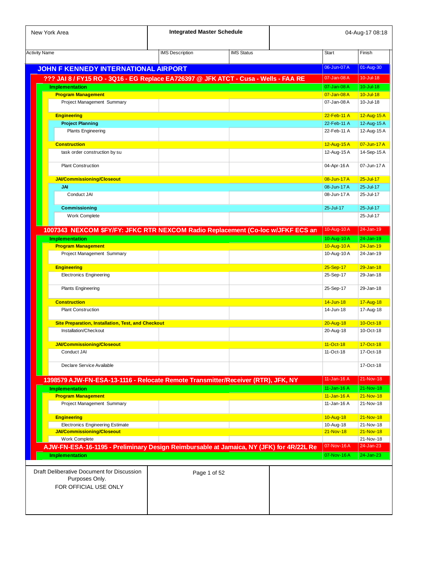| New York Area                                                                           | <b>Integrated Master Schedule</b> |                   |                            | 04-Aug-17 08:18            |
|-----------------------------------------------------------------------------------------|-----------------------------------|-------------------|----------------------------|----------------------------|
| <b>Activity Name</b>                                                                    | <b>IMS Description</b>            | <b>IMS Status</b> | <b>Start</b>               | Finish                     |
|                                                                                         |                                   |                   | 06-Jun-07 A                | 01-Aug-30                  |
| <b>JOHN F KENNEDY INTERNATIONAL AIRPORT</b>                                             |                                   |                   |                            |                            |
| ??? JAI 8 / FY15 RO - 3Q16 - EG Replace EA726397 @ JFK ATCT - Cusa - Wells - FAA RE     |                                   |                   | 07-Jan-08 A<br>07-Jan-08 A | 10-Jul-18<br>$10 -$ Jul-18 |
| <b>Implementation</b><br><b>Program Management</b>                                      |                                   |                   | 07-Jan-08A                 | $10 -$ Jul-18              |
| Project Management Summary                                                              |                                   |                   | 07-Jan-08 A                | 10-Jul-18                  |
|                                                                                         |                                   |                   |                            |                            |
| <b>Engineering</b>                                                                      |                                   |                   | 22-Feb-11 A                | 12-Aug-15 A                |
| <b>Project Planning</b>                                                                 |                                   |                   | 22-Feb-11 A                | 12-Aug-15 A                |
| <b>Plants Engineering</b>                                                               |                                   |                   | 22-Feb-11 A                | 12-Aug-15 A                |
| <b>Construction</b>                                                                     |                                   |                   | 12-Aug-15 A                | 07-Jun-17 A                |
| task order construction by su                                                           |                                   |                   | 12-Aug-15 A                | 14-Sep-15 A                |
|                                                                                         |                                   |                   |                            |                            |
| <b>Plant Construction</b>                                                               |                                   |                   | 04-Apr-16 A                | 07-Jun-17 A                |
| <b>JAI/Commissioning/Closeout</b>                                                       |                                   |                   | 08-Jun-17 A                | $25 -$ Jul-17              |
| JAI                                                                                     |                                   |                   | 08-Jun-17 A                | 25-Jul-17                  |
| Conduct JAI                                                                             |                                   |                   | 08-Jun-17 A                | 25-Jul-17                  |
|                                                                                         |                                   |                   |                            |                            |
| Commissioning<br>Work Complete                                                          |                                   |                   | 25-Jul-17                  | 25-Jul-17<br>25-Jul-17     |
|                                                                                         |                                   |                   |                            |                            |
| 1007343 NEXCOM \$FY/FY: JFKC RTR NEXCOM Radio Replacement (Co-loc w/JFKF ECS an         |                                   |                   | 10-Aug-10A                 | 24-Jan-19                  |
| <b>Implementation</b>                                                                   |                                   |                   | 10-Aug-10A                 | 24-Jan-19                  |
| <b>Program Management</b>                                                               |                                   |                   | 10-Aug-10A                 | $24 - Jan-19$              |
| Project Management Summary                                                              |                                   |                   | 10-Aug-10A                 | 24-Jan-19                  |
| <b>Engineering</b>                                                                      |                                   |                   | 25-Sep-17                  | $29 - Jan-18$              |
| <b>Electronics Engineering</b>                                                          |                                   |                   | 25-Sep-17                  | 29-Jan-18                  |
|                                                                                         |                                   |                   |                            |                            |
| <b>Plants Engineering</b>                                                               |                                   |                   | 25-Sep-17                  | 29-Jan-18                  |
| <b>Construction</b>                                                                     |                                   |                   | 14-Jun-18                  | 17-Aug-18                  |
| <b>Plant Construction</b>                                                               |                                   |                   | 14-Jun-18                  | 17-Aug-18                  |
|                                                                                         |                                   |                   |                            |                            |
| <b>Site Preparation, Installation, Test, and Checkout</b>                               |                                   |                   | 20-Aug-18                  | 10-Oct-18                  |
| Installation/Checkout                                                                   |                                   |                   | 20-Aug-18                  | 10-Oct-18                  |
| JAI/Commissioning/Closeout                                                              |                                   |                   | $11-Oct-18$                | 17-Oct-18                  |
| Conduct JAI                                                                             |                                   |                   | 11-Oct-18                  | 17-Oct-18                  |
|                                                                                         |                                   |                   |                            |                            |
| Declare Service Available                                                               |                                   |                   |                            | 17-Oct-18                  |
| 1398579 AJW-FN-ESA-13-1116 - Relocate Remote Transmitter/Receiver (RTR), JFK, NY        |                                   |                   | 11-Jan-16 A                | 21-Nov-18                  |
| <b>Implementation</b>                                                                   |                                   |                   | 11-Jan-16 A                | 21-Nov-18                  |
| <b>Program Management</b>                                                               |                                   |                   | 11-Jan-16 A                | $21 - Nov-18$              |
| Project Management Summary                                                              |                                   |                   | 11-Jan-16 A                | 21-Nov-18                  |
|                                                                                         |                                   |                   |                            |                            |
| <b>Engineering</b>                                                                      |                                   |                   | 10-Aug-18                  | $21 - Nov-18$              |
| <b>Electronics Engineering Estimate</b>                                                 |                                   |                   | 10-Aug-18                  | 21-Nov-18                  |
| <b>JAI/Commissioning/Closeout</b><br>Work Complete                                      |                                   |                   | 21-Nov-18                  | 21-Nov-18<br>21-Nov-18     |
| AJW-FN-ESA-16-1195 - Preliminary Design Reimbursable at Jamaica, NY (JFK) for 4R/22L Re |                                   |                   | 07-Nov-16A                 | 24-Jan-23                  |
| <b>Implementation</b>                                                                   |                                   |                   | 07-Nov-16A                 | 24-Jan-23                  |
|                                                                                         |                                   |                   |                            |                            |
| Draft Deliberative Document for Discussion                                              |                                   | Page 1 of 52      |                            |                            |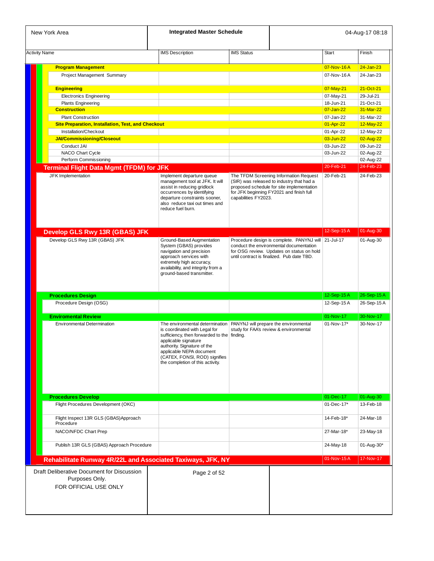| New York Area                                                                         | <b>Integrated Master Schedule</b>                                                                                                                                                                                                                                       |                      |                                                                                                                                                                                           |              | 04-Aug-17 08:18        |
|---------------------------------------------------------------------------------------|-------------------------------------------------------------------------------------------------------------------------------------------------------------------------------------------------------------------------------------------------------------------------|----------------------|-------------------------------------------------------------------------------------------------------------------------------------------------------------------------------------------|--------------|------------------------|
| <b>Activity Name</b>                                                                  | <b>IMS</b> Description                                                                                                                                                                                                                                                  | <b>IMS Status</b>    |                                                                                                                                                                                           | <b>Start</b> | Finish                 |
|                                                                                       |                                                                                                                                                                                                                                                                         |                      |                                                                                                                                                                                           |              |                        |
| <b>Program Management</b>                                                             |                                                                                                                                                                                                                                                                         |                      |                                                                                                                                                                                           | 07-Nov-16A   | $24 - Jan-23$          |
| Project Management Summary                                                            |                                                                                                                                                                                                                                                                         |                      |                                                                                                                                                                                           | 07-Nov-16A   | 24-Jan-23              |
| <b>Engineering</b>                                                                    |                                                                                                                                                                                                                                                                         |                      |                                                                                                                                                                                           | 07-May-21    | 21-Oct-21              |
| <b>Electronics Engineering</b>                                                        |                                                                                                                                                                                                                                                                         |                      |                                                                                                                                                                                           | 07-May-21    | 29-Jul-21              |
| <b>Plants Engineering</b>                                                             |                                                                                                                                                                                                                                                                         |                      |                                                                                                                                                                                           | 18-Jun-21    | 21-Oct-21              |
| <b>Construction</b>                                                                   |                                                                                                                                                                                                                                                                         |                      |                                                                                                                                                                                           | 07-Jan-22    | 31-Mar-22              |
| <b>Plant Construction</b>                                                             |                                                                                                                                                                                                                                                                         |                      |                                                                                                                                                                                           | 07-Jan-22    | 31-Mar-22              |
| <b>Site Preparation, Installation, Test, and Checkout</b>                             |                                                                                                                                                                                                                                                                         |                      |                                                                                                                                                                                           | 01-Apr-22    | 12-May-22              |
| Installation/Checkout                                                                 |                                                                                                                                                                                                                                                                         |                      |                                                                                                                                                                                           | 01-Apr-22    | 12-May-22              |
| <b>JAI/Commissioning/Closeout</b>                                                     |                                                                                                                                                                                                                                                                         |                      |                                                                                                                                                                                           | 03-Jun-22    | 02-Aug-22              |
| Conduct JAI                                                                           |                                                                                                                                                                                                                                                                         |                      |                                                                                                                                                                                           | 03-Jun-22    | 09-Jun-22              |
| NACO Chart Cycle                                                                      |                                                                                                                                                                                                                                                                         |                      |                                                                                                                                                                                           | 03-Jun-22    | 02-Aug-22              |
| Perform Commissioning                                                                 |                                                                                                                                                                                                                                                                         |                      |                                                                                                                                                                                           | 20-Feb-21    | 02-Aug-22<br>24-Feb-23 |
| <b>Terminal Flight Data Mgmt (TFDM) for JFK</b><br>JFK Implementation                 |                                                                                                                                                                                                                                                                         |                      | The TFDM Screening Information Request                                                                                                                                                    | 20-Feb-21    | 24-Feb-23              |
|                                                                                       | Implement departure queue<br>management tool at JFK. It will<br>assist in reducing gridlock<br>occurrences by identifying<br>departure constraints sooner,<br>also reduce taxi out times and<br>reduce fuel burn.                                                       | capabilities FY2023. | (SIR) was released to industry that had a<br>proposed schedule for site implementation<br>for JFK beginning FY2021 and finish full                                                        |              |                        |
| Develop GLS Rwy 13R (GBAS) JFK                                                        |                                                                                                                                                                                                                                                                         |                      |                                                                                                                                                                                           | 12-Sep-15A   | 01-Aug-30              |
| Develop GLS Rwy 13R (GBAS) JFK                                                        | Ground-Based Augmentation<br>System (GBAS) provides<br>navigation and precision<br>approach services with<br>extremely high accuracy,<br>availability, and integrity from a<br>ground-based transmitter.                                                                |                      | Procedure design is complete. PANYNJ will 21-Jul-17<br>conduct the environmental documentation<br>for OSG review. Updates on status on hold<br>until contract is finalized. Pub date TBD. |              | 01-Aug-30              |
| <b>Procedures Design</b>                                                              |                                                                                                                                                                                                                                                                         |                      |                                                                                                                                                                                           | 12-Sep-15A   | 26-Sep-15A             |
| Procedure Design (OSG)                                                                |                                                                                                                                                                                                                                                                         |                      |                                                                                                                                                                                           | 12-Sep-15A   | 26-Sep-15 A            |
| <b>Enviromental Review</b>                                                            |                                                                                                                                                                                                                                                                         |                      |                                                                                                                                                                                           | 01-Nov-17    | 30-Nov-17              |
| <b>Environmental Determination</b>                                                    | The environmental determination<br>is coordinated with Legal for<br>sufficiency, then forwarded to the finding.<br>applicable signature<br>authority. Signature of the<br>applicable NEPA document<br>(CATEX, FONSI, ROD) signifies<br>the completion of this activity. |                      | PANYNJ will prepare the environmental<br>study for FAA's review & environmental                                                                                                           | 01-Nov-17*   | 30-Nov-17              |
| <b>Procedures Develop</b>                                                             |                                                                                                                                                                                                                                                                         |                      |                                                                                                                                                                                           | 01-Dec-17    | 01-Aug-30              |
| Flight Procedures Development (OKC)                                                   |                                                                                                                                                                                                                                                                         |                      |                                                                                                                                                                                           | 01-Dec-17*   | 13-Feb-18              |
| Flight Inspect 13R GLS (GBAS) Approach<br>Procedure                                   |                                                                                                                                                                                                                                                                         |                      |                                                                                                                                                                                           | 14-Feb-18*   | 24-Mar-18              |
| NACO/NFDC Chart Prep                                                                  |                                                                                                                                                                                                                                                                         |                      |                                                                                                                                                                                           | 27-Mar-18*   | 23-May-18              |
| Publish 13R GLS (GBAS) Approach Procedure                                             |                                                                                                                                                                                                                                                                         |                      |                                                                                                                                                                                           | 24-May-18    | 01-Aug-30*             |
| Rehabilitate Runway 4R/22L and Associated Taxiways, JFK, NY                           |                                                                                                                                                                                                                                                                         |                      |                                                                                                                                                                                           | 01-Nov-15A   | 17-Nov-17              |
| Draft Deliberative Document for Discussion<br>Purposes Only.<br>FOR OFFICIAL USE ONLY | Page 2 of 52                                                                                                                                                                                                                                                            |                      |                                                                                                                                                                                           |              |                        |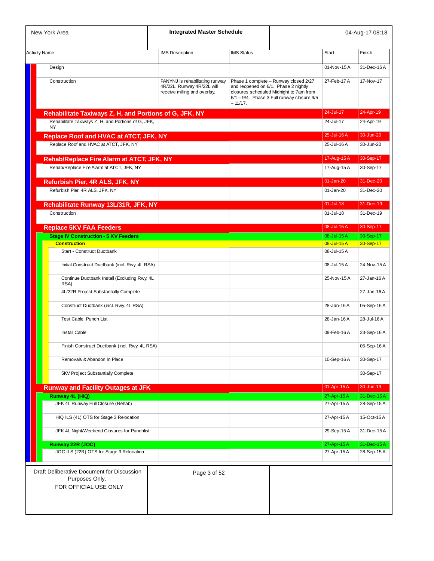| New York Area                                                                         | <b>Integrated Master Schedule</b>                                                             |                   |                                                                                                                                                                             |               | 04-Aug-17 08:18 |
|---------------------------------------------------------------------------------------|-----------------------------------------------------------------------------------------------|-------------------|-----------------------------------------------------------------------------------------------------------------------------------------------------------------------------|---------------|-----------------|
| <b>Activity Name</b>                                                                  | <b>IMS Description</b>                                                                        | <b>IMS Status</b> |                                                                                                                                                                             | Start         | Finish          |
| Design                                                                                |                                                                                               |                   |                                                                                                                                                                             | 01-Nov-15A    | 31-Dec-16A      |
| Construction                                                                          | PANYNJ is rehabilitating runway<br>4R/22L. Runway 4R/22L will<br>receive milling and overlay. | $-11/17.$         | Phase 1 complete - Runway closed 2/27<br>and reopened on 6/1. Phase 2 nightly<br>closures scheduled Midnight to 7am from<br>$6/1 - 9/4$ . Phase 3 Full runway closure $9/5$ | 27-Feb-17 A   | 17-Nov-17       |
| Rehabilitate Taxiways Z, H, and Portions of G, JFK, NY                                |                                                                                               |                   |                                                                                                                                                                             | 24-Jul-17     | 24-Apr-19       |
| Rehabilitate Taxiways Z, H, and Portions of G, JFK,<br><b>NY</b>                      |                                                                                               |                   |                                                                                                                                                                             | 24-Jul-17     | 24-Apr-19       |
| Replace Roof and HVAC at ATCT, JFK, NY                                                |                                                                                               |                   |                                                                                                                                                                             | 25-Jul-16A    | 30-Jun-20       |
| Replace Roof and HVAC at ATCT, JFK, NY                                                |                                                                                               |                   |                                                                                                                                                                             | 25-Jul-16 A   | 30-Jun-20       |
|                                                                                       |                                                                                               |                   |                                                                                                                                                                             | 17-Aug-15A    | 30-Sep-17       |
| Rehab/Replace Fire Alarm at ATCT, JFK, NY                                             |                                                                                               |                   |                                                                                                                                                                             |               |                 |
| Rehab/Replace Fire Alarm at ATCT, JFK, NY                                             |                                                                                               |                   |                                                                                                                                                                             | 17-Aug-15 A   | 30-Sep-17       |
| Refurbish Pier, 4R ALS, JFK, NY                                                       |                                                                                               |                   |                                                                                                                                                                             | $01$ -Jan-20  | 31-Dec-20       |
| Refurbish Pier, 4R ALS, JFK, NY                                                       |                                                                                               |                   |                                                                                                                                                                             | 01-Jan-20     | 31-Dec-20       |
|                                                                                       |                                                                                               |                   |                                                                                                                                                                             |               |                 |
| Rehabilitate Runway 13L/31R, JFK, NY                                                  |                                                                                               |                   |                                                                                                                                                                             | $01 -$ Jul-18 | 31-Dec-19       |
| Construction                                                                          |                                                                                               |                   |                                                                                                                                                                             | 01-Jul-18     | 31-Dec-19       |
|                                                                                       |                                                                                               |                   |                                                                                                                                                                             |               |                 |
| <b>Replace 5KV FAA Feeders</b>                                                        |                                                                                               |                   |                                                                                                                                                                             | 08-Jul-15A    | 30-Sep-17       |
| <b>Stage IV Construction - 5 KV Feeders</b>                                           |                                                                                               |                   |                                                                                                                                                                             | 08-Jul-15A    | 30-Sep-17       |
| <b>Construction</b>                                                                   |                                                                                               |                   |                                                                                                                                                                             | 08-Jul-15 A   | 30-Sep-17       |
| <b>Start - Construct Ductbank</b>                                                     |                                                                                               |                   |                                                                                                                                                                             | 08-Jul-15A    |                 |
|                                                                                       |                                                                                               |                   |                                                                                                                                                                             |               |                 |
| Initial Construct Ductbank (incl. Rwy. 4L RSA)                                        |                                                                                               |                   |                                                                                                                                                                             | 08-Jul-15A    | 24-Nov-15A      |
| Continue Ductbank Install (Excluding Rwy. 4L<br>RSA)                                  |                                                                                               |                   |                                                                                                                                                                             | 25-Nov-15A    | 27-Jan-16 A     |
| 4L/22R Project Substantially Complete                                                 |                                                                                               |                   |                                                                                                                                                                             |               | 27-Jan-16 A     |
|                                                                                       |                                                                                               |                   |                                                                                                                                                                             | 28-Jan-16 A   | 05-Sep-16 A     |
| Construct Ductbank (incl. Rwy. 4L RSA)                                                |                                                                                               |                   |                                                                                                                                                                             |               |                 |
| Test Cable, Punch List                                                                |                                                                                               |                   |                                                                                                                                                                             | 28-Jan-16A    | 28-Jul-16 A     |
| <b>Install Cable</b>                                                                  |                                                                                               |                   |                                                                                                                                                                             | 09-Feb-16A    | 23-Sep-16 A     |
| Finish Construct Ductbank (incl. Rwy. 4L RSA)                                         |                                                                                               |                   |                                                                                                                                                                             |               | 05-Sep-16 A     |
| Removals & Abandon In Place                                                           |                                                                                               |                   |                                                                                                                                                                             | 10-Sep-16A    | 30-Sep-17       |
| 5KV Project Substantially Complete                                                    |                                                                                               |                   |                                                                                                                                                                             |               | 30-Sep-17       |
| <b>Runway and Facility Outages at JFK</b>                                             |                                                                                               |                   |                                                                                                                                                                             | 01-Apr-15A    | 30-Jun-19       |
| Runway 4L (HIQ)                                                                       |                                                                                               |                   |                                                                                                                                                                             | 27-Apr-15 A   | 31-Dec-15A      |
| JFK 4L Runway Full Closure (Rehab)                                                    |                                                                                               |                   |                                                                                                                                                                             | 27-Apr-15 A   | 28-Sep-15A      |
| HIQ ILS (4L) OTS for Stage 3 Relocation                                               |                                                                                               |                   |                                                                                                                                                                             | 27-Apr-15 A   | 15-Oct-15 A     |
| JFK 4L Night/Weekend Closures for Punchlist                                           |                                                                                               |                   |                                                                                                                                                                             | 29-Sep-15A    | 31-Dec-15A      |
|                                                                                       |                                                                                               |                   |                                                                                                                                                                             |               |                 |
| Runway 22R (JOC)                                                                      |                                                                                               |                   |                                                                                                                                                                             | 27-Apr-15 A   | 31-Dec-15A      |
| JOC ILS (22R) OTS for Stage 3 Relocation                                              |                                                                                               |                   |                                                                                                                                                                             | 27-Apr-15 A   | 28-Sep-15 A     |
| Draft Deliberative Document for Discussion<br>Purposes Only.<br>FOR OFFICIAL USE ONLY | Page 3 of 52                                                                                  |                   |                                                                                                                                                                             |               |                 |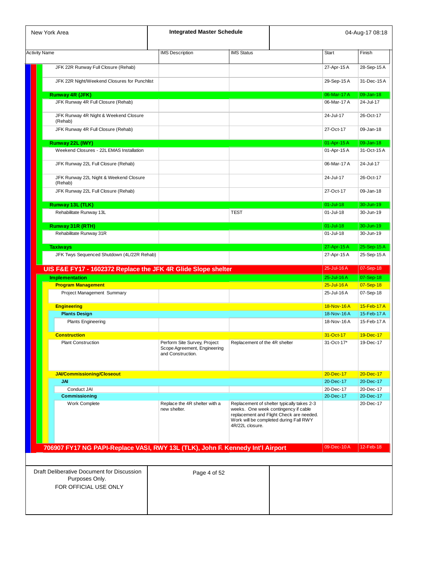| New York Area                                                                         | <b>Integrated Master Schedule</b>                                                 |                                                         |                                                                                                                                  |                            | 04-Aug-17 08:18            |
|---------------------------------------------------------------------------------------|-----------------------------------------------------------------------------------|---------------------------------------------------------|----------------------------------------------------------------------------------------------------------------------------------|----------------------------|----------------------------|
| <b>Activity Name</b>                                                                  | <b>IMS Description</b>                                                            | <b>IMS Status</b>                                       |                                                                                                                                  | <b>Start</b>               | Finish                     |
|                                                                                       |                                                                                   |                                                         |                                                                                                                                  |                            |                            |
| JFK 22R Runway Full Closure (Rehab)                                                   |                                                                                   |                                                         |                                                                                                                                  | 27-Apr-15 A                | 28-Sep-15A                 |
| JFK 22R Night/Weekend Closures for Punchlist                                          |                                                                                   |                                                         |                                                                                                                                  | 29-Sep-15 A                | 31-Dec-15A                 |
| Runway 4R (JFK)                                                                       |                                                                                   |                                                         |                                                                                                                                  | 06-Mar-17 A                | 09-Jan-18                  |
| JFK Runway 4R Full Closure (Rehab)                                                    |                                                                                   |                                                         |                                                                                                                                  | 06-Mar-17 A                | 24-Jul-17                  |
| JFK Runway 4R Night & Weekend Closure                                                 |                                                                                   |                                                         |                                                                                                                                  | 24-Jul-17                  | 26-Oct-17                  |
| (Rehab)<br>JFK Runway 4R Full Closure (Rehab)                                         |                                                                                   |                                                         |                                                                                                                                  | 27-Oct-17                  | 09-Jan-18                  |
| Runway 22L (IWY)                                                                      |                                                                                   |                                                         |                                                                                                                                  | 01-Apr-15 A                | 09-Jan-18                  |
| Weekend Closures - 22L EMAS Installation                                              |                                                                                   |                                                         |                                                                                                                                  | 01-Apr-15 A                | 31-Oct-15A                 |
| JFK Runway 22L Full Closure (Rehab)                                                   |                                                                                   |                                                         |                                                                                                                                  | 06-Mar-17 A                | 24-Jul-17                  |
| JFK Runway 22L Night & Weekend Closure<br>(Rehab)                                     |                                                                                   |                                                         |                                                                                                                                  | 24-Jul-17                  | 26-Oct-17                  |
| JFK Runway 22L Full Closure (Rehab)                                                   |                                                                                   |                                                         |                                                                                                                                  | 27-Oct-17                  | 09-Jan-18                  |
| Runway 13L (TLK)                                                                      |                                                                                   |                                                         |                                                                                                                                  | $01 -$ Jul-18              | 30-Jun-19                  |
| Rehabilitate Runway 13L                                                               |                                                                                   | <b>TEST</b>                                             |                                                                                                                                  | 01-Jul-18                  | 30-Jun-19                  |
| Runway 31R (RTH)                                                                      |                                                                                   |                                                         |                                                                                                                                  | $01 -$ Jul-18              | 30-Jun-19                  |
| Rehabilitate Runway 31R                                                               |                                                                                   |                                                         |                                                                                                                                  | 01-Jul-18                  | 30-Jun-19                  |
| <b>Taxiways</b><br>JFK Twys Sequenced Shutdown (4L/22R Rehab)                         |                                                                                   |                                                         |                                                                                                                                  | 27-Apr-15 A<br>27-Apr-15 A | 25-Sep-15A<br>25-Sep-15 A  |
|                                                                                       |                                                                                   |                                                         |                                                                                                                                  |                            |                            |
| UIS F&E FY17 - 1602372 Replace the JFK 4R Glide Slope shelter                         |                                                                                   |                                                         |                                                                                                                                  | 25-Jul-16 A                | 07-Sep-18                  |
| <b>Implementation</b><br><b>Program Management</b>                                    |                                                                                   |                                                         |                                                                                                                                  | 25-Jul-16 A<br>25-Jul-16A  | 07-Sep-18<br>07-Sep-18     |
| Project Management Summary                                                            |                                                                                   |                                                         |                                                                                                                                  | 25-Jul-16A                 | 07-Sep-18                  |
|                                                                                       |                                                                                   |                                                         |                                                                                                                                  |                            |                            |
| <b>Engineering</b>                                                                    |                                                                                   |                                                         |                                                                                                                                  | 18-Nov-16A                 | 15-Feb-17 A                |
| <b>Plants Design</b><br><b>Plants Engineering</b>                                     |                                                                                   |                                                         |                                                                                                                                  | 18-Nov-16A<br>18-Nov-16A   | 15-Feb-17 A<br>15-Feb-17 A |
|                                                                                       |                                                                                   |                                                         |                                                                                                                                  |                            |                            |
| <b>Construction</b>                                                                   |                                                                                   |                                                         |                                                                                                                                  | 31-Oct-17                  | 19-Dec-17                  |
| <b>Plant Construction</b>                                                             | Perform Site Survey, Project<br>Scope Agreement, Engineering<br>and Construction. | Replacement of the 4R shelter                           |                                                                                                                                  | 31-Oct-17*                 | 19-Dec-17                  |
| <b>JAI/Commissioning/Closeout</b>                                                     |                                                                                   |                                                         |                                                                                                                                  | 20-Dec-17                  | 20-Dec-17                  |
| <b>JAI</b>                                                                            |                                                                                   |                                                         |                                                                                                                                  | 20-Dec-17                  | 20-Dec-17                  |
| Conduct JAI                                                                           |                                                                                   |                                                         |                                                                                                                                  | 20-Dec-17                  | 20-Dec-17                  |
| <b>Commissioning</b>                                                                  |                                                                                   |                                                         |                                                                                                                                  | 20-Dec-17                  | 20-Dec-17                  |
| <b>Work Complete</b>                                                                  | Replace the 4R shelter with a<br>new shelter.                                     | weeks. One week contingency if cable<br>4R/22L closure. | Replacement of shelter typically takes 2-3<br>replacement and Flight Check are needed.<br>Work will be completed during Fall RWY |                            | 20-Dec-17                  |
| 706907 FY17 NG PAPI-Replace VASI, RWY 13L (TLK), John F. Kennedy Int'l Airport        |                                                                                   |                                                         |                                                                                                                                  | 09-Dec-10A                 | 12-Feb-18                  |
|                                                                                       |                                                                                   |                                                         |                                                                                                                                  |                            |                            |
| Draft Deliberative Document for Discussion<br>Purposes Only.<br>FOR OFFICIAL USE ONLY | Page 4 of 52                                                                      |                                                         |                                                                                                                                  |                            |                            |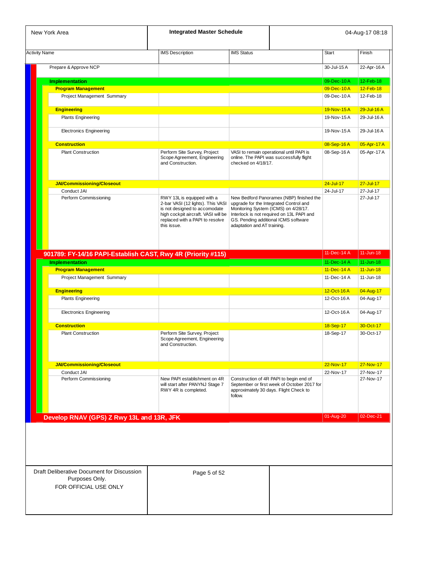| <b>Activity Name</b>  |                                                                                                                                                                                                                                                                                                                                                                                                                                                                                                                                                                                                                                                                                                                                                                                                                                                                                                                                                                                                                                                                                                                                                                                                                                                                                                                                                                                                                                                                                                                                                                                                                                                      |                   |                        |             |                                                                                                      |
|-----------------------|------------------------------------------------------------------------------------------------------------------------------------------------------------------------------------------------------------------------------------------------------------------------------------------------------------------------------------------------------------------------------------------------------------------------------------------------------------------------------------------------------------------------------------------------------------------------------------------------------------------------------------------------------------------------------------------------------------------------------------------------------------------------------------------------------------------------------------------------------------------------------------------------------------------------------------------------------------------------------------------------------------------------------------------------------------------------------------------------------------------------------------------------------------------------------------------------------------------------------------------------------------------------------------------------------------------------------------------------------------------------------------------------------------------------------------------------------------------------------------------------------------------------------------------------------------------------------------------------------------------------------------------------------|-------------------|------------------------|-------------|------------------------------------------------------------------------------------------------------|
|                       | <b>IMS</b> Description                                                                                                                                                                                                                                                                                                                                                                                                                                                                                                                                                                                                                                                                                                                                                                                                                                                                                                                                                                                                                                                                                                                                                                                                                                                                                                                                                                                                                                                                                                                                                                                                                               | <b>IMS Status</b> | <b>Start</b>           |             | Finish                                                                                               |
| Prepare & Approve NCP |                                                                                                                                                                                                                                                                                                                                                                                                                                                                                                                                                                                                                                                                                                                                                                                                                                                                                                                                                                                                                                                                                                                                                                                                                                                                                                                                                                                                                                                                                                                                                                                                                                                      |                   | 30-Jul-15 A            |             | 22-Apr-16 A                                                                                          |
| <b>Implementation</b> | <b>Integrated Master Schedule</b><br>New York Area<br><b>Program Management</b><br>Project Management Summary<br><b>Engineering</b><br><b>Plants Engineering</b><br><b>Electronics Engineering</b><br><b>Construction</b><br><b>Plant Construction</b><br>Perform Site Survey, Project<br>VASI to remain operational until PAPI is<br>Scope Agreement, Engineering<br>online. The PAPI was successfully flight<br>and Construction.<br>checked on 4/18/17.<br>JAI/Commissioning/Closeout<br>Conduct JAI<br>Perform Commissioning<br>RWY 13L is equipped with a<br>New Bedford Panoramex (NBP) finished the<br>2-bar VASI (12 lights). This VASI<br>upgrade for the Integrated Control and<br>is not designed to accomodate<br>Monitoring System (ICMS) on 4/28/17.<br>Interlock is not required on 13L PAPI and<br>high cockpit aircraft. VASI will be<br>replaced with a PAPI to resolve<br>GS. Pending additional ICMS software<br>adaptation and AT training.<br>this issue.<br>901789: FY-14/16 PAPI-Establish CAST, Rwy 4R (Priority #115)<br><b>Program Management</b><br>Project Management Summary<br><b>Engineering</b><br><b>Plants Engineering</b><br><b>Electronics Engineering</b><br><b>Construction</b><br><b>Plant Construction</b><br>Perform Site Survey, Project<br>Scope Agreement, Engineering<br>and Construction.<br><b>JAI/Commissioning/Closeout</b><br>Conduct JAI<br>Perform Commissioning<br>New PAPI establishment on 4R<br>Construction of 4R PAPI to begin end of<br>will start after PANYNJ Stage 7<br>September or first week of October 2017 for<br>RWY 4R is completed.<br>approximately 30 days. Flight Check to |                   | 09-Dec-10A             | 12-Feb-18   |                                                                                                      |
|                       |                                                                                                                                                                                                                                                                                                                                                                                                                                                                                                                                                                                                                                                                                                                                                                                                                                                                                                                                                                                                                                                                                                                                                                                                                                                                                                                                                                                                                                                                                                                                                                                                                                                      |                   |                        | 09-Dec-10A  | 12-Feb-18                                                                                            |
|                       |                                                                                                                                                                                                                                                                                                                                                                                                                                                                                                                                                                                                                                                                                                                                                                                                                                                                                                                                                                                                                                                                                                                                                                                                                                                                                                                                                                                                                                                                                                                                                                                                                                                      |                   |                        | 09-Dec-10A  | 12-Feb-18                                                                                            |
|                       |                                                                                                                                                                                                                                                                                                                                                                                                                                                                                                                                                                                                                                                                                                                                                                                                                                                                                                                                                                                                                                                                                                                                                                                                                                                                                                                                                                                                                                                                                                                                                                                                                                                      |                   |                        | 19-Nov-15A  | 29-Jul-16 A                                                                                          |
|                       |                                                                                                                                                                                                                                                                                                                                                                                                                                                                                                                                                                                                                                                                                                                                                                                                                                                                                                                                                                                                                                                                                                                                                                                                                                                                                                                                                                                                                                                                                                                                                                                                                                                      |                   |                        | 19-Nov-15A  | 29-Jul-16 A                                                                                          |
|                       |                                                                                                                                                                                                                                                                                                                                                                                                                                                                                                                                                                                                                                                                                                                                                                                                                                                                                                                                                                                                                                                                                                                                                                                                                                                                                                                                                                                                                                                                                                                                                                                                                                                      |                   |                        | 19-Nov-15A  | 29-Jul-16 A                                                                                          |
|                       |                                                                                                                                                                                                                                                                                                                                                                                                                                                                                                                                                                                                                                                                                                                                                                                                                                                                                                                                                                                                                                                                                                                                                                                                                                                                                                                                                                                                                                                                                                                                                                                                                                                      |                   |                        | 08-Sep-16A  | 05-Apr-17 A                                                                                          |
|                       |                                                                                                                                                                                                                                                                                                                                                                                                                                                                                                                                                                                                                                                                                                                                                                                                                                                                                                                                                                                                                                                                                                                                                                                                                                                                                                                                                                                                                                                                                                                                                                                                                                                      |                   |                        | 08-Sep-16A  | 05-Apr-17 A                                                                                          |
|                       |                                                                                                                                                                                                                                                                                                                                                                                                                                                                                                                                                                                                                                                                                                                                                                                                                                                                                                                                                                                                                                                                                                                                                                                                                                                                                                                                                                                                                                                                                                                                                                                                                                                      |                   |                        |             |                                                                                                      |
|                       |                                                                                                                                                                                                                                                                                                                                                                                                                                                                                                                                                                                                                                                                                                                                                                                                                                                                                                                                                                                                                                                                                                                                                                                                                                                                                                                                                                                                                                                                                                                                                                                                                                                      |                   | $24 - July - 17$       |             | $27 -$ Jul-17                                                                                        |
|                       |                                                                                                                                                                                                                                                                                                                                                                                                                                                                                                                                                                                                                                                                                                                                                                                                                                                                                                                                                                                                                                                                                                                                                                                                                                                                                                                                                                                                                                                                                                                                                                                                                                                      |                   | 24-Jul-17              |             | 27-Jul-17                                                                                            |
|                       |                                                                                                                                                                                                                                                                                                                                                                                                                                                                                                                                                                                                                                                                                                                                                                                                                                                                                                                                                                                                                                                                                                                                                                                                                                                                                                                                                                                                                                                                                                                                                                                                                                                      |                   |                        |             | 27-Jul-17                                                                                            |
|                       |                                                                                                                                                                                                                                                                                                                                                                                                                                                                                                                                                                                                                                                                                                                                                                                                                                                                                                                                                                                                                                                                                                                                                                                                                                                                                                                                                                                                                                                                                                                                                                                                                                                      |                   |                        |             |                                                                                                      |
|                       |                                                                                                                                                                                                                                                                                                                                                                                                                                                                                                                                                                                                                                                                                                                                                                                                                                                                                                                                                                                                                                                                                                                                                                                                                                                                                                                                                                                                                                                                                                                                                                                                                                                      |                   |                        | 11-Dec-14 A | $11 - Jun-18$                                                                                        |
|                       |                                                                                                                                                                                                                                                                                                                                                                                                                                                                                                                                                                                                                                                                                                                                                                                                                                                                                                                                                                                                                                                                                                                                                                                                                                                                                                                                                                                                                                                                                                                                                                                                                                                      |                   |                        | 11-Dec-14 A |                                                                                                      |
| <b>Implementation</b> |                                                                                                                                                                                                                                                                                                                                                                                                                                                                                                                                                                                                                                                                                                                                                                                                                                                                                                                                                                                                                                                                                                                                                                                                                                                                                                                                                                                                                                                                                                                                                                                                                                                      |                   |                        | 11-Dec-14 A | $11 - Jun-18$<br>$11 - Jun-18$                                                                       |
|                       |                                                                                                                                                                                                                                                                                                                                                                                                                                                                                                                                                                                                                                                                                                                                                                                                                                                                                                                                                                                                                                                                                                                                                                                                                                                                                                                                                                                                                                                                                                                                                                                                                                                      |                   |                        | 11-Dec-14 A | $11 - Jun-18$                                                                                        |
|                       |                                                                                                                                                                                                                                                                                                                                                                                                                                                                                                                                                                                                                                                                                                                                                                                                                                                                                                                                                                                                                                                                                                                                                                                                                                                                                                                                                                                                                                                                                                                                                                                                                                                      |                   |                        | 12-Oct-16A  |                                                                                                      |
|                       |                                                                                                                                                                                                                                                                                                                                                                                                                                                                                                                                                                                                                                                                                                                                                                                                                                                                                                                                                                                                                                                                                                                                                                                                                                                                                                                                                                                                                                                                                                                                                                                                                                                      |                   |                        | 12-Oct-16A  |                                                                                                      |
|                       |                                                                                                                                                                                                                                                                                                                                                                                                                                                                                                                                                                                                                                                                                                                                                                                                                                                                                                                                                                                                                                                                                                                                                                                                                                                                                                                                                                                                                                                                                                                                                                                                                                                      |                   |                        | 12-Oct-16A  |                                                                                                      |
|                       |                                                                                                                                                                                                                                                                                                                                                                                                                                                                                                                                                                                                                                                                                                                                                                                                                                                                                                                                                                                                                                                                                                                                                                                                                                                                                                                                                                                                                                                                                                                                                                                                                                                      |                   |                        |             |                                                                                                      |
|                       |                                                                                                                                                                                                                                                                                                                                                                                                                                                                                                                                                                                                                                                                                                                                                                                                                                                                                                                                                                                                                                                                                                                                                                                                                                                                                                                                                                                                                                                                                                                                                                                                                                                      |                   | 18-Sep-17<br>18-Sep-17 |             |                                                                                                      |
|                       |                                                                                                                                                                                                                                                                                                                                                                                                                                                                                                                                                                                                                                                                                                                                                                                                                                                                                                                                                                                                                                                                                                                                                                                                                                                                                                                                                                                                                                                                                                                                                                                                                                                      |                   |                        |             |                                                                                                      |
|                       |                                                                                                                                                                                                                                                                                                                                                                                                                                                                                                                                                                                                                                                                                                                                                                                                                                                                                                                                                                                                                                                                                                                                                                                                                                                                                                                                                                                                                                                                                                                                                                                                                                                      |                   | 22-Nov-17              |             |                                                                                                      |
|                       |                                                                                                                                                                                                                                                                                                                                                                                                                                                                                                                                                                                                                                                                                                                                                                                                                                                                                                                                                                                                                                                                                                                                                                                                                                                                                                                                                                                                                                                                                                                                                                                                                                                      | follow.           | 22-Nov-17              |             | 04-Aug-17<br>04-Aug-17<br>04-Aug-17<br>30-Oct-17<br>30-Oct-17<br>27-Nov-17<br>27-Nov-17<br>27-Nov-17 |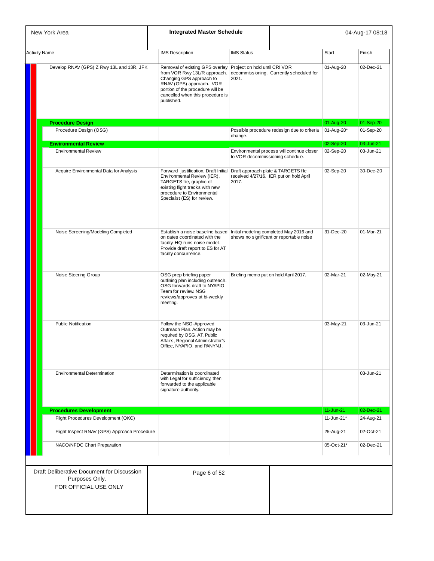| New York Area                                                                         | <b>Integrated Master Schedule</b>                                                                                                                                                                             |                                        |                                                                                |               | 04-Aug-17 08:18 |
|---------------------------------------------------------------------------------------|---------------------------------------------------------------------------------------------------------------------------------------------------------------------------------------------------------------|----------------------------------------|--------------------------------------------------------------------------------|---------------|-----------------|
| <b>Activity Name</b>                                                                  | <b>IMS</b> Description                                                                                                                                                                                        | <b>IMS Status</b>                      |                                                                                | <b>Start</b>  | Finish          |
| Develop RNAV (GPS) Z Rwy 13L and 13R, JFK                                             | Removal of existing GPS overlay<br>from VOR Rwy 13L/R approach.<br>Changing GPS approach to<br>RNAV (GPS) approach. VOR<br>portion of the procedure will be<br>cancelled when this procedure is<br>published. | Project on hold until CRI VOR<br>2021. | decommissioning. Currently scheduled for                                       | 01-Aug-20     | 02-Dec-21       |
| <b>Procedure Design</b>                                                               |                                                                                                                                                                                                               |                                        |                                                                                | 01-Aug-20     | 01-Sep-20       |
| Procedure Design (OSG)                                                                |                                                                                                                                                                                                               | change.                                | Possible procedure redesign due to criteria                                    | 01-Aug-20*    | 01-Sep-20       |
| <b>Environmental Review</b>                                                           |                                                                                                                                                                                                               |                                        |                                                                                | 02-Sep-20     | 03-Jun-21       |
| <b>Environmental Review</b>                                                           |                                                                                                                                                                                                               | to VOR decommissioning schedule.       | Environmental process will continue closer                                     | 02-Sep-20     | 03-Jun-21       |
| Acquire Environmental Data for Analysis                                               | Forward justification, Draft Initial<br>Environmental Review (IER),<br>TARGETS file, graphic of<br>existing flight tracks with new<br>procedure to Environmental<br>Specialist (ES) for review.               | 2017.                                  | Draft approach plate & TARGETS file<br>received 4/27/16. IER put on hold April | 02-Sep-20     | 30-Dec-20       |
| Noise Screening/Modeling Completed                                                    | Establish a noise baseline based   Initial modeling completed May 2016 and<br>on dates coordinated with the<br>facility. HQ runs noise model.<br>Provide draft report to ES for AT<br>facility concurrence.   |                                        | shows no significant or reportable noise                                       | 31-Dec-20     | 01-Mar-21       |
| Noise Steering Group                                                                  | OSG prep briefing paper<br>outlining plan including outreach.<br>OSG forwards draft to NYAPIO<br>Team for review. NSG<br>reviews/approves at bi-weekly<br>meeting.                                            | Briefing memo put on hold April 2017.  |                                                                                | 02-Mar-21     | 02-May-21       |
| <b>Public Notification</b>                                                            | Follow the NSG-Approved<br>Outreach Plan. Action may be<br>required by OSG, AT, Public<br>Affairs, Regional Administrator's<br>Office, NYAPIO, and PANYNJ.                                                    |                                        |                                                                                | 03-May-21     | 03-Jun-21       |
| <b>Environmental Determination</b>                                                    | Determination is coordinated<br>with Legal for sufficiency, then<br>forwarded to the applicable<br>signature authority.                                                                                       |                                        |                                                                                |               | 03-Jun-21       |
|                                                                                       |                                                                                                                                                                                                               |                                        |                                                                                |               |                 |
| <b>Procedures Development</b>                                                         |                                                                                                                                                                                                               |                                        |                                                                                | $11 - Jun-21$ | 02-Dec-21       |
| Flight Procedures Development (OKC)                                                   |                                                                                                                                                                                                               |                                        |                                                                                | 11-Jun-21*    | 24-Aug-21       |
| Flight Inspect RNAV (GPS) Approach Procedure                                          |                                                                                                                                                                                                               |                                        |                                                                                | 25-Aug-21     | 02-Oct-21       |
| NACO/NFDC Chart Preparation                                                           |                                                                                                                                                                                                               |                                        |                                                                                | 05-Oct-21*    | 02-Dec-21       |
| Draft Deliberative Document for Discussion<br>Purposes Only.<br>FOR OFFICIAL USE ONLY | Page 6 of 52                                                                                                                                                                                                  |                                        |                                                                                |               |                 |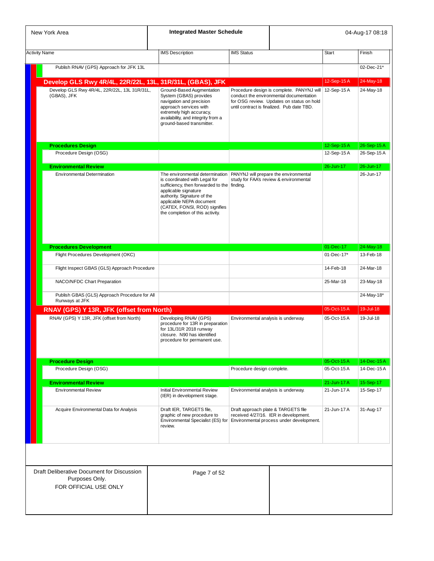|                      | New York Area                                                                         | <b>Integrated Master Schedule</b>                                                                                                                                                                                                    |                                     |                                                                                                                                                                                               |              | 04-Aug-17 08:18 |
|----------------------|---------------------------------------------------------------------------------------|--------------------------------------------------------------------------------------------------------------------------------------------------------------------------------------------------------------------------------------|-------------------------------------|-----------------------------------------------------------------------------------------------------------------------------------------------------------------------------------------------|--------------|-----------------|
| <b>Activity Name</b> |                                                                                       | <b>IMS</b> Description                                                                                                                                                                                                               | <b>IMS Status</b>                   |                                                                                                                                                                                               | <b>Start</b> | Finish          |
|                      |                                                                                       |                                                                                                                                                                                                                                      |                                     |                                                                                                                                                                                               |              |                 |
|                      | Publish RNAV (GPS) Approach for JFK 13L                                               |                                                                                                                                                                                                                                      |                                     |                                                                                                                                                                                               |              | 02-Dec-21*      |
|                      | Develop GLS Rwy 4R/4L, 22R/22L, 13L, 31R/31L, (GBAS), JFK                             |                                                                                                                                                                                                                                      |                                     |                                                                                                                                                                                               | 12-Sep-15A   | 24-May-18       |
|                      | Develop GLS Rwy 4R/4L, 22R/22L, 13L 31R/31L,<br>(GBAS), JFK                           | Ground-Based Augmentation<br>System (GBAS) provides<br>navigation and precision<br>approach services with<br>extremely high accuracy,<br>availability, and integrity from a<br>ground-based transmitter.                             |                                     | Procedure design is complete. PANYNJ will   12-Sep-15 A<br>conduct the environmental documentation<br>for OSG review. Updates on status on hold<br>until contract is finalized. Pub date TBD. |              | 24-May-18       |
|                      | <b>Procedures Design</b>                                                              |                                                                                                                                                                                                                                      |                                     |                                                                                                                                                                                               | 12-Sep-15A   | 26-Sep-15A      |
|                      | Procedure Design (OSG)                                                                |                                                                                                                                                                                                                                      |                                     |                                                                                                                                                                                               | 12-Sep-15A   | 26-Sep-15A      |
|                      |                                                                                       |                                                                                                                                                                                                                                      |                                     |                                                                                                                                                                                               | 26-Jun-17    | 26-Jun-17       |
|                      | <b>Environmental Review</b><br><b>Environmental Determination</b>                     | The environmental determination                                                                                                                                                                                                      |                                     | PANYNJ will prepare the environmental                                                                                                                                                         |              | 26-Jun-17       |
|                      |                                                                                       | is coordinated with Legal for<br>sufficiency, then forwarded to the finding.<br>applicable signature<br>authority. Signature of the<br>applicable NEPA document<br>(CATEX, FONSI, ROD) signifies<br>the completion of this activity. |                                     | study for FAA's review & environmental                                                                                                                                                        |              |                 |
|                      | <b>Procedures Development</b>                                                         |                                                                                                                                                                                                                                      |                                     |                                                                                                                                                                                               | 01-Dec-17    | 24-May-18       |
|                      | Flight Procedures Development (OKC)                                                   |                                                                                                                                                                                                                                      |                                     |                                                                                                                                                                                               | 01-Dec-17*   | 13-Feb-18       |
|                      | Flight Inspect GBAS (GLS) Approach Procedure                                          |                                                                                                                                                                                                                                      |                                     |                                                                                                                                                                                               | 14-Feb-18    | 24-Mar-18       |
|                      | NACO/NFDC Chart Preparation                                                           |                                                                                                                                                                                                                                      |                                     |                                                                                                                                                                                               | 25-Mar-18    | 23-May-18       |
|                      | Publish GBAS (GLS) Approach Procedure for All<br>Runways at JFK                       |                                                                                                                                                                                                                                      |                                     |                                                                                                                                                                                               |              | 24-May-18*      |
|                      | RNAV (GPS) Y 13R, JFK (offset from North)                                             |                                                                                                                                                                                                                                      |                                     |                                                                                                                                                                                               | 05-Oct-15A   | $19 -$ Jul-18   |
|                      | RNAV (GPS) Y 13R, JFK (offset from North)                                             | Developing RNAV (GPS)<br>procedure for 13R in preparation<br>for 13L/31R 2018 runway<br>closure. N90 has identified<br>procedure for permanent use.                                                                                  | Environmental analysis is underway. |                                                                                                                                                                                               | 05-Oct-15A   | 19-Jul-18       |
|                      | <b>Procedure Design</b>                                                               |                                                                                                                                                                                                                                      |                                     |                                                                                                                                                                                               | 05-Oct-15A   | 14-Dec-15A      |
|                      | Procedure Design (OSG)                                                                |                                                                                                                                                                                                                                      | Procedure design complete.          |                                                                                                                                                                                               | 05-Oct-15A   | 14-Dec-15A      |
|                      | <b>Environmental Review</b>                                                           |                                                                                                                                                                                                                                      |                                     |                                                                                                                                                                                               | 21-Jun-17 A  | 15-Sep-17       |
|                      | <b>Environmental Review</b>                                                           | Initial Environmental Review<br>(IER) in development stage.                                                                                                                                                                          | Environmental analysis is underway. |                                                                                                                                                                                               | 21-Jun-17 A  | 15-Sep-17       |
|                      | Acquire Environmental Data for Analysis                                               | Draft IER, TARGETS file,<br>graphic of new procedure to<br>Environmental Specialist (ES) for<br>review.                                                                                                                              |                                     | Draft approach plate & TARGETS file<br>received 4/27/16. IER in development.<br>Environmental process under development.                                                                      | 21-Jun-17 A  | 31-Aug-17       |
|                      |                                                                                       |                                                                                                                                                                                                                                      |                                     |                                                                                                                                                                                               |              |                 |
|                      | Draft Deliberative Document for Discussion<br>Purposes Only.<br>FOR OFFICIAL USE ONLY | Page 7 of 52                                                                                                                                                                                                                         |                                     |                                                                                                                                                                                               |              |                 |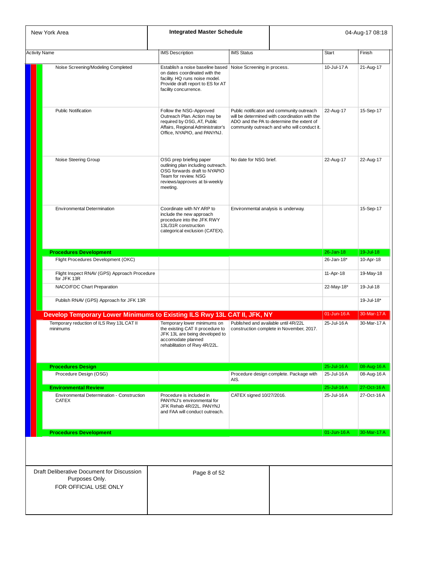| New York Area                                                                         | <b>Integrated Master Schedule</b>                                                                                                                                                             |                                      |                                                                                                                                                                                        |               | 04-Aug-17 08:18 |
|---------------------------------------------------------------------------------------|-----------------------------------------------------------------------------------------------------------------------------------------------------------------------------------------------|--------------------------------------|----------------------------------------------------------------------------------------------------------------------------------------------------------------------------------------|---------------|-----------------|
| <b>Activity Name</b>                                                                  | <b>IMS</b> Description                                                                                                                                                                        | <b>IMS Status</b>                    |                                                                                                                                                                                        | <b>Start</b>  | Finish          |
| Noise Screening/Modeling Completed                                                    | Establish a noise baseline based Noise Screening in process.<br>on dates coordinated with the<br>facility. HQ runs noise model.<br>Provide draft report to ES for AT<br>facility concurrence. |                                      |                                                                                                                                                                                        | 10-Jul-17 A   | 21-Aug-17       |
| <b>Public Notification</b>                                                            | Follow the NSG-Approved<br>Outreach Plan. Action may be<br>required by OSG, AT, Public<br>Affairs, Regional Administrator's<br>Office, NYAPIO, and PANYNJ.                                    |                                      | Public notificaton and community outreach<br>will be determined with coordination with the<br>ADO and the PA to determine the extent of<br>community outreach and who will conduct it. | 22-Aug-17     | 15-Sep-17       |
| Noise Steering Group                                                                  | OSG prep briefing paper<br>outlining plan including outreach.<br>OSG forwards draft to NYAPIO<br>Team for review. NSG<br>reviews/approves at bi-weekly<br>meeting.                            | No date for NSG brief.               |                                                                                                                                                                                        | 22-Aug-17     | 22-Aug-17       |
| <b>Environmental Determination</b>                                                    | Coordinate with NY ARP to<br>include the new approach<br>procedure into the JFK RWY<br>13L/31R construction<br>categorical exclusion (CATEX).                                                 | Environmental analysis is underway.  |                                                                                                                                                                                        |               | 15-Sep-17       |
| <b>Procedures Development</b>                                                         |                                                                                                                                                                                               |                                      |                                                                                                                                                                                        | $26 - Jan-18$ | 19-Jul-18       |
| Flight Procedures Development (OKC)                                                   |                                                                                                                                                                                               |                                      |                                                                                                                                                                                        | 26-Jan-18*    | 10-Apr-18       |
| Flight Inspect RNAV (GPS) Approach Procedure<br>for JFK 13R                           |                                                                                                                                                                                               |                                      |                                                                                                                                                                                        | 11-Apr-18     | 19-May-18       |
| NACO/FDC Chart Preparation                                                            |                                                                                                                                                                                               |                                      |                                                                                                                                                                                        | 22-May-18*    | 19-Jul-18       |
| Publish RNAV (GPS) Approach for JFK 13R                                               |                                                                                                                                                                                               |                                      |                                                                                                                                                                                        |               | 19-Jul-18*      |
| Develop Temporary Lower Minimums to Existing ILS Rwy 13L CAT II, JFK, NY              |                                                                                                                                                                                               |                                      |                                                                                                                                                                                        | 01-Jun-16A    | 30-Mar-17 A     |
| Temporary reduction of ILS Rwy 13L CAT II<br>minimums                                 | Temporary lower minimums on<br>the existing CAT II procedure to<br>JFK 13L are being developed to<br>accomodate planned<br>rehabilitation of Rwy 4R/22L.                                      | Published and available until 4R/22L | construction complete in November, 2017.                                                                                                                                               | 25-Jul-16A    | 30-Mar-17 A     |
| <b>Procedures Design</b>                                                              |                                                                                                                                                                                               |                                      |                                                                                                                                                                                        | 25-Jul-16A    | 08-Aug-16 A     |
| Procedure Design (OSG)                                                                |                                                                                                                                                                                               | AIS.                                 | Procedure design complete. Package with                                                                                                                                                | 25-Jul-16 A   | 08-Aug-16 A     |
| <b>Environmental Review</b>                                                           |                                                                                                                                                                                               |                                      |                                                                                                                                                                                        | 25-Jul-16 A   | 27-Oct-16A      |
| Environmental Determination - Construction<br><b>CATEX</b>                            | Procedure is included in<br>PANYNJ's environmental for<br>JFK Rehab 4R/22L. PANYNJ<br>and FAA will conduct outreach.                                                                          | CATEX signed 10/27/2016.             |                                                                                                                                                                                        | 25-Jul-16A    | 27-Oct-16A      |
| <b>Procedures Development</b>                                                         |                                                                                                                                                                                               |                                      |                                                                                                                                                                                        | 01-Jun-16A    | 30-Mar-17 A     |
|                                                                                       |                                                                                                                                                                                               |                                      |                                                                                                                                                                                        |               |                 |
| Draft Deliberative Document for Discussion<br>Purposes Only.<br>FOR OFFICIAL USE ONLY | Page 8 of 52                                                                                                                                                                                  |                                      |                                                                                                                                                                                        |               |                 |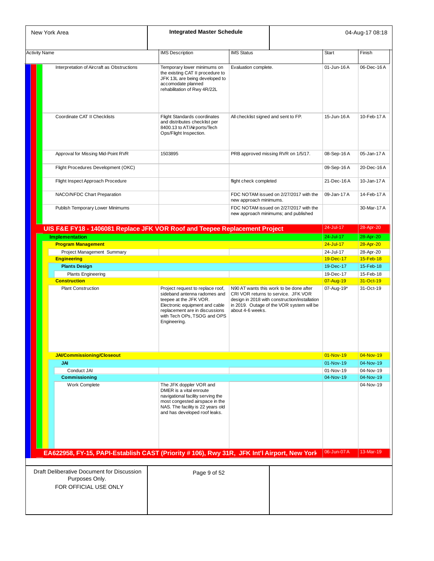| New York Area        |                                                                                             | <b>Integrated Master Schedule</b>                                                                                                                                                                             |                                      |                                                                                                                                                                              |              | 04-Aug-17 08:18        |
|----------------------|---------------------------------------------------------------------------------------------|---------------------------------------------------------------------------------------------------------------------------------------------------------------------------------------------------------------|--------------------------------------|------------------------------------------------------------------------------------------------------------------------------------------------------------------------------|--------------|------------------------|
| <b>Activity Name</b> |                                                                                             | <b>IMS</b> Description                                                                                                                                                                                        | <b>IMS Status</b>                    |                                                                                                                                                                              | <b>Start</b> | Finish                 |
|                      | Interpretation of Aircraft as Obstructions                                                  | Temporary lower minimums on<br>the existing CAT II procedure to<br>JFK 13L are being developed to<br>accomodate planned<br>rehabilitation of Rwy 4R/22L                                                       | Evaluation complete.                 |                                                                                                                                                                              | 01-Jun-16A   | 06-Dec-16A             |
|                      | Coordinate CAT II Checklists                                                                | <b>Flight Standards coordinates</b><br>and distributes checklist per<br>8400.13 to AT/Airports/Tech<br>Ops/Flight Inspection.                                                                                 | All checklist signed and sent to FP. |                                                                                                                                                                              | 15-Jun-16A   | 10-Feb-17 A            |
|                      | Approval for Missing Mid-Point RVR                                                          | 1503895                                                                                                                                                                                                       |                                      | PRB approved missing RVR on 1/5/17.                                                                                                                                          | 08-Sep-16A   | 05-Jan-17 A            |
|                      | Flight Procedures Development (OKC)                                                         |                                                                                                                                                                                                               |                                      |                                                                                                                                                                              | 09-Sep-16A   | 20-Dec-16A             |
|                      | Flight Inspect Approach Procedure                                                           |                                                                                                                                                                                                               | flight check completed               |                                                                                                                                                                              | 21-Dec-16A   | 10-Jan-17 A            |
|                      | NACO/NFDC Chart Preparation                                                                 |                                                                                                                                                                                                               | new approach minimums.               | FDC NOTAM issued on 2/27/2017 with the                                                                                                                                       | 09-Jan-17 A  | 14-Feb-17 A            |
|                      | Publish Temporary Lower Minimums                                                            |                                                                                                                                                                                                               |                                      | FDC NOTAM issued on 2/27/2017 with the<br>new approach minimums; and published                                                                                               |              | 30-Mar-17 A            |
|                      | UIS F&E FY18 - 1406081 Replace JFK VOR Roof and Teepee Replacement Project                  |                                                                                                                                                                                                               |                                      |                                                                                                                                                                              | 24-Jul-17    | 28-Apr-20              |
|                      | <b>Implementation</b>                                                                       |                                                                                                                                                                                                               |                                      |                                                                                                                                                                              | 24-Jul-17    | 28-Apr-20              |
|                      | <b>Program Management</b>                                                                   |                                                                                                                                                                                                               |                                      |                                                                                                                                                                              | 24-Jul-17    | 28-Apr-20              |
|                      | Project Management Summary                                                                  |                                                                                                                                                                                                               |                                      |                                                                                                                                                                              | 24-Jul-17    | 28-Apr-20              |
|                      | <b>Engineering</b>                                                                          |                                                                                                                                                                                                               |                                      |                                                                                                                                                                              | 19-Dec-17    | 15-Feb-18              |
|                      | <b>Plants Design</b>                                                                        |                                                                                                                                                                                                               |                                      |                                                                                                                                                                              | 19-Dec-17    | 15-Feb-18              |
|                      |                                                                                             |                                                                                                                                                                                                               |                                      |                                                                                                                                                                              | 19-Dec-17    |                        |
|                      | <b>Plants Engineering</b><br><b>Construction</b>                                            |                                                                                                                                                                                                               |                                      |                                                                                                                                                                              | 07-Aug-19    | 15-Feb-18<br>31-Oct-19 |
|                      | <b>Plant Construction</b>                                                                   | Project request to replace roof,<br>sideband antenna radomes and<br>teepee at the JFK VOR.<br>Electronic equipment and cable<br>replacement are in discussions<br>with Tech OPs, TSOG and OPS<br>Engineering. | about 4-6 weeks.                     | N90 AT wants this work to be done after<br>CRI VOR returns to service. JFK VOR<br>design in 2018 with construction/installation<br>in 2019. Outage of the VOR system will be | 07-Aug-19*   | 31-Oct-19              |
|                      | <b>JAI/Commissioning/Closeout</b>                                                           |                                                                                                                                                                                                               |                                      |                                                                                                                                                                              | 01-Nov-19    | 04-Nov-19              |
|                      | JAI                                                                                         |                                                                                                                                                                                                               |                                      |                                                                                                                                                                              | 01-Nov-19    | 04-Nov-19              |
|                      | Conduct JAI                                                                                 |                                                                                                                                                                                                               |                                      |                                                                                                                                                                              | 01-Nov-19    | 04-Nov-19              |
|                      | <b>Commissioning</b>                                                                        |                                                                                                                                                                                                               |                                      |                                                                                                                                                                              | 04-Nov-19    | 04-Nov-19              |
|                      | Work Complete                                                                               | The JFK doppler VOR and<br>DMER is a vital enroute<br>navigational facility serving the<br>most congested airspace in the<br>NAS. The facility is 22 years old<br>and has developed roof leaks.               |                                      |                                                                                                                                                                              |              | 04-Nov-19              |
|                      | EA622958, FY-15, PAPI-Establish CAST (Priority # 106), Rwy 31R, JFK Int'l Airport, New York |                                                                                                                                                                                                               |                                      |                                                                                                                                                                              | 06-Jun-07 A  | 13-Mar-19              |
|                      |                                                                                             |                                                                                                                                                                                                               |                                      |                                                                                                                                                                              |              |                        |
|                      | Draft Deliberative Document for Discussion<br>Purposes Only.<br>FOR OFFICIAL USE ONLY       | Page 9 of 52                                                                                                                                                                                                  |                                      |                                                                                                                                                                              |              |                        |
|                      |                                                                                             |                                                                                                                                                                                                               |                                      |                                                                                                                                                                              |              |                        |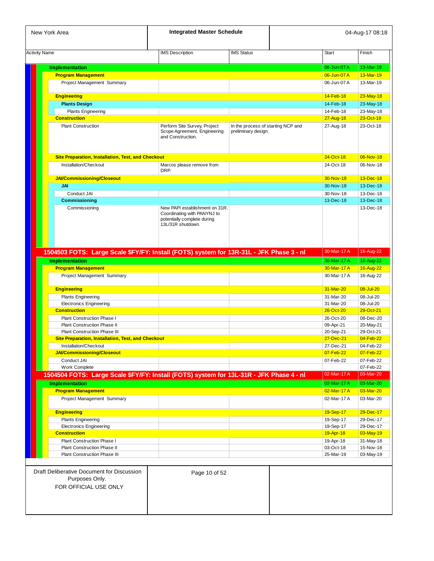| New York Area                                                                           | <b>Integrated Master Schedule</b>                                                                                 |                                                           |           |                            | 04-Aug-17 08:18                                                                                                   |
|-----------------------------------------------------------------------------------------|-------------------------------------------------------------------------------------------------------------------|-----------------------------------------------------------|-----------|----------------------------|-------------------------------------------------------------------------------------------------------------------|
| <b>Activity Name</b>                                                                    | <b>IMS Description</b>                                                                                            | <b>IMS Status</b>                                         | Start     |                            | Finish                                                                                                            |
|                                                                                         |                                                                                                                   |                                                           |           |                            |                                                                                                                   |
| <b>Implementation</b>                                                                   |                                                                                                                   |                                                           |           | 06-Jun-07 A                | 13-Mar-19<br>13-Mar-19                                                                                            |
| <b>Program Management</b><br>Project Management Summary                                 |                                                                                                                   |                                                           |           | 06-Jun-07 A<br>06-Jun-07 A | 13-Mar-19                                                                                                         |
|                                                                                         |                                                                                                                   |                                                           |           |                            |                                                                                                                   |
| <b>Engineering</b>                                                                      |                                                                                                                   |                                                           | 14-Feb-18 |                            | $23$ -May-18                                                                                                      |
| <b>Plants Design</b>                                                                    |                                                                                                                   |                                                           |           | 14-Feb-18                  | 23-May-18                                                                                                         |
| <b>Plants Engineering</b>                                                               |                                                                                                                   |                                                           | 14-Feb-18 |                            | 23-May-18                                                                                                         |
| <b>Construction</b>                                                                     |                                                                                                                   |                                                           | 27-Aug-18 |                            | 23-Oct-18                                                                                                         |
| <b>Plant Construction</b>                                                               | Perform Site Survey, Project<br>Scope Agreement, Engineering<br>and Construction.                                 | In the process of starting NCP and<br>preliminary design. | 27-Aug-18 |                            | 23-Oct-18                                                                                                         |
| <b>Site Preparation, Installation, Test, and Checkout</b>                               |                                                                                                                   |                                                           | 24-Oct-18 |                            | 06-Nov-18                                                                                                         |
| Installation/Checkout                                                                   | Marcos please remove from                                                                                         |                                                           | 24-Oct-18 |                            | 06-Nov-18                                                                                                         |
|                                                                                         | DRP.                                                                                                              |                                                           |           |                            |                                                                                                                   |
| JAI/Commissioning/Closeout                                                              |                                                                                                                   |                                                           | 30-Nov-18 |                            | 13-Dec-18                                                                                                         |
| <b>JAI</b>                                                                              |                                                                                                                   |                                                           |           | 30-Nov-18                  | 13-Dec-18                                                                                                         |
| Conduct JAI                                                                             |                                                                                                                   |                                                           | 30-Nov-18 |                            | 13-Dec-18                                                                                                         |
| <b>Commissioning</b>                                                                    |                                                                                                                   |                                                           |           | 13-Dec-18                  | 13-Dec-18                                                                                                         |
| Commissioning                                                                           | New PAPI establishment on 31R.<br>Coordinating with PANYNJ to<br>potentially complete during<br>13L/31R shutdown. |                                                           |           |                            | 13-Dec-18                                                                                                         |
| 1504503 FOTS: Large Scale \$FY/FY: Install (FOTS) system for 13R-31L - JFK Phase 3 - nl |                                                                                                                   |                                                           |           | 30-Mar-17 A                | 16-Aug-22                                                                                                         |
| <b>Implementation</b>                                                                   |                                                                                                                   |                                                           |           | 30-Mar-17 A                | 16-Aug-22                                                                                                         |
| <b>Program Management</b>                                                               |                                                                                                                   |                                                           |           | 30-Mar-17 A                | 16-Aug-22                                                                                                         |
| Project Management Summary                                                              |                                                                                                                   |                                                           |           | 30-Mar-17 A                | 16-Aug-22                                                                                                         |
| <b>Engineering</b>                                                                      |                                                                                                                   |                                                           | 31-Mar-20 |                            | 08-Jul-20                                                                                                         |
| <b>Plants Engineering</b>                                                               |                                                                                                                   |                                                           | 31-Mar-20 |                            | 08-Jul-20                                                                                                         |
| <b>Electronics Engineering</b>                                                          |                                                                                                                   |                                                           | 31-Mar-20 |                            | 08-Jul-20                                                                                                         |
| <b>Construction</b>                                                                     |                                                                                                                   |                                                           | 26-Oct-20 |                            | 29-Oct-21                                                                                                         |
| Plant Construction Phase I                                                              |                                                                                                                   |                                                           | 26-Oct-20 |                            | 08-Dec-20                                                                                                         |
| <b>Plant Construction Phase II</b>                                                      |                                                                                                                   |                                                           | 09-Apr-21 |                            | 20-May-21                                                                                                         |
| <b>Plant Construction Phase III</b>                                                     |                                                                                                                   |                                                           | 20-Sep-21 |                            | 29-Oct-21                                                                                                         |
| <b>Site Preparation, Installation, Test, and Checkout</b>                               |                                                                                                                   |                                                           |           | 27-Dec-21                  | 04-Feb-22                                                                                                         |
| Installation/Checkout                                                                   |                                                                                                                   |                                                           | 27-Dec-21 |                            | 04-Feb-22                                                                                                         |
| <b>JAI/Commissioning/Closeout</b>                                                       |                                                                                                                   |                                                           | 07-Feb-22 |                            | 07-Feb-22                                                                                                         |
| Conduct JAI                                                                             |                                                                                                                   |                                                           | 07-Feb-22 |                            | 07-Feb-22                                                                                                         |
| Work Complete                                                                           |                                                                                                                   |                                                           |           |                            | 07-Feb-22                                                                                                         |
|                                                                                         |                                                                                                                   |                                                           |           | 02-Mar-17 A                | 03-Mar-20                                                                                                         |
| 1504504 FOTS: Large Scale \$FY/FY: Install (FOTS) system for 13L-31R - JFK Phase 4 - nl |                                                                                                                   |                                                           |           | 02-Mar-17 A                | 03-Mar-20                                                                                                         |
| <b>Implementation</b>                                                                   |                                                                                                                   |                                                           |           |                            |                                                                                                                   |
| <b>Program Management</b>                                                               |                                                                                                                   |                                                           |           | 02-Mar-17 A                |                                                                                                                   |
| Project Management Summary                                                              |                                                                                                                   |                                                           |           | 02-Mar-17 A                |                                                                                                                   |
| <b>Engineering</b>                                                                      |                                                                                                                   |                                                           | 19-Sep-17 |                            |                                                                                                                   |
| <b>Plants Engineering</b>                                                               |                                                                                                                   |                                                           | 19-Sep-17 |                            |                                                                                                                   |
| <b>Electronics Engineering</b>                                                          |                                                                                                                   |                                                           | 19-Sep-17 |                            |                                                                                                                   |
| <b>Construction</b>                                                                     |                                                                                                                   |                                                           | 19-Apr-18 |                            |                                                                                                                   |
| Plant Construction Phase I                                                              |                                                                                                                   |                                                           | 19-Apr-18 |                            |                                                                                                                   |
| <b>Plant Construction Phase II</b>                                                      |                                                                                                                   |                                                           | 03-Oct-18 |                            |                                                                                                                   |
| Plant Construction Phase III                                                            |                                                                                                                   |                                                           | 25-Mar-19 |                            | 03-Mar-20<br>03-Mar-20<br>29-Dec-17<br>29-Dec-17<br>29-Dec-17<br>03-May-19<br>31-May-18<br>15-Nov-18<br>03-May-19 |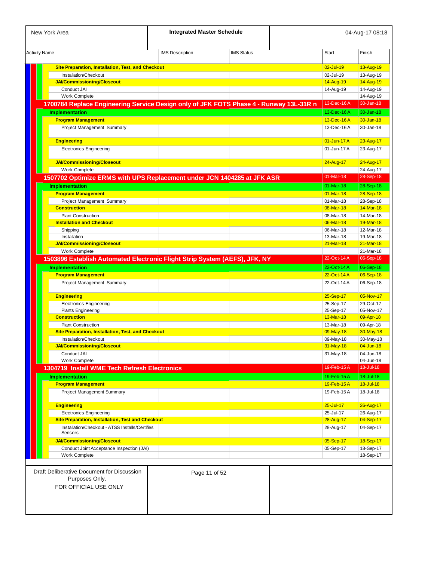| New York Area                                                                          | <b>Integrated Master Schedule</b> |                   |                        | 04-Aug-17 08:18        |
|----------------------------------------------------------------------------------------|-----------------------------------|-------------------|------------------------|------------------------|
| <b>Activity Name</b>                                                                   | <b>IMS</b> Description            | <b>IMS Status</b> | <b>Start</b>           | Finish                 |
| <b>Site Preparation, Installation, Test, and Checkout</b>                              |                                   |                   | 02-Jul-19              | 13-Aug-19              |
| Installation/Checkout                                                                  |                                   |                   | 02-Jul-19              | 13-Aug-19              |
| <b>JAI/Commissioning/Closeout</b>                                                      |                                   |                   | 14-Aug-19              | 14-Aug-19              |
| Conduct JAI                                                                            |                                   |                   | 14-Aug-19              | 14-Aug-19              |
| <b>Work Complete</b>                                                                   |                                   |                   |                        | 14-Aug-19              |
| 1700784 Replace Engineering Service Design only of JFK FOTS Phase 4 - Runway 13L-31R n |                                   |                   | 13-Dec-16A             | 30-Jan-18              |
| <b>Implementation</b>                                                                  |                                   |                   | 13-Dec-16A             | $30 - Jan-18$          |
| <b>Program Management</b>                                                              |                                   |                   | 13-Dec-16A             | 30-Jan-18              |
| Project Management Summary                                                             |                                   |                   | 13-Dec-16A             | 30-Jan-18              |
| <b>Engineering</b>                                                                     |                                   |                   | 01-Jun-17 A            | 23-Aug-17              |
| <b>Electronics Engineering</b>                                                         |                                   |                   | 01-Jun-17 A            | 23-Aug-17              |
| <b>JAI/Commissioning/Closeout</b>                                                      |                                   |                   | 24-Aug-17              | 24-Aug-17              |
| Work Complete                                                                          |                                   |                   |                        | 24-Aug-17              |
| 1507702 Optimize ERMS with UPS Replacement under JCN 1404285 at JFK ASR                |                                   |                   | 01-Mar-18              | 28-Sep-18              |
| <b>Implementation</b>                                                                  |                                   |                   | $01-Mar-18$            | 28-Sep-18              |
| <b>Program Management</b>                                                              |                                   |                   | $01-Mar-18$            | 28-Sep-18              |
| Project Management Summary                                                             |                                   |                   | 01-Mar-18              | 28-Sep-18              |
| <b>Construction</b>                                                                    |                                   |                   | 08-Mar-18              | 14-Mar-18              |
| <b>Plant Construction</b>                                                              |                                   |                   | 08-Mar-18              | 14-Mar-18              |
| <b>Installation and Checkout</b>                                                       |                                   |                   | 06-Mar-18              | 19-Mar-18              |
| Shipping                                                                               |                                   |                   | 06-Mar-18              | 12-Mar-18              |
| Installation                                                                           |                                   |                   | 13-Mar-18              | 19-Mar-18              |
| <b>JAI/Commissioning/Closeout</b>                                                      |                                   |                   | $21-Mar-18$            | 21-Mar-18              |
| Work Complete                                                                          |                                   |                   |                        | 21-Mar-18              |
| 1503896 Establish Automated Electronic Flight Strip System (AEFS), JFK, NY             |                                   |                   | 22-Oct-14 A            | 06-Sep-18              |
| <b>Implementation</b>                                                                  |                                   |                   | 22-Oct-14 A            | 06-Sep-18              |
| <b>Program Management</b>                                                              |                                   |                   | 22-Oct-14 A            | 06-Sep-18              |
| Project Management Summary                                                             |                                   |                   | 22-Oct-14 A            | 06-Sep-18              |
| <b>Engineering</b>                                                                     |                                   |                   | 25-Sep-17              | 05-Nov-17              |
| <b>Electronics Engineering</b>                                                         |                                   |                   | 25-Sep-17              | 29-Oct-17              |
| <b>Plants Engineering</b>                                                              |                                   |                   | 25-Sep-17              | 05-Nov-17              |
| <b>Construction</b>                                                                    |                                   |                   | 13-Mar-18              | 09-Apr-18              |
| <b>Plant Construction</b><br><b>Site Preparation, Installation, Test, and Checkout</b> |                                   |                   | 13-Mar-18              | 09-Apr-18<br>30-May-18 |
| Installation/Checkout                                                                  |                                   |                   | 09-May-18              |                        |
| <b>JAI/Commissioning/Closeout</b>                                                      |                                   |                   | 09-May-18<br>31-May-18 | 30-May-18<br>04-Jun-18 |
| Conduct JAI                                                                            |                                   |                   | 31-May-18              | 04-Jun-18              |
| Work Complete                                                                          |                                   |                   |                        | 04-Jun-18              |
| 1304719 Install WME Tech Refresh Electronics                                           |                                   |                   | 19-Feb-15A             | 18-Jul-18              |
|                                                                                        |                                   |                   | 19-Feb-15A             | 18-Jul-18              |
| <b>Implementation</b><br><b>Program Management</b>                                     |                                   |                   | 19-Feb-15A             | $18 -$ Jul-18          |
| <b>Project Management Summary</b>                                                      |                                   |                   | 19-Feb-15A             | 18-Jul-18              |
| <b>Engineering</b>                                                                     |                                   |                   | $25 -$ Jul-17          | 26-Aug-17              |
| <b>Electronics Engineering</b>                                                         |                                   |                   | 25-Jul-17              | 26-Aug-17              |
| <b>Site Preparation, Installation, Test and Checkout</b>                               |                                   |                   | 28-Aug-17              | 04-Sep-17              |
| Installation/Checkout - ATSS Installs/Certifies                                        |                                   |                   | 28-Aug-17              | 04-Sep-17              |
| Sensors                                                                                |                                   |                   |                        |                        |
| <b>JAI/Commissioning/Closeout</b>                                                      |                                   |                   | 05-Sep-17              | 18-Sep-17              |
| Conduct Joint Acceptance Inspection (JAI)                                              |                                   |                   | 05-Sep-17              | 18-Sep-17              |
| Work Complete                                                                          |                                   |                   |                        | 18-Sep-17              |
|                                                                                        |                                   |                   |                        |                        |
| Draft Deliberative Document for Discussion<br>Purposes Only.<br>FOR OFFICIAL USE ONLY  | Page 11 of 52                     |                   |                        |                        |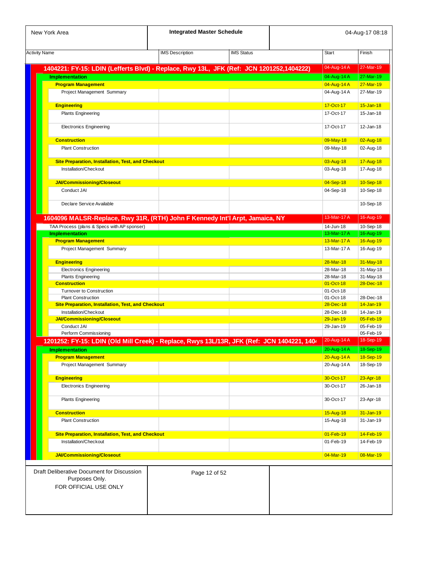| New York Area                                                                              | <b>Integrated Master Schedule</b> |                   |               | 04-Aug-17 08:18        |
|--------------------------------------------------------------------------------------------|-----------------------------------|-------------------|---------------|------------------------|
| <b>Activity Name</b>                                                                       | <b>IMS</b> Description            | <b>IMS Status</b> | <b>Start</b>  | Finish                 |
| 1404221: FY-15: LDIN (Lefferts Blvd) - Replace, Rwy 13L, JFK (Ref: JCN 1201252,1404222)    |                                   |                   | 04-Aug-14 A   | 27-Mar-19              |
| <b>Implementation</b>                                                                      |                                   |                   | 04-Aug-14 A   | 27-Mar-19              |
| <b>Program Management</b>                                                                  |                                   |                   | 04-Aug-14 A   | 27-Mar-19              |
| Project Management Summary                                                                 |                                   |                   | 04-Aug-14 A   | 27-Mar-19              |
|                                                                                            |                                   |                   |               |                        |
| <b>Engineering</b>                                                                         |                                   |                   | 17-Oct-17     | $15 - Jan-18$          |
| <b>Plants Engineering</b>                                                                  |                                   |                   | 17-Oct-17     | 15-Jan-18              |
| <b>Electronics Engineering</b>                                                             |                                   |                   | 17-Oct-17     | $12 - Jan-18$          |
| <b>Construction</b>                                                                        |                                   |                   | 09-May-18     | 02-Aug-18              |
| <b>Plant Construction</b>                                                                  |                                   |                   | 09-May-18     | 02-Aug-18              |
|                                                                                            |                                   |                   |               |                        |
| <b>Site Preparation, Installation, Test, and Checkout</b>                                  |                                   |                   | 03-Aug-18     | 17-Aug-18              |
| Installation/Checkout                                                                      |                                   |                   | 03-Aug-18     | 17-Aug-18              |
|                                                                                            |                                   |                   |               |                        |
| <b>JAI/Commissioning/Closeout</b>                                                          |                                   |                   | 04-Sep-18     | 10-Sep-18              |
| Conduct JAI                                                                                |                                   |                   | 04-Sep-18     | 10-Sep-18              |
|                                                                                            |                                   |                   |               |                        |
| Declare Service Available                                                                  |                                   |                   |               | 10-Sep-18              |
| 1604096 MALSR-Replace, Rwy 31R, (RTH) John F Kennedy Int'l Arpt, Jamaica, NY               |                                   |                   | 13-Mar-17 A   | 16-Aug-19              |
| TAA Process (plans & Specs with AP sponser)                                                |                                   |                   | 14-Jun-18     | 10-Sep-18              |
| <b>Implementation</b>                                                                      |                                   |                   | 13-Mar-17 A   | 16-Aug-19              |
| <b>Program Management</b>                                                                  |                                   |                   | 13-Mar-17 A   | 16-Aug-19              |
| Project Management Summary                                                                 |                                   |                   | 13-Mar-17 A   | 16-Aug-19              |
|                                                                                            |                                   |                   |               |                        |
| <b>Engineering</b>                                                                         |                                   |                   | 28-Mar-18     | 31-May-18              |
| <b>Electronics Engineering</b>                                                             |                                   |                   | 28-Mar-18     | 31-May-18              |
| <b>Plants Engineering</b>                                                                  |                                   |                   | 28-Mar-18     | 31-May-18              |
| <b>Construction</b>                                                                        |                                   |                   | 01-Oct-18     | 28-Dec-18              |
| <b>Turnover to Construction</b>                                                            |                                   |                   | 01-Oct-18     |                        |
| <b>Plant Construction</b>                                                                  |                                   |                   | 01-Oct-18     | 28-Dec-18              |
| <b>Site Preparation, Installation, Test, and Checkout</b>                                  |                                   |                   | 28-Dec-18     | 14-Jan-19              |
| Installation/Checkout                                                                      |                                   |                   | 28-Dec-18     | 14-Jan-19              |
| <b>JAI/Commissioning/Closeout</b>                                                          |                                   |                   | $29 - Jan-19$ | 05-Feb-19              |
| Conduct JAI                                                                                |                                   |                   | 29-Jan-19     | 05-Feb-19<br>05-Feb-19 |
| Perform Commissioning                                                                      |                                   |                   | 20-Aug-14 A   | 18-Sep-19              |
| 1201252: FY-15: LDIN (Old Mill Creek) - Replace, Rwys 13L/13R, JFK (Ref: JCN 1404221, 1404 |                                   |                   |               |                        |
| <b>Implementation</b>                                                                      |                                   |                   | 20-Aug-14 A   | 18-Sep-19              |
| <b>Program Management</b>                                                                  |                                   |                   | 20-Aug-14 A   | 18-Sep-19              |
| Project Management Summary                                                                 |                                   |                   | 20-Aug-14 A   | 18-Sep-19              |
| <b>Engineering</b>                                                                         |                                   |                   | 30-Oct-17     | 23-Apr-18              |
| <b>Electronics Engineering</b>                                                             |                                   |                   | 30-Oct-17     | 26-Jan-18              |
|                                                                                            |                                   |                   |               |                        |
| <b>Plants Engineering</b>                                                                  |                                   |                   | 30-Oct-17     | 23-Apr-18              |
|                                                                                            |                                   |                   |               |                        |
| <b>Construction</b>                                                                        |                                   |                   | 15-Aug-18     | 31-Jan-19              |
| <b>Plant Construction</b>                                                                  |                                   |                   | 15-Aug-18     | 31-Jan-19              |
| Site Preparation, Installation, Test, and Checkout                                         |                                   |                   | 01-Feb-19     | 14-Feb-19              |
| Installation/Checkout                                                                      |                                   |                   | 01-Feb-19     | 14-Feb-19              |
| <b>JAI/Commissioning/Closeout</b>                                                          |                                   |                   | 04-Mar-19     | 08-Mar-19              |
|                                                                                            |                                   |                   |               |                        |
| Draft Deliberative Document for Discussion                                                 | Page 12 of 52                     |                   |               |                        |
| Purposes Only.                                                                             |                                   |                   |               |                        |
| FOR OFFICIAL USE ONLY                                                                      |                                   |                   |               |                        |
|                                                                                            |                                   |                   |               |                        |
|                                                                                            |                                   |                   |               |                        |
|                                                                                            |                                   |                   |               |                        |
|                                                                                            |                                   |                   |               |                        |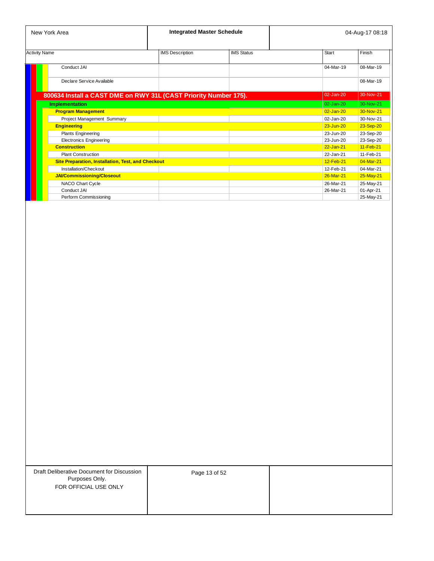| New York Area                                                    | <b>Integrated Master Schedule</b> |                   |               | 04-Aug-17 08:18 |
|------------------------------------------------------------------|-----------------------------------|-------------------|---------------|-----------------|
| <b>Activity Name</b>                                             | <b>IMS</b> Description            | <b>IMS Status</b> | <b>Start</b>  | Finish          |
| Conduct JAI                                                      |                                   |                   | 04-Mar-19     | 08-Mar-19       |
| Declare Service Available                                        |                                   |                   |               | 08-Mar-19       |
| 800634 Install a CAST DME on RWY 31L (CAST Priority Number 175). |                                   |                   | 02-Jan-20     | 30-Nov-21       |
| <b>Implementation</b>                                            |                                   |                   | $02 - Jan-20$ | 30-Nov-21       |
| <b>Program Management</b>                                        |                                   |                   | $02 - Jan-20$ | 30-Nov-21       |
| Project Management Summary                                       |                                   |                   | $02 - Jan-20$ | 30-Nov-21       |
| <b>Engineering</b>                                               |                                   |                   | 23-Jun-20     | 23-Sep-20       |
| <b>Plants Engineering</b>                                        |                                   |                   | 23-Jun-20     | 23-Sep-20       |
| <b>Electronics Engineering</b>                                   |                                   |                   | 23-Jun-20     | 23-Sep-20       |
| <b>Construction</b>                                              |                                   |                   | $22 - Jan-21$ | 11-Feb-21       |
| <b>Plant Construction</b>                                        |                                   |                   | 22-Jan-21     | 11-Feb-21       |
| <b>Site Preparation, Installation, Test, and Checkout</b>        |                                   |                   | 12-Feb-21     | 04-Mar-21       |
| Installation/Checkout                                            |                                   |                   | 12-Feb-21     | 04-Mar-21       |
| <b>JAI/Commissioning/Closeout</b>                                |                                   |                   | 26-Mar-21     | 25-May-21       |
| NACO Chart Cycle                                                 |                                   |                   | 26-Mar-21     | 25-May-21       |
| Conduct JAI                                                      |                                   |                   | 26-Mar-21     | 01-Apr-21       |
| Perform Commissioning                                            |                                   |                   |               | 25-May-21       |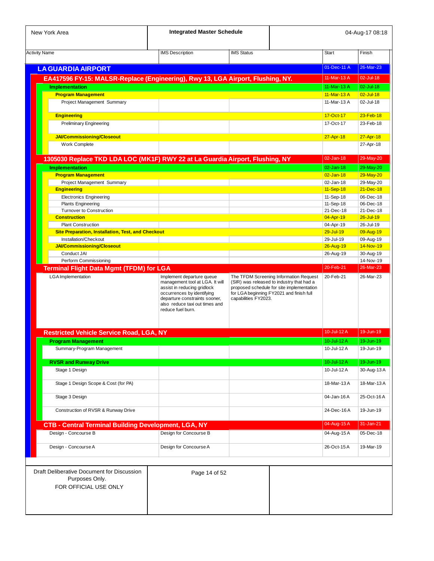| New York Area                                                                   | <b>Integrated Master Schedule</b>                                                                                                                                                    |                      |                                                                                                                                    |                            | 04-Aug-17 08:18            |
|---------------------------------------------------------------------------------|--------------------------------------------------------------------------------------------------------------------------------------------------------------------------------------|----------------------|------------------------------------------------------------------------------------------------------------------------------------|----------------------------|----------------------------|
| <b>Activity Name</b>                                                            | <b>IMS</b> Description                                                                                                                                                               | <b>IMS Status</b>    |                                                                                                                                    | <b>Start</b>               | Finish                     |
| <b>LA GUARDIA AIRPORT</b>                                                       |                                                                                                                                                                                      |                      |                                                                                                                                    | 01-Dec-11 A                | 26-Mar-23                  |
|                                                                                 |                                                                                                                                                                                      |                      |                                                                                                                                    |                            |                            |
| EA417596 FY-15: MALSR-Replace (Engineering), Rwy 13, LGA Airport, Flushing, NY. |                                                                                                                                                                                      |                      |                                                                                                                                    | 11-Mar-13 A                | 02-Jul-18                  |
| <b>Implementation</b>                                                           |                                                                                                                                                                                      |                      |                                                                                                                                    | 11-Mar-13 A                | 02-Jul-18                  |
| <b>Program Management</b><br>Project Management Summary                         |                                                                                                                                                                                      |                      |                                                                                                                                    | 11-Mar-13 A<br>11-Mar-13 A | $02 -$ Jul-18<br>02-Jul-18 |
|                                                                                 |                                                                                                                                                                                      |                      |                                                                                                                                    |                            |                            |
| <b>Engineering</b>                                                              |                                                                                                                                                                                      |                      |                                                                                                                                    | 17-Oct-17                  | 23-Feb-18                  |
| <b>Preliminary Engineering</b>                                                  |                                                                                                                                                                                      |                      |                                                                                                                                    | 17-Oct-17                  | 23-Feb-18                  |
|                                                                                 |                                                                                                                                                                                      |                      |                                                                                                                                    |                            |                            |
| <b>JAI/Commissioning/Closeout</b><br>Work Complete                              |                                                                                                                                                                                      |                      |                                                                                                                                    | 27-Apr-18                  | 27-Apr-18<br>27-Apr-18     |
|                                                                                 |                                                                                                                                                                                      |                      |                                                                                                                                    |                            |                            |
| 1305030 Replace TKD LDA LOC (MK1F) RWY 22 at La Guardia Airport, Flushing, NY   |                                                                                                                                                                                      |                      |                                                                                                                                    | 02-Jan-18                  | 29-May-20                  |
| <b>Implementation</b>                                                           |                                                                                                                                                                                      |                      |                                                                                                                                    | $02 - Jan-18$              | 29-May-20                  |
| <b>Program Management</b>                                                       |                                                                                                                                                                                      |                      |                                                                                                                                    | $02$ -Jan-18               | 29-May-20                  |
| Project Management Summary                                                      |                                                                                                                                                                                      |                      |                                                                                                                                    | 02-Jan-18                  | 29-May-20                  |
| <b>Engineering</b>                                                              |                                                                                                                                                                                      |                      |                                                                                                                                    | 11-Sep-18                  | $21 - Dec - 18$            |
| <b>Electronics Engineering</b>                                                  |                                                                                                                                                                                      |                      |                                                                                                                                    | 11-Sep-18                  | 06-Dec-18                  |
| <b>Plants Engineering</b>                                                       |                                                                                                                                                                                      |                      |                                                                                                                                    | 11-Sep-18                  | 06-Dec-18                  |
| <b>Turnover to Construction</b>                                                 |                                                                                                                                                                                      |                      |                                                                                                                                    | 21-Dec-18                  | 21-Dec-18                  |
| <b>Construction</b>                                                             |                                                                                                                                                                                      |                      |                                                                                                                                    | 04-Apr-19                  | $26 -$ Jul-19              |
| <b>Plant Construction</b>                                                       |                                                                                                                                                                                      |                      |                                                                                                                                    | 04-Apr-19                  | 26-Jul-19                  |
| <b>Site Preparation, Installation, Test, and Checkout</b>                       |                                                                                                                                                                                      |                      |                                                                                                                                    | $29 -$ Jul-19              | 09-Aug-19                  |
| Installation/Checkout                                                           |                                                                                                                                                                                      |                      |                                                                                                                                    | 29-Jul-19                  | 09-Aug-19                  |
| <b>JAI/Commissioning/Closeout</b>                                               |                                                                                                                                                                                      |                      |                                                                                                                                    | 26-Aug-19                  | 14-Nov-19                  |
| Conduct JAI                                                                     |                                                                                                                                                                                      |                      |                                                                                                                                    | 26-Aug-19                  | 30-Aug-19                  |
| Perform Commissioning                                                           |                                                                                                                                                                                      |                      |                                                                                                                                    |                            | 14-Nov-19                  |
| <b>Terminal Flight Data Mgmt (TFDM) for LGA</b>                                 |                                                                                                                                                                                      |                      |                                                                                                                                    | 20-Feb-21                  | 26-Mar-23                  |
|                                                                                 | management tool at LGA. It will<br>assist in reducing gridlock<br>occurrences by identifying<br>departure constraints sooner,<br>also reduce taxi out times and<br>reduce fuel burn. | capabilities FY2023. | (SIR) was released to industry that had a<br>proposed schedule for site implementation<br>for LGA beginning FY2021 and finish full |                            |                            |
| <b>Restricted Vehicle Service Road, LGA, NY</b>                                 |                                                                                                                                                                                      |                      |                                                                                                                                    | 10-Jul-12 A                | 19-Jun-19                  |
| <b>Program Management</b>                                                       |                                                                                                                                                                                      |                      |                                                                                                                                    | 10-Jul-12 A                | $19 - Jun-19$              |
| Summary-Program Management                                                      |                                                                                                                                                                                      |                      |                                                                                                                                    | 10-Jul-12 A                | 19-Jun-19                  |
|                                                                                 |                                                                                                                                                                                      |                      |                                                                                                                                    |                            |                            |
| <b>RVSR and Runway Drive</b>                                                    |                                                                                                                                                                                      |                      |                                                                                                                                    | 10-Jul-12 A                | 19-Jun-19                  |
| Stage 1 Design                                                                  |                                                                                                                                                                                      |                      |                                                                                                                                    | 10-Jul-12 A                | 30-Aug-13 A                |
| Stage 1 Design Scope & Cost (for PA)                                            |                                                                                                                                                                                      |                      |                                                                                                                                    | 18-Mar-13A                 | 18-Mar-13 A                |
|                                                                                 |                                                                                                                                                                                      |                      |                                                                                                                                    |                            |                            |
| Stage 3 Design                                                                  |                                                                                                                                                                                      |                      |                                                                                                                                    | 04-Jan-16A                 | 25-Oct-16 A                |
| Construction of RVSR & Runway Drive                                             |                                                                                                                                                                                      |                      |                                                                                                                                    | 24-Dec-16A                 | 19-Jun-19                  |
| <b>CTB - Central Terminal Building Development, LGA, NY</b>                     |                                                                                                                                                                                      |                      |                                                                                                                                    | 04-Aug-15A                 | 31-Jan-21                  |
| Design - Concourse B                                                            | Design for Concourse B                                                                                                                                                               |                      |                                                                                                                                    | 04-Aug-15 A                | 05-Dec-18                  |
|                                                                                 |                                                                                                                                                                                      |                      |                                                                                                                                    |                            |                            |
|                                                                                 | Design for Concourse A                                                                                                                                                               |                      |                                                                                                                                    | 26-Oct-15A                 | 19-Mar-19                  |
| Design - Concourse A                                                            |                                                                                                                                                                                      |                      |                                                                                                                                    |                            |                            |
| Draft Deliberative Document for Discussion                                      | Page 14 of 52                                                                                                                                                                        |                      |                                                                                                                                    |                            |                            |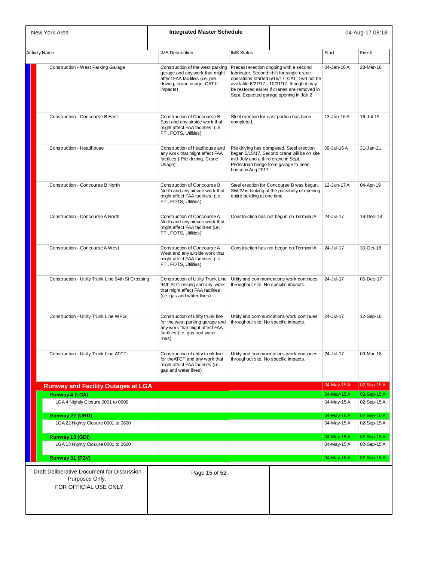| New York Area                                                                         | <b>Integrated Master Schedule</b>                                                                                                                   |                                                                                                                                                                                                                                                                                |                                           |                          | 04-Aug-17 08:18           |
|---------------------------------------------------------------------------------------|-----------------------------------------------------------------------------------------------------------------------------------------------------|--------------------------------------------------------------------------------------------------------------------------------------------------------------------------------------------------------------------------------------------------------------------------------|-------------------------------------------|--------------------------|---------------------------|
| <b>Activity Name</b>                                                                  | <b>IMS</b> Description                                                                                                                              | <b>IMS Status</b>                                                                                                                                                                                                                                                              |                                           | <b>Start</b>             | Finish                    |
| Construction - West Parking Garage                                                    | Construction of the west parking<br>garage and any work that might<br>affect FAA facilities (i.e. pile<br>driving, crane usage, CAT II<br>impacts)  | Precast erection ongoing with a second<br>fabricator. Second shift for single crane<br>operations started 5/15/17. CAT II will not be<br>available 6/27/17 - 10/31/17, though it may<br>be restored earlier if cranes are removed in<br>Sept. Expected garage opening in Jan 2 |                                           | 04-Jan-16A               | 28-Mar-18                 |
| Construction - Concourse B East                                                       | Construction of Concourse B<br>East and any airside work that<br>might affect FAA facilities (i.e.<br>FTI, FOTS, Utilities)                         | Steel erection for east portion has been<br>completed.                                                                                                                                                                                                                         |                                           | 13-Jun-16A               | 16-Jul-19                 |
| Construction - Headhouse                                                              | Construction of headhouse and<br>any work that might affect FAA<br>facilities (Pile driving, Crane<br>Usage)                                        | Pile driving has completed. Steel erection<br>began 5/15/17. Second crane will be on site<br>mid-July and a third crane in Sept.<br>Pedestrian bridge from garage to head<br>house in Aug 2017.                                                                                |                                           | 09-Jul-16 A              | 31-Jan-21                 |
| Construction - Concourse B North                                                      | Construction of Concourse B<br>North and any airside work that<br>might affect FAA facilities (i.e.<br>FTI, FOTS, Utilities)                        | Steel erection for Concourse B was begun.<br>SWJV is looking at the possibility of opening<br>entire building at one time.                                                                                                                                                     |                                           | 12-Jun-17 A              | 04-Apr-19                 |
| Construction - Concourse A North                                                      | Construction of Concourse A<br>North and any airside work that<br>might affect FAA facilities (i.e.<br>FTI, FOTS, Utilities)                        |                                                                                                                                                                                                                                                                                | Construction has not begun on Terminal A. | 24-Jul-17                | 18-Dec-18                 |
| Construction - Concourse A West                                                       | Construction of Concourse A<br>West and any airside work that<br>might affect FAA facilities (i.e.<br>FTI, FOTS, Utilities)                         |                                                                                                                                                                                                                                                                                | Construction has not begun on Terminal A. | 24-Jul-17                | 30-Oct-18                 |
| Construction - Utility Trunk Line 94th St Crossing                                    | Construction of Utility Trunk Line<br>94th St Crossing and any work<br>that might affect FAA facilities<br>(i.e. gas and water lines)               | Utility and communications work continues<br>throughout site. No specific impacts.                                                                                                                                                                                             |                                           | 24-Jul-17                | 05-Dec-17                 |
| Construction - Utility Trunk Line WPG                                                 | Construction of utility trunk line<br>for the west parking garage and<br>any work that might affect FAA<br>facilities (i.e. gas and water<br>lines) | Utility and communications work continues<br>throughout site. No specific impacts.                                                                                                                                                                                             |                                           | 24-Jul-17                | 12-Sep-18                 |
| Construction - Utility Trunk Line ATCT                                                | Construction of utility trunk line<br>for the ATCT and any work that<br>might affect FAA facilities (i.e.<br>gas and water lines)                   | throughout site. No specific impacts.                                                                                                                                                                                                                                          | Utility and communications work continues | 24-Jul-17                | 09-Mar-18                 |
| <b>Runway and Facility Outages at LGA</b>                                             |                                                                                                                                                     |                                                                                                                                                                                                                                                                                |                                           | 04-May-15A               | 02-Sep-15 A               |
| <b>Runway 4 (LGA)</b>                                                                 |                                                                                                                                                     |                                                                                                                                                                                                                                                                                |                                           | 04-May-15A               | 02-Sep-15A                |
| LGA 4 Nightly Closure 0001 to 0600                                                    |                                                                                                                                                     |                                                                                                                                                                                                                                                                                |                                           | 04-May-15A               | 02-Sep-15 A               |
| Runway 22 (URD)                                                                       |                                                                                                                                                     |                                                                                                                                                                                                                                                                                |                                           | 04-May-15A               | 02-Sep-15A                |
| LGA 22 Nightly Closure 0001 to 0600                                                   |                                                                                                                                                     |                                                                                                                                                                                                                                                                                |                                           | 04-May-15 A              | 02-Sep-15A                |
| Runway 13 (GDI)<br>LGA 13 Nightly Closure 0001 to 0600                                |                                                                                                                                                     |                                                                                                                                                                                                                                                                                |                                           | 04-May-15A<br>04-May-15A | 02-Sep-15A<br>02-Sep-15 A |
| Runway 31 (PZV)                                                                       |                                                                                                                                                     |                                                                                                                                                                                                                                                                                |                                           | 04-May-15A               | 02-Sep-15A                |
| Draft Deliberative Document for Discussion<br>Purposes Only.<br>FOR OFFICIAL USE ONLY | Page 15 of 52                                                                                                                                       |                                                                                                                                                                                                                                                                                |                                           |                          |                           |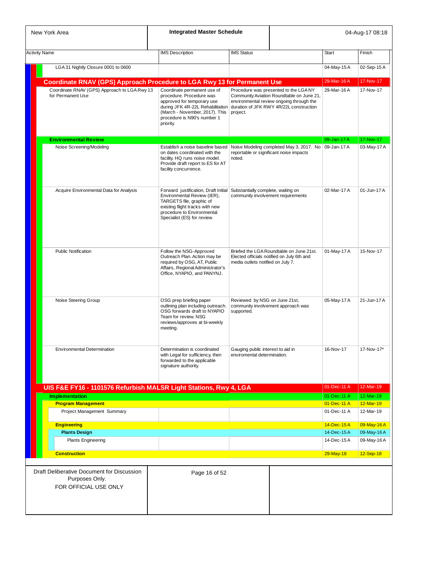| New York Area                                                                         | <b>Integrated Master Schedule</b>                                                                                                                                                                       |                                                                          |                                                                                                                                                                          |                            | 04-Aug-17 08:18        |
|---------------------------------------------------------------------------------------|---------------------------------------------------------------------------------------------------------------------------------------------------------------------------------------------------------|--------------------------------------------------------------------------|--------------------------------------------------------------------------------------------------------------------------------------------------------------------------|----------------------------|------------------------|
| <b>Activity Name</b>                                                                  | <b>IMS</b> Description                                                                                                                                                                                  | <b>IMS Status</b>                                                        |                                                                                                                                                                          | Start                      | Finish                 |
| LGA 31 Nightly Closure 0001 to 0600                                                   |                                                                                                                                                                                                         |                                                                          |                                                                                                                                                                          | 04-May-15A                 | 02-Sep-15A             |
|                                                                                       |                                                                                                                                                                                                         |                                                                          |                                                                                                                                                                          |                            |                        |
| Coordinate RNAV (GPS) Approach Procedure to LGA Rwy 13 for Permanent Use              |                                                                                                                                                                                                         |                                                                          |                                                                                                                                                                          | 29-Mar-16A                 | 17-Nov-17              |
| Coordinate RNAV (GPS) Approach to LGA Rwy 13<br>for Permanent Use                     | Coordinate permanent use of<br>procedure. Procedure was<br>approved for temporary use<br>during JFK 4R-22L Rehabilitation<br>(March - November, 2017). This<br>procedure is N90's number 1<br>priority. | project.                                                                 | Procedure was presented to the LGANY<br>Community Aviation Roundtable on June 21,<br>environmental review ongoing through the<br>duration of JFK RWY 4R/22L construction | 29-Mar-16A                 | 17-Nov-17              |
| <b>Environmental Review</b>                                                           |                                                                                                                                                                                                         |                                                                          |                                                                                                                                                                          | 09-Jan-17 A                | 17-Nov-17              |
| Noise Screening/Modeling                                                              | Establish a noise baseline based<br>on dates coordinated with the<br>facility. HQ runs noise model.<br>Provide draft report to ES for AT<br>facility concurrence.                                       | noted.                                                                   | Noise Modeling completed May 3, 2017. No   09-Jan-17 A<br>reportable or significant noise impacts                                                                        |                            | 03-May-17 A            |
| Acquire Environmental Data for Analysis                                               | Forward justification, Draft Initial<br>Environmental Review (IER),<br>TARGETS file, graphic of<br>existing flight tracks with new<br>procedure to Environmental<br>Specialist (ES) for review.         | Substantially complete, waiting on<br>community involvement requirements |                                                                                                                                                                          | 02-Mar-17A                 | 01-Jun-17 A            |
| <b>Public Notification</b>                                                            | Follow the NSG-Approved<br>Outreach Plan. Action may be<br>required by OSG, AT, Public<br>Affairs, Regional Administrator's<br>Office, NYAPIO, and PANYNJ.                                              | media outlets notified on July 7.                                        | Briefed the LGA Roundtable on June 21st.<br>Elected officials notified on July 6th and                                                                                   | 01-May-17 A                | 15-Nov-17              |
| Noise Steering Group                                                                  | OSG prep briefing paper<br>outlining plan including outreach.<br>OSG forwards draft to NYAPIO<br>Team for review. NSG<br>reviews/approves at bi-weekly<br>meeting.                                      | Reviewed by NSG on June 21st,<br>supported.                              | community involvement approach was                                                                                                                                       | 05-May-17 A                | 21-Jun-17 A            |
| <b>Environmental Determination</b>                                                    | Determination is coordinated<br>with Legal for sufficiency, then<br>forwarded to the applicable<br>signature authority.                                                                                 | Gauging public interest to aid in<br>enviromental determination.         |                                                                                                                                                                          | 16-Nov-17                  | 17-Nov-17*             |
|                                                                                       |                                                                                                                                                                                                         |                                                                          |                                                                                                                                                                          | 01-Dec-11 A                | 12-Mar-19              |
| UIS F&E FY16 - 1101576 Refurbish MALSR Light Stations, Rwy 4, LGA                     |                                                                                                                                                                                                         |                                                                          |                                                                                                                                                                          |                            |                        |
| <b>Implementation</b><br><b>Program Management</b>                                    |                                                                                                                                                                                                         |                                                                          |                                                                                                                                                                          | 01-Dec-11 A<br>01-Dec-11 A | 12-Mar-19<br>12-Mar-19 |
| Project Management Summary                                                            |                                                                                                                                                                                                         |                                                                          |                                                                                                                                                                          | 01-Dec-11 A                | 12-Mar-19              |
| <b>Engineering</b>                                                                    |                                                                                                                                                                                                         |                                                                          |                                                                                                                                                                          | 14-Dec-15A                 | 09-May-16A             |
| <b>Plants Design</b>                                                                  |                                                                                                                                                                                                         |                                                                          |                                                                                                                                                                          | 14-Dec-15A                 | 09-May-16A             |
| <b>Plants Engineering</b>                                                             |                                                                                                                                                                                                         |                                                                          |                                                                                                                                                                          | 14-Dec-15A                 | 09-May-16A             |
| <b>Construction</b>                                                                   |                                                                                                                                                                                                         |                                                                          |                                                                                                                                                                          | 29-May-18                  | 12-Sep-18              |
| Draft Deliberative Document for Discussion<br>Purposes Only.<br>FOR OFFICIAL USE ONLY | Page 16 of 52                                                                                                                                                                                           |                                                                          |                                                                                                                                                                          |                            |                        |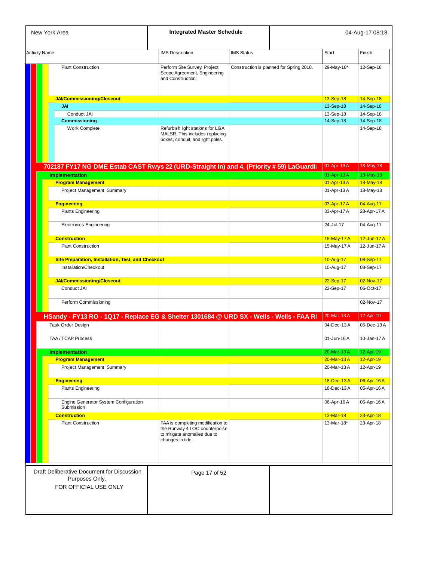| New York Area                                                                            | <b>Integrated Master Schedule</b>                                                                                      |                   |                                          |              | 04-Aug-17 08:18 |
|------------------------------------------------------------------------------------------|------------------------------------------------------------------------------------------------------------------------|-------------------|------------------------------------------|--------------|-----------------|
| <b>Activity Name</b>                                                                     | <b>IMS Description</b>                                                                                                 | <b>IMS Status</b> |                                          | <b>Start</b> | Finish          |
| <b>Plant Construction</b>                                                                | Perform Site Survey, Project<br>Scope Agreement, Engineering<br>and Construction.                                      |                   | Construction is planned for Spring 2018. | 29-May-18*   | 12-Sep-18       |
| <b>JAI/Commissioning/Closeout</b>                                                        |                                                                                                                        |                   |                                          | 13-Sep-18    | 14-Sep-18       |
| <b>JAI</b>                                                                               |                                                                                                                        |                   |                                          | 13-Sep-18    | 14-Sep-18       |
| Conduct JAI                                                                              |                                                                                                                        |                   |                                          | 13-Sep-18    | 14-Sep-18       |
| <b>Commissioning</b>                                                                     |                                                                                                                        |                   |                                          | 14-Sep-18    | 14-Sep-18       |
| Work Complete                                                                            | Refurbish light stations for LGA<br>MALSR. This includes replacing<br>boxes, conduit, and light poles.                 |                   |                                          |              | 14-Sep-18       |
| 702187 FY17 NG DME Estab CAST Rwys 22 (URD-Straight In) and 4, (Priority # 59) LaGuardia |                                                                                                                        |                   |                                          | 01-Apr-13 A  | 18-May-18       |
| <b>Implementation</b>                                                                    |                                                                                                                        |                   |                                          | 01-Apr-13 A  | 18-May-18       |
| <b>Program Management</b>                                                                |                                                                                                                        |                   |                                          | 01-Apr-13 A  | 18-May-18       |
| Project Management Summary                                                               |                                                                                                                        |                   |                                          | 01-Apr-13 A  | 18-May-18       |
| <b>Engineering</b>                                                                       |                                                                                                                        |                   |                                          | 03-Apr-17 A  | 04-Aug-17       |
| <b>Plants Engineering</b>                                                                |                                                                                                                        |                   |                                          | 03-Apr-17 A  | 28-Apr-17 A     |
| <b>Electronics Engineering</b>                                                           |                                                                                                                        |                   |                                          | 24-Jul-17    | 04-Aug-17       |
| <b>Construction</b>                                                                      |                                                                                                                        |                   |                                          | 15-May-17 A  | 12-Jun-17 A     |
| <b>Plant Construction</b>                                                                |                                                                                                                        |                   |                                          | 15-May-17 A  | 12-Jun-17 A     |
| Site Preparation, Installation, Test, and Checkout                                       |                                                                                                                        |                   |                                          | 10-Aug-17    | 08-Sep-17       |
| Installation/Checkout                                                                    |                                                                                                                        |                   |                                          | 10-Aug-17    | 08-Sep-17       |
| JAI/Commissioning/Closeout                                                               |                                                                                                                        |                   |                                          | 22-Sep-17    | 02-Nov-17       |
| Conduct JAI                                                                              |                                                                                                                        |                   |                                          | 22-Sep-17    | 06-Oct-17       |
| Perform Commissioning                                                                    |                                                                                                                        |                   |                                          |              | 02-Nov-17       |
| HSandy - FY13 RO - 1Q17 - Replace EG & Shelter 1301684 @ URD SX - Wells - Wells - FAA R  |                                                                                                                        |                   |                                          | 20-Mar-13A   | 12-Apr-19       |
| Task Order Design                                                                        |                                                                                                                        |                   |                                          | 04-Dec-13A   | 05-Dec-13A      |
| <b>TAA/TCAP Process</b>                                                                  |                                                                                                                        |                   |                                          | 01-Jun-16A   | 10-Jan-17 A     |
| <b>Implementation</b>                                                                    |                                                                                                                        |                   |                                          | 20-Mar-13A   | 12-Apr-19       |
| <b>Program Management</b>                                                                |                                                                                                                        |                   |                                          | 20-Mar-13A   | 12-Apr-19       |
| Project Management Summary                                                               |                                                                                                                        |                   |                                          | 20-Mar-13A   | 12-Apr-19       |
| <b>Engineering</b>                                                                       |                                                                                                                        |                   |                                          | 18-Dec-13A   | 06-Apr-16A      |
| <b>Plants Engineering</b>                                                                |                                                                                                                        |                   |                                          | 18-Dec-13A   | 05-Apr-16A      |
| Engine Generator System Configuration<br>Submission                                      |                                                                                                                        |                   |                                          | 06-Apr-16 A  | 06-Apr-16A      |
| <b>Construction</b>                                                                      |                                                                                                                        |                   |                                          | 13-Mar-18    | 23-Apr-18       |
| <b>Plant Construction</b>                                                                | FAA is completing modification to<br>the Runway 4 LOC counterpoise<br>to mitigate anomalies due to<br>changes in tide. |                   |                                          | 13-Mar-18*   | 23-Apr-18       |
| Draft Deliberative Document for Discussion<br>Purposes Only.<br>FOR OFFICIAL USE ONLY    | Page 17 of 52                                                                                                          |                   |                                          |              |                 |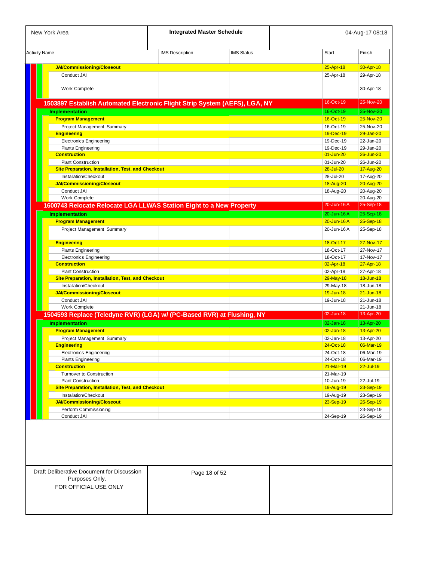| <b>Activity Name</b><br><b>JAI/Commissioning/Closeout</b><br>Conduct JAI<br>Work Complete<br>1503897 Establish Automated Electronic Flight Strip System (AEFS), LGA, NY<br><b>Implementation</b><br><b>Program Management</b><br>Project Management Summary<br><b>Engineering</b> | <b>IMS Description</b> | <b>IMS Status</b> | Start<br>25-Apr-18<br>25-Apr-18 | Finish<br>30-Apr-18 |
|-----------------------------------------------------------------------------------------------------------------------------------------------------------------------------------------------------------------------------------------------------------------------------------|------------------------|-------------------|---------------------------------|---------------------|
|                                                                                                                                                                                                                                                                                   |                        |                   |                                 |                     |
|                                                                                                                                                                                                                                                                                   |                        |                   |                                 |                     |
|                                                                                                                                                                                                                                                                                   |                        |                   |                                 | 29-Apr-18           |
|                                                                                                                                                                                                                                                                                   |                        |                   |                                 | 30-Apr-18           |
|                                                                                                                                                                                                                                                                                   |                        |                   | 16-Oct-19                       | 25-Nov-20           |
|                                                                                                                                                                                                                                                                                   |                        |                   | 16-Oct-19                       | 25-Nov-20           |
|                                                                                                                                                                                                                                                                                   |                        |                   | 16-Oct-19                       | 25-Nov-20           |
|                                                                                                                                                                                                                                                                                   |                        |                   | 16-Oct-19                       | 25-Nov-20           |
|                                                                                                                                                                                                                                                                                   |                        |                   | 19-Dec-19                       | 29-Jan-20           |
| <b>Electronics Engineering</b>                                                                                                                                                                                                                                                    |                        |                   | 19-Dec-19                       | 22-Jan-20           |
| <b>Plants Engineering</b>                                                                                                                                                                                                                                                         |                        |                   | 19-Dec-19                       | 29-Jan-20           |
| <b>Construction</b>                                                                                                                                                                                                                                                               |                        |                   | $01 - Jun-20$                   | 26-Jun-20           |
| <b>Plant Construction</b>                                                                                                                                                                                                                                                         |                        |                   | 01-Jun-20                       | 26-Jun-20           |
| <b>Site Preparation, Installation, Test, and Checkout</b>                                                                                                                                                                                                                         |                        |                   | 28-Jul-20                       | 17-Aug-20           |
| Installation/Checkout                                                                                                                                                                                                                                                             |                        |                   | 28-Jul-20                       | 17-Aug-20           |
| <b>JAI/Commissioning/Closeout</b>                                                                                                                                                                                                                                                 |                        |                   | 18-Aug-20                       | 20-Aug-20           |
| Conduct JAI                                                                                                                                                                                                                                                                       |                        |                   | 18-Aug-20                       | 20-Aug-20           |
| Work Complete                                                                                                                                                                                                                                                                     |                        |                   |                                 | 20-Aug-20           |
| 1600743 Relocate Relocate LGA LLWAS Station Eight to a New Property                                                                                                                                                                                                               |                        |                   | 20-Jun-16A                      | 25-Sep-18           |
| <b>Implementation</b>                                                                                                                                                                                                                                                             |                        |                   | 20-Jun-16 A                     | 25-Sep-18           |
| <b>Program Management</b>                                                                                                                                                                                                                                                         |                        |                   | $20 -$ Jun-16A                  | 25-Sep-18           |
| Project Management Summary                                                                                                                                                                                                                                                        |                        |                   | 20-Jun-16A                      | 25-Sep-18           |
|                                                                                                                                                                                                                                                                                   |                        |                   |                                 |                     |
| <b>Engineering</b>                                                                                                                                                                                                                                                                |                        |                   | 18-Oct-17                       | 27-Nov-17           |
| <b>Plants Engineering</b>                                                                                                                                                                                                                                                         |                        |                   | 18-Oct-17                       | 27-Nov-17           |
| <b>Electronics Engineering</b>                                                                                                                                                                                                                                                    |                        |                   | 18-Oct-17                       | 17-Nov-17           |
| <b>Construction</b>                                                                                                                                                                                                                                                               |                        |                   | 02-Apr-18                       | 27-Apr-18           |
| <b>Plant Construction</b>                                                                                                                                                                                                                                                         |                        |                   | 02-Apr-18                       | 27-Apr-18           |
| Site Preparation, Installation, Test, and Checkout                                                                                                                                                                                                                                |                        |                   | 29-May-18                       | 18-Jun-18           |
| Installation/Checkout                                                                                                                                                                                                                                                             |                        |                   | 29-May-18                       | 18-Jun-18           |
| <b>JAI/Commissioning/Closeout</b>                                                                                                                                                                                                                                                 |                        |                   | 19-Jun-18                       | $21 - Jun-18$       |
| Conduct JAI                                                                                                                                                                                                                                                                       |                        |                   | 19-Jun-18                       | 21-Jun-18           |
| <b>Work Complete</b>                                                                                                                                                                                                                                                              |                        |                   | $02$ -Jan-18                    | 21-Jun-18           |
| 1504593 Replace (Teledyne RVR) (LGA) w/ (PC-Based RVR) at Flushing, NY                                                                                                                                                                                                            |                        |                   |                                 | 13-Apr-20           |
| <b>Implementation</b>                                                                                                                                                                                                                                                             |                        |                   | $02 - Jan-18$                   | 13-Apr-20           |
| <b>Program Management</b>                                                                                                                                                                                                                                                         |                        |                   | $02$ -Jan-18                    | 13-Apr-20           |
| Project Management Summary                                                                                                                                                                                                                                                        |                        |                   | 02-Jan-18                       | 13-Apr-20           |
| <b>Engineering</b>                                                                                                                                                                                                                                                                |                        |                   | <u>24-Oct-18</u>                | 06-Mar-19           |
| <b>Electronics Engineering</b>                                                                                                                                                                                                                                                    |                        |                   | 24-Oct-18                       | 06-Mar-19           |
| <b>Plants Engineering</b>                                                                                                                                                                                                                                                         |                        |                   | 24-Oct-18                       | 06-Mar-19           |
| <b>Construction</b>                                                                                                                                                                                                                                                               |                        |                   | $21-Mar-19$                     | $22 -$ Jul-19       |
| <b>Turnover to Construction</b>                                                                                                                                                                                                                                                   |                        |                   | 21-Mar-19                       |                     |
| <b>Plant Construction</b>                                                                                                                                                                                                                                                         |                        |                   | 10-Jun-19                       | 22-Jul-19           |
| <b>Site Preparation, Installation, Test, and Checkout</b>                                                                                                                                                                                                                         |                        |                   | 19-Aug-19                       | 23-Sep-19           |
| Installation/Checkout                                                                                                                                                                                                                                                             |                        |                   | 19-Aug-19                       | 23-Sep-19           |
| <b>JAI/Commissioning/Closeout</b>                                                                                                                                                                                                                                                 |                        |                   | 23-Sep-19                       | 26-Sep-19           |
| Perform Commissioning                                                                                                                                                                                                                                                             |                        |                   |                                 | 23-Sep-19           |
| Conduct JAI                                                                                                                                                                                                                                                                       |                        |                   | 24-Sep-19                       | 26-Sep-19           |

Draft Deliberative Document for Discussion Purposes Only. FOR OFFICIAL USE ONLY

Page 18 of 52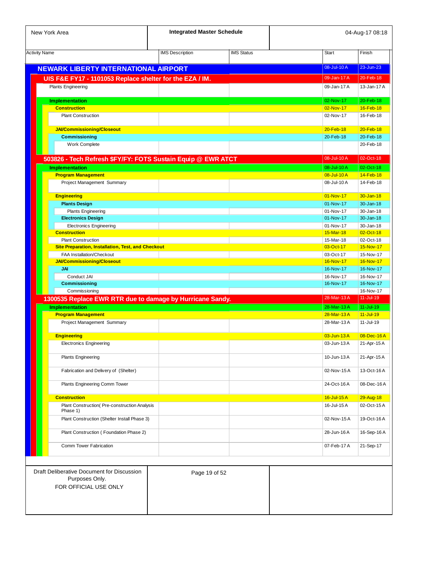| New York Area                                                                         | <b>Integrated Master Schedule</b> |                   |                        | 04-Aug-17 08:18        |
|---------------------------------------------------------------------------------------|-----------------------------------|-------------------|------------------------|------------------------|
| <b>Activity Name</b>                                                                  | <b>IMS Description</b>            | <b>IMS Status</b> | <b>Start</b>           | Finish                 |
| <b>NEWARK LIBERTY INTERNATIONAL AIRPORT</b>                                           |                                   |                   | 08-Jul-10A             | 23-Jun-23              |
| UIS F&E FY17 - 1101053 Replace shelter for the EZA / IM.                              |                                   |                   | 09-Jan-17 A            | 20-Feb-18              |
| <b>Plants Engineering</b>                                                             |                                   |                   | 09-Jan-17 A            | 13-Jan-17 A            |
| <b>Implementation</b>                                                                 |                                   |                   | 02-Nov-17              | 20-Feb-18              |
| <b>Construction</b>                                                                   |                                   |                   | 02-Nov-17              | 16-Feb-18              |
| <b>Plant Construction</b>                                                             |                                   |                   | 02-Nov-17              | 16-Feb-18              |
| <b>JAI/Commissioning/Closeout</b>                                                     |                                   |                   | 20-Feb-18              | 20-Feb-18              |
| Commissioning                                                                         |                                   |                   | 20-Feb-18              | 20-Feb-18              |
| Work Complete                                                                         |                                   |                   |                        | 20-Feb-18              |
| 503826 - Tech Refresh \$FY/FY: FOTS Sustain Equip @ EWR ATCT                          |                                   |                   | 08-Jul-10A             | 02-Oct-18              |
| <b>Implementation</b>                                                                 |                                   |                   | 08-Jul-10 A            | 02-Oct-18              |
| <b>Program Management</b>                                                             |                                   |                   | 08-Jul-10A             | 14-Feb-18              |
| Project Management Summary                                                            |                                   |                   | 08-Jul-10A             | 14-Feb-18              |
| <b>Engineering</b>                                                                    |                                   |                   | 01-Nov-17              | 30-Jan-18              |
| <b>Plants Design</b>                                                                  |                                   |                   | 01-Nov-17              | 30-Jan-18              |
| <b>Plants Engineering</b>                                                             |                                   |                   | 01-Nov-17              | 30-Jan-18              |
| <b>Electronics Design</b>                                                             |                                   |                   | 01-Nov-17              | $30 - Jan - 18$        |
| <b>Electronics Engineering</b>                                                        |                                   |                   | 01-Nov-17              | 30-Jan-18              |
| <b>Construction</b><br><b>Plant Construction</b>                                      |                                   |                   | 15-Mar-18<br>15-Mar-18 | 02-Oct-18<br>02-Oct-18 |
| <b>Site Preparation, Installation, Test, and Checkout</b>                             |                                   |                   | 03-Oct-17              | 15-Nov-17              |
| FAA Installation/Checkout                                                             |                                   |                   | 03-Oct-17              | 15-Nov-17              |
| <b>JAI/Commissioning/Closeout</b>                                                     |                                   |                   | 16-Nov-17              | 16-Nov-17              |
| <b>JAI</b>                                                                            |                                   |                   | 16-Nov-17              | 16-Nov-17              |
| Conduct JAI                                                                           |                                   |                   | 16-Nov-17              | 16-Nov-17              |
| Commissioning                                                                         |                                   |                   | 16-Nov-17              | 16-Nov-17              |
| Commissioning                                                                         |                                   |                   |                        | 16-Nov-17              |
| 1300535 Replace EWR RTR due to damage by Hurricane Sandy.                             |                                   |                   | 28-Mar-13A             | $11 -$ Jul-19          |
| <b>Implementation</b>                                                                 |                                   |                   | 28-Mar-13A             | $11 -$ Jul-19          |
| <b>Program Management</b>                                                             |                                   |                   | 28-Mar-13A             | $11 -$ Jul-19          |
| Project Management Summary                                                            |                                   |                   | 28-Mar-13A             | 11-Jul-19              |
| <b>Engineering</b>                                                                    |                                   |                   | 03-Jun-13A             | 08-Dec-16A             |
| Electronics Engineering                                                               |                                   |                   | 03-Jun-13 A            | 21-Apr-15 A            |
| <b>Plants Engineering</b>                                                             |                                   |                   | 10-Jun-13 A            | 21-Apr-15A             |
| Fabrication and Delivery of (Shelter)                                                 |                                   |                   | 02-Nov-15A             | 13-Oct-16 A            |
| Plants Engineering Comm Tower                                                         |                                   |                   | 24-Oct-16A             | 08-Dec-16A             |
| <b>Construction</b>                                                                   |                                   |                   | 16-Jul-15 A            | 29-Aug-18              |
| Plant Construction( Pre-construction Analysis                                         |                                   |                   | 16-Jul-15 A            | 02-Oct-15 A            |
| Phase 1)                                                                              |                                   |                   |                        |                        |
| Plant Construction (Shelter Install Phase 3)                                          |                                   |                   | 02-Nov-15 A            | 19-Oct-16A             |
| Plant Construction (Foundation Phase 2)                                               |                                   |                   | 28-Jun-16A             | 16-Sep-16 A            |
| Comm Tower Fabrication                                                                |                                   |                   | 07-Feb-17 A            | 21-Sep-17              |
|                                                                                       |                                   |                   |                        |                        |
| Draft Deliberative Document for Discussion<br>Purposes Only.<br>FOR OFFICIAL USE ONLY | Page 19 of 52                     |                   |                        |                        |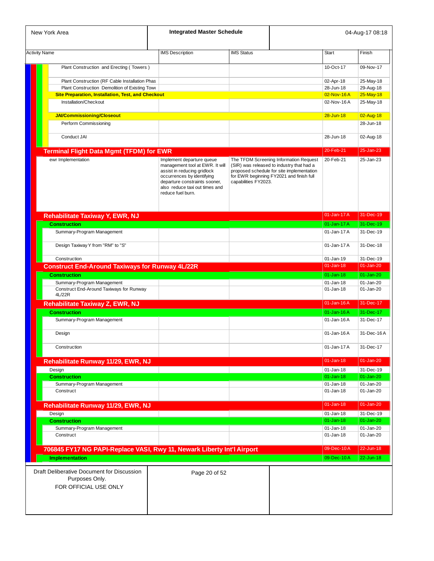| New York Area                                                                         | <b>Integrated Master Schedule</b>                                                                                                                                                    |                      |                                                                                                                                    | 04-Aug-17 08:18           |
|---------------------------------------------------------------------------------------|--------------------------------------------------------------------------------------------------------------------------------------------------------------------------------------|----------------------|------------------------------------------------------------------------------------------------------------------------------------|---------------------------|
| <b>Activity Name</b>                                                                  | <b>IMS Description</b>                                                                                                                                                               | <b>IMS Status</b>    | <b>Start</b>                                                                                                                       | Finish                    |
|                                                                                       |                                                                                                                                                                                      |                      |                                                                                                                                    |                           |
| Plant Construction and Erecting (Towers)                                              |                                                                                                                                                                                      |                      | $10-Ort-17$                                                                                                                        | 09-Nov-17                 |
| Plant Construction (RF Cable Installation Phas                                        |                                                                                                                                                                                      |                      | 02-Apr-18                                                                                                                          | 25-May-18                 |
| Plant Construction Demolition of Existing Towe                                        |                                                                                                                                                                                      |                      | 28-Jun-18                                                                                                                          | 29-Aug-18                 |
| <b>Site Preparation, Installation, Test, and Checkout</b>                             |                                                                                                                                                                                      |                      | 02-Nov-16A                                                                                                                         | $25$ -May-18              |
| Installation/Checkout                                                                 |                                                                                                                                                                                      |                      | 02-Nov-16 A                                                                                                                        | 25-May-18                 |
| <b>JAI/Commissioning/Closeout</b>                                                     |                                                                                                                                                                                      |                      | $28 - Jun-18$                                                                                                                      | 02-Aug-18                 |
| Perform Commissioning                                                                 |                                                                                                                                                                                      |                      |                                                                                                                                    | 28-Jun-18                 |
|                                                                                       |                                                                                                                                                                                      |                      |                                                                                                                                    |                           |
| Conduct JAI                                                                           |                                                                                                                                                                                      |                      | 28-Jun-18                                                                                                                          | 02-Aug-18                 |
| <b>Terminal Flight Data Mgmt (TFDM) for EWR</b>                                       |                                                                                                                                                                                      |                      | 20-Feb-21                                                                                                                          | 25-Jan-23                 |
| ewr Implementation                                                                    | Implement departure queue                                                                                                                                                            |                      | 20-Feb-21<br>The TFDM Screening Information Request                                                                                | 25-Jan-23                 |
|                                                                                       | management tool at EWR. It will<br>assist in reducing gridlock<br>occurrences by identifying<br>departure constraints sooner,<br>also reduce taxi out times and<br>reduce fuel burn. | capabilities FY2023. | (SIR) was released to industry that had a<br>proposed schedule for site implementation<br>for EWR beginning FY2021 and finish full |                           |
| Rehabilitate Taxiway Y, EWR, NJ                                                       |                                                                                                                                                                                      |                      | 01-Jan-17 A                                                                                                                        | 31-Dec-19                 |
| <b>Construction</b>                                                                   |                                                                                                                                                                                      |                      | 01-Jan-17 A                                                                                                                        | 31-Dec-19                 |
| Summary-Program Management                                                            |                                                                                                                                                                                      |                      | 01-Jan-17 A                                                                                                                        | 31-Dec-19                 |
| Design Taxiway Y from "RM" to "S"                                                     |                                                                                                                                                                                      |                      | 01-Jan-17 A                                                                                                                        | 31-Dec-18                 |
|                                                                                       |                                                                                                                                                                                      |                      |                                                                                                                                    |                           |
| Construction                                                                          |                                                                                                                                                                                      |                      | 01-Jan-19                                                                                                                          | 31-Dec-19                 |
| <b>Construct End-Around Taxiways for Runway 4L/22R</b>                                |                                                                                                                                                                                      |                      | $01$ -Jan-18                                                                                                                       | $01-Jan-20$               |
| <b>Construction</b>                                                                   |                                                                                                                                                                                      |                      | 01-Jan-18                                                                                                                          | $01 - Jan-20$             |
| Summary-Program Management<br>Construct End-Around Taxiways for Runway                |                                                                                                                                                                                      |                      | $01$ -Jan-18<br>$01 - Jan-18$                                                                                                      | $01$ -Jan-20<br>01-Jan-20 |
| 4L/22R                                                                                |                                                                                                                                                                                      |                      |                                                                                                                                    |                           |
| Rehabilitate Taxiway Z, EWR, NJ                                                       |                                                                                                                                                                                      |                      | 01-Jan-16A                                                                                                                         | 31-Dec-17                 |
| <b>Construction</b>                                                                   |                                                                                                                                                                                      |                      | $01$ -Jan-16A                                                                                                                      | 31-Dec-17                 |
| Summary-Program Management                                                            |                                                                                                                                                                                      |                      | 01-Jan-16A                                                                                                                         | 31-Dec-17                 |
| Design                                                                                |                                                                                                                                                                                      |                      | 01-Jan-16A                                                                                                                         | 31-Dec-16A                |
| Construction                                                                          |                                                                                                                                                                                      |                      | 01-Jan-17 A                                                                                                                        | 31-Dec-17                 |
|                                                                                       |                                                                                                                                                                                      |                      |                                                                                                                                    |                           |
| Rehabilitate Runway 11/29, EWR, NJ                                                    |                                                                                                                                                                                      |                      | $01 - Jan-18$                                                                                                                      | $01-Jan-20$               |
| Design                                                                                |                                                                                                                                                                                      |                      | $01$ -Jan-18                                                                                                                       | 31-Dec-19                 |
| <b>Construction</b>                                                                   |                                                                                                                                                                                      |                      | $01$ -Jan-18                                                                                                                       | $01 - Jan-20$             |
| Summary-Program Management<br>Construct                                               |                                                                                                                                                                                      |                      | 01-Jan-18<br>$01$ -Jan-18                                                                                                          | 01-Jan-20<br>01-Jan-20    |
|                                                                                       |                                                                                                                                                                                      |                      |                                                                                                                                    |                           |
| Rehabilitate Runway 11/29, EWR, NJ                                                    |                                                                                                                                                                                      |                      | $01 - Jan-18$                                                                                                                      | $01-Jan-20$               |
| Design                                                                                |                                                                                                                                                                                      |                      | $01$ -Jan-18                                                                                                                       | 31-Dec-19                 |
| <b>Construction</b>                                                                   |                                                                                                                                                                                      |                      | $01$ -Jan-18                                                                                                                       | $01$ -Jan-20              |
| Summary-Program Management<br>Construct                                               |                                                                                                                                                                                      |                      | $01$ -Jan-18<br>01-Jan-18                                                                                                          | 01-Jan-20<br>01-Jan-20    |
|                                                                                       |                                                                                                                                                                                      |                      |                                                                                                                                    |                           |
| 706845 FY17 NG PAPI-Replace VASI, Rwy 11, Newark Liberty Int'l Airport                |                                                                                                                                                                                      |                      | 09-Dec-10A                                                                                                                         | 22-Jun-18                 |
| <b>Implementation</b>                                                                 |                                                                                                                                                                                      |                      | 09-Dec-10A                                                                                                                         | 22-Jun-18                 |
| Draft Deliberative Document for Discussion<br>Purposes Only.<br>FOR OFFICIAL USE ONLY | Page 20 of 52                                                                                                                                                                        |                      |                                                                                                                                    |                           |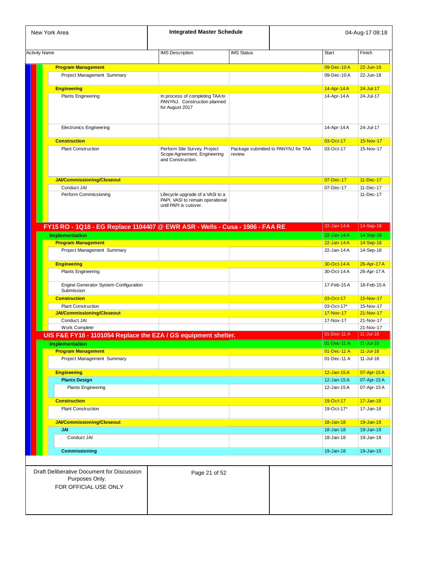| New York Area                                                                         | <b>Integrated Master Schedule</b>                                                              |                   |                                     |                          | 04-Aug-17 08:18            |
|---------------------------------------------------------------------------------------|------------------------------------------------------------------------------------------------|-------------------|-------------------------------------|--------------------------|----------------------------|
| <b>Activity Name</b>                                                                  | <b>IMS</b> Description                                                                         | <b>IMS Status</b> |                                     | <b>Start</b>             | Finish                     |
|                                                                                       |                                                                                                |                   |                                     |                          |                            |
| <b>Program Management</b><br>Project Management Summary                               |                                                                                                |                   |                                     | 09-Dec-10A<br>09-Dec-10A | $22 - Jun-18$<br>22-Jun-18 |
|                                                                                       |                                                                                                |                   |                                     |                          |                            |
| <b>Engineering</b>                                                                    |                                                                                                |                   |                                     | 14-Apr-14 A              | $24 - Jul - 17$            |
| <b>Plants Engineering</b>                                                             | In process of completing TAA to<br>PANYNJ. Construction planned<br>for August 2017             |                   |                                     | 14-Apr-14 A              | 24-Jul-17                  |
| <b>Electronics Engineering</b>                                                        |                                                                                                |                   |                                     | 14-Apr-14 A              | 24-Jul-17                  |
| <b>Construction</b>                                                                   |                                                                                                |                   |                                     | 03-Oct-17                | 15-Nov-17                  |
| <b>Plant Construction</b>                                                             | Perform Site Survey, Project<br>Scope Agreement, Engineering<br>and Construction.              | review.           | Package submitted to PANYNJ for TAA | 03-Oct-17                | 15-Nov-17                  |
| JAI/Commissioning/Closeout                                                            |                                                                                                |                   |                                     | 07-Dec-17                | 11-Dec-17                  |
| Conduct JAI                                                                           |                                                                                                |                   |                                     | 07-Dec-17                | 11-Dec-17                  |
| Perform Commissioning                                                                 | Lifecycle upgrade of a VASI to a<br>PAPI. VASI to remain operational<br>until PAPI is cutover. |                   |                                     |                          | 11-Dec-17                  |
| FY15 RO - 1Q18 - EG Replace 1104407 @ EWR ASR - Wells - Cusa - 1986 - FAA RE          |                                                                                                |                   |                                     | $22$ -Jan-14 $A$         | 14-Sep-18                  |
| <b>Implementation</b>                                                                 |                                                                                                |                   |                                     | $22$ -Jan-14 $A$         | 14-Sep-18                  |
| <b>Program Management</b>                                                             |                                                                                                |                   |                                     | $22$ -Jan-14 $A$         | 14-Sep-18                  |
| Project Management Summary                                                            |                                                                                                |                   |                                     | 22-Jan-14 A              | 14-Sep-18                  |
| <b>Engineering</b>                                                                    |                                                                                                |                   |                                     | 30-Oct-14A               | 26-Apr-17 A                |
| <b>Plants Engineering</b>                                                             |                                                                                                |                   |                                     | 30-Oct-14 A              | 26-Apr-17 A                |
| Engine Generator System Configuration<br>Submission                                   |                                                                                                |                   |                                     | 17-Feb-15A               | 18-Feb-15A                 |
| <b>Construction</b>                                                                   |                                                                                                |                   |                                     | 03-Oct-17                | 15-Nov-17                  |
| <b>Plant Construction</b>                                                             |                                                                                                |                   |                                     | 03-Oct-17*               | 15-Nov-17                  |
| JAI/Commissioning/Closeout                                                            |                                                                                                |                   |                                     | 17-Nov-17                | 21-Nov-17                  |
| Conduct JAI<br>Work Complete                                                          |                                                                                                |                   |                                     | 17-Nov-17                | 21-Nov-17<br>21-Nov-17     |
| UIS F&E FY18 - 1101054 Replace the EZA / GS equipment shelter.                        |                                                                                                |                   |                                     | 01-Dec-11 A              | $11 -$ Jul-18              |
| <b>Implementation</b>                                                                 |                                                                                                |                   |                                     | 01-Dec-11 A   11-Jul-18  |                            |
| <b>Program Management</b>                                                             |                                                                                                |                   |                                     | 01-Dec-11 A              | $11 -$ Jul-18              |
| Project Management Summary                                                            |                                                                                                |                   |                                     | 01-Dec-11 A              | $11 -$ Jul-18              |
| <b>Engineering</b>                                                                    |                                                                                                |                   |                                     | $12$ -Jan-15 $A$         | 07-Apr-15 A                |
| <b>Plants Design</b>                                                                  |                                                                                                |                   |                                     | 12-Jan-15A               | 07-Apr-15 A                |
| <b>Plants Engineering</b>                                                             |                                                                                                |                   |                                     | 12-Jan-15 A              | 07-Apr-15A                 |
| <b>Construction</b>                                                                   |                                                                                                |                   |                                     | 19-Oct-17                | $17 - Jan-18$              |
| <b>Plant Construction</b>                                                             |                                                                                                |                   |                                     | 19-Oct-17*               | 17-Jan-18                  |
| JAI/Commissioning/Closeout                                                            |                                                                                                |                   |                                     | 18-Jan-18                | 19-Jan-18                  |
| <b>JAI</b>                                                                            |                                                                                                |                   |                                     | 18-Jan-18                | 19-Jan-18                  |
| Conduct JAI                                                                           |                                                                                                |                   |                                     | 18-Jan-18                | 19-Jan-18                  |
| <b>Commissioning</b>                                                                  |                                                                                                |                   |                                     | 19-Jan-18                | 19-Jan-18                  |
|                                                                                       |                                                                                                |                   |                                     |                          |                            |
| Draft Deliberative Document for Discussion<br>Purposes Only.<br>FOR OFFICIAL USE ONLY | Page 21 of 52                                                                                  |                   |                                     |                          |                            |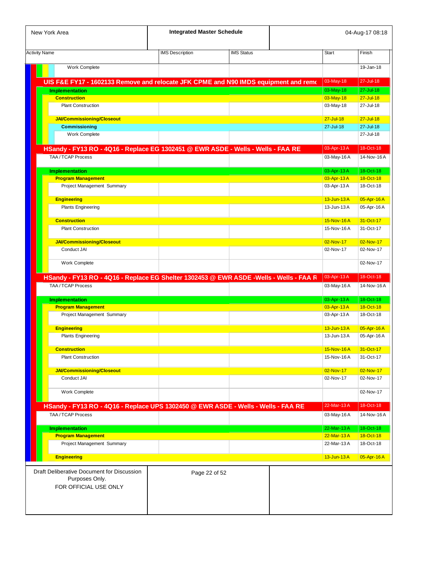| New York Area                                                                          | <b>Integrated Master Schedule</b> |                   |              |               | 04-Aug-17 08:18 |
|----------------------------------------------------------------------------------------|-----------------------------------|-------------------|--------------|---------------|-----------------|
| <b>Activity Name</b>                                                                   | <b>IMS</b> Description            | <b>IMS Status</b> | <b>Start</b> |               | Finish          |
| Work Complete                                                                          |                                   |                   |              |               | 19-Jan-18       |
| UIS F&E FY17 - 1602133 Remove and relocate JFK CPME and N90 IMDS equipment and remo    |                                   |                   |              | 03-May-18     | 27-Jul-18       |
| <b>Implementation</b>                                                                  |                                   |                   |              | 03-May-18     | 27-Jul-18       |
| <b>Construction</b>                                                                    |                                   |                   |              | 03-May-18     | $27 -$ Jul-18   |
| <b>Plant Construction</b>                                                              |                                   |                   |              | 03-May-18     | 27-Jul-18       |
| JAI/Commissioning/Closeout                                                             |                                   |                   |              | $27 -$ Jul-18 | $27 -$ Jul-18   |
| <b>Commissioning</b>                                                                   |                                   |                   |              | 27-Jul-18     | 27-Jul-18       |
| Work Complete                                                                          |                                   |                   |              |               | 27-Jul-18       |
| HSandy - FY13 RO - 4Q16 - Replace EG 1302451 @ EWR ASDE - Wells - Wells - FAA RE       |                                   |                   |              | 03-Apr-13 A   | 18-Oct-18       |
| TAA / TCAP Process                                                                     |                                   |                   |              | 03-May-16A    | 14-Nov-16A      |
| <b>Implementation</b>                                                                  |                                   |                   |              | 03-Apr-13 A   | 18-Oct-18       |
| <b>Program Management</b>                                                              |                                   |                   |              | 03-Apr-13 A   | 18-Oct-18       |
| Project Management Summary                                                             |                                   |                   |              | 03-Apr-13 A   | 18-Oct-18       |
| <b>Engineering</b>                                                                     |                                   |                   |              | 13-Jun-13 A   | 05-Apr-16A      |
| <b>Plants Engineering</b>                                                              |                                   |                   |              | 13-Jun-13 A   | 05-Apr-16 A     |
| <b>Construction</b>                                                                    |                                   |                   |              | 15-Nov-16A    | 31-Oct-17       |
| <b>Plant Construction</b>                                                              |                                   |                   |              | 15-Nov-16A    | 31-Oct-17       |
| <b>JAI/Commissioning/Closeout</b>                                                      |                                   |                   |              | 02-Nov-17     | 02-Nov-17       |
| Conduct JAI                                                                            |                                   |                   |              | 02-Nov-17     | 02-Nov-17       |
| Work Complete                                                                          |                                   |                   |              |               | 02-Nov-17       |
|                                                                                        |                                   |                   |              |               |                 |
| HSandy - FY13 RO - 4Q16 - Replace EG Shelter 1302453 @ EWR ASDE -Wells - Wells - FAA F |                                   |                   |              | 03-Apr-13 A   | 18-Oct-18       |
| TAA / TCAP Process                                                                     |                                   |                   |              | 03-May-16A    | 14-Nov-16A      |
| <b>Implementation</b>                                                                  |                                   |                   |              | 03-Apr-13 A   | 18-Oct-18       |
| <b>Program Management</b>                                                              |                                   |                   |              | 03-Apr-13 A   | 18-Oct-18       |
| Project Management Summary                                                             |                                   |                   |              | 03-Apr-13 A   | 18-Oct-18       |
| <b>Engineering</b>                                                                     |                                   |                   |              | 13-Jun-13 A   | 05-Apr-16 A     |
| <b>Plants Engineering</b>                                                              |                                   |                   |              | 13-Jun-13 A   | 05-Apr-16 A     |
| <b>Construction</b>                                                                    |                                   |                   |              | 15-Nov-16A    | 31-Oct-17       |
| <b>Plant Construction</b>                                                              |                                   |                   |              | 15-Nov-16A    | 31-Oct-17       |
| JAI/Commissioning/Closeout                                                             |                                   |                   |              | 02-Nov-17     | 02-Nov-17       |
| Conduct JAI                                                                            |                                   |                   |              | 02-Nov-17     | 02-Nov-17       |
|                                                                                        |                                   |                   |              |               |                 |
| <b>Work Complete</b>                                                                   |                                   |                   |              |               | 02-Nov-17       |
| HSandy - FY13 RO - 4Q16 - Replace UPS 1302450 @ EWR ASDE - Wells - Wells - FAA RE      |                                   |                   |              | 22-Mar-13A    | 18-Oct-18       |
| TAA / TCAP Process                                                                     |                                   |                   |              | 03-May-16A    | 14-Nov-16A      |
| <b>Implementation</b>                                                                  |                                   |                   |              | 22-Mar-13A    | 18-Oct-18       |
| <b>Program Management</b>                                                              |                                   |                   |              | 22-Mar-13A    | 18-Oct-18       |
| Project Management Summary                                                             |                                   |                   |              | 22-Mar-13A    | 18-Oct-18       |
| <b>Engineering</b>                                                                     |                                   |                   |              | 13-Jun-13 A   | 05-Apr-16A      |
| Draft Deliberative Document for Discussion<br>Purposes Only.<br>FOR OFFICIAL USE ONLY  | Page 22 of 52                     |                   |              |               |                 |
|                                                                                        |                                   |                   |              |               |                 |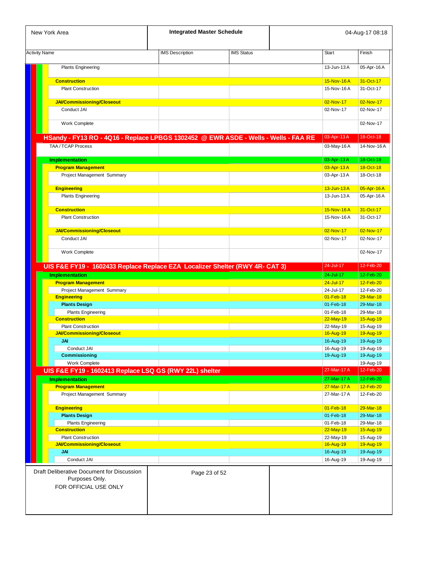| New York Area                                                                         | <b>Integrated Master Schedule</b> |                   |                        | 04-Aug-17 08:18        |
|---------------------------------------------------------------------------------------|-----------------------------------|-------------------|------------------------|------------------------|
| <b>Activity Name</b>                                                                  | <b>IMS</b> Description            | <b>IMS Status</b> | <b>Start</b>           | Finish                 |
| <b>Plants Engineering</b>                                                             |                                   |                   | 13-Jun-13 A            | 05-Apr-16 A            |
| <b>Construction</b>                                                                   |                                   |                   | 15-Nov-16A             | 31-Oct-17              |
| <b>Plant Construction</b>                                                             |                                   |                   | 15-Nov-16A             | 31-Oct-17              |
| JAI/Commissioning/Closeout                                                            |                                   |                   | 02-Nov-17              | 02-Nov-17              |
| Conduct JAI                                                                           |                                   |                   | 02-Nov-17              | 02-Nov-17              |
|                                                                                       |                                   |                   |                        |                        |
| Work Complete                                                                         |                                   |                   |                        | 02-Nov-17              |
| HSandy - FY13 RO - 4Q16 - Replace LPBGS 1302452 @ EWR ASDE - Wells - Wells - FAA RE   |                                   |                   | 03-Apr-13 A            | 18-Oct-18              |
| TAA / TCAP Process                                                                    |                                   |                   | 03-May-16A             | 14-Nov-16A             |
| <b>Implementation</b>                                                                 |                                   |                   | 03-Apr-13 A            | 18-Oct-18              |
| <b>Program Management</b>                                                             |                                   |                   | 03-Apr-13 A            | 18-Oct-18              |
| Project Management Summary                                                            |                                   |                   | 03-Apr-13 A            | 18-Oct-18              |
| Engineering                                                                           |                                   |                   | 13-Jun-13 A            | 05-Apr-16 A            |
| <b>Plants Engineering</b>                                                             |                                   |                   | 13-Jun-13 A            | 05-Apr-16A             |
| <b>Construction</b>                                                                   |                                   |                   | 15-Nov-16A             | 31-Oct-17              |
| <b>Plant Construction</b>                                                             |                                   |                   | 15-Nov-16A             | 31-Oct-17              |
| JAI/Commissioning/Closeout                                                            |                                   |                   | 02-Nov-17              | 02-Nov-17              |
| Conduct JAI                                                                           |                                   |                   | 02-Nov-17              | 02-Nov-17              |
|                                                                                       |                                   |                   |                        |                        |
| Work Complete                                                                         |                                   |                   |                        | 02-Nov-17              |
| UIS F&E FY19 - 1602433 Replace Replace EZA Localizer Shelter (RWY 4R- CAT 3)          |                                   |                   | 24-Jul-17              | 12-Feb-20              |
| <b>Implementation</b>                                                                 |                                   |                   | 24-Jul-17              | 12-Feb-20              |
| <b>Program Management</b><br>Project Management Summary                               |                                   |                   | 24-Jul-17<br>24-Jul-17 | 12-Feb-20<br>12-Feb-20 |
| <b>Engineering</b>                                                                    |                                   |                   | 01-Feb-18              | 29-Mar-18              |
| <b>Plants Design</b>                                                                  |                                   |                   | 01-Feb-18              | 29-Mar-18              |
| <b>Plants Engineering</b>                                                             |                                   |                   | 01-Feb-18              | 29-Mar-18              |
| <b>Construction</b>                                                                   |                                   |                   | 22-May-19              | 15-Aug-19              |
| <b>Plant Construction</b><br><b>JAI/Commissioning/Closeout</b>                        |                                   |                   | 22-May-19<br>16-Aug-19 | 15-Aug-19<br>19-Aug-19 |
| JAI                                                                                   |                                   |                   | 16-Aug-19              | 19-Aug-19              |
| Conduct JAI                                                                           |                                   |                   | 16-Aug-19              | 19-Aug-19              |
| Commissioning                                                                         |                                   |                   | 19-Aug-19              | 19-Aug-19              |
| Work Complete                                                                         |                                   |                   |                        | 19-Aug-19              |
| UIS F&E FY19 - 1602413 Replace LSQ GS (RWY 22L) shelter                               |                                   |                   | 27-Mar-17 A            | 12-Feb-20              |
| <b>Implementation</b>                                                                 |                                   |                   | 27-Mar-17 A            | 12-Feb-20              |
| <b>Program Management</b>                                                             |                                   |                   | 27-Mar-17 A            | 12-Feb-20              |
| Project Management Summary                                                            |                                   |                   | 27-Mar-17 A            | 12-Feb-20              |
| <b>Engineering</b>                                                                    |                                   |                   | $01 - Feb - 18$        | 29-Mar-18              |
| <b>Plants Design</b>                                                                  |                                   |                   | 01-Feb-18              | 29-Mar-18              |
| <b>Plants Engineering</b>                                                             |                                   |                   | 01-Feb-18              | 29-Mar-18              |
| <b>Construction</b>                                                                   |                                   |                   | 22-May-19              | 15-Aug-19              |
| <b>Plant Construction</b>                                                             |                                   |                   | 22-May-19              | 15-Aug-19              |
| JAI/Commissioning/Closeout                                                            |                                   |                   | 16-Aug-19              | 19-Aug-19              |
| <b>JAI</b><br>Conduct JAI                                                             |                                   |                   | 16-Aug-19<br>16-Aug-19 | 19-Aug-19<br>19-Aug-19 |
|                                                                                       |                                   |                   |                        |                        |
| Draft Deliberative Document for Discussion<br>Purposes Only.<br>FOR OFFICIAL USE ONLY | Page 23 of 52                     |                   |                        |                        |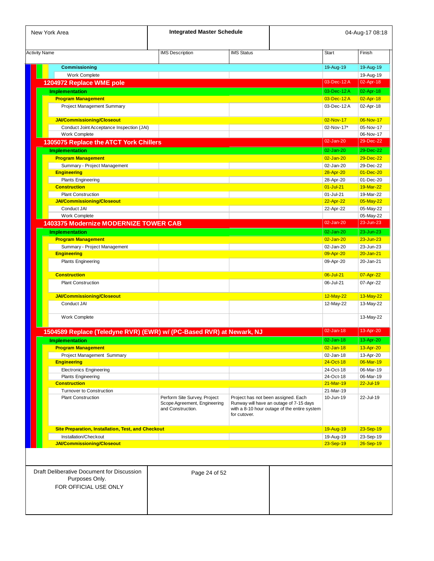| New York Area                                                                         | <b>Integrated Master Schedule</b>                                                 |                                                                                                |                                              |               | 04-Aug-17 08:18 |
|---------------------------------------------------------------------------------------|-----------------------------------------------------------------------------------|------------------------------------------------------------------------------------------------|----------------------------------------------|---------------|-----------------|
| <b>Activity Name</b>                                                                  | <b>IMS Description</b>                                                            | <b>IMS Status</b>                                                                              |                                              | <b>Start</b>  | Finish          |
|                                                                                       |                                                                                   |                                                                                                |                                              |               |                 |
| <b>Commissioning</b>                                                                  |                                                                                   |                                                                                                |                                              | 19-Aug-19     | 19-Aug-19       |
| Work Complete                                                                         |                                                                                   |                                                                                                |                                              |               | 19-Aug-19       |
| 1204972 Replace WME pole                                                              |                                                                                   |                                                                                                |                                              | 03-Dec-12A    | 02-Apr-18       |
| <b>Implementation</b>                                                                 |                                                                                   |                                                                                                |                                              | 03-Dec-12A    | 02-Apr-18       |
| <b>Program Management</b>                                                             |                                                                                   |                                                                                                |                                              | 03-Dec-12A    | 02-Apr-18       |
| Project Management Summary                                                            |                                                                                   |                                                                                                |                                              | 03-Dec-12A    | 02-Apr-18       |
| <b>JAI/Commissioning/Closeout</b>                                                     |                                                                                   |                                                                                                |                                              | 02-Nov-17     | 06-Nov-17       |
| Conduct Joint Acceptance Inspection (JAI)                                             |                                                                                   |                                                                                                |                                              | 02-Nov-17*    | 05-Nov-17       |
| Work Complete                                                                         |                                                                                   |                                                                                                |                                              |               | 06-Nov-17       |
| 1305075 Replace the ATCT York Chillers                                                |                                                                                   |                                                                                                |                                              | 02-Jan-20     | 29-Dec-22       |
| <b>Implementation</b>                                                                 |                                                                                   |                                                                                                |                                              | $02 - Jan-20$ | 29-Dec-22       |
| <b>Program Management</b>                                                             |                                                                                   |                                                                                                |                                              | $02$ -Jan-20  | 29-Dec-22       |
| Summary - Project Management                                                          |                                                                                   |                                                                                                |                                              | 02-Jan-20     | 29-Dec-22       |
| <b>Engineering</b>                                                                    |                                                                                   |                                                                                                |                                              | 28-Apr-20     | 01-Dec-20       |
| <b>Plants Engineering</b>                                                             |                                                                                   |                                                                                                |                                              | 28-Apr-20     | 01-Dec-20       |
| <b>Construction</b>                                                                   |                                                                                   |                                                                                                |                                              | $01$ -Jul-21  | 19-Mar-22       |
| <b>Plant Construction</b>                                                             |                                                                                   |                                                                                                |                                              | 01-Jul-21     | 19-Mar-22       |
| <b>JAI/Commissioning/Closeout</b>                                                     |                                                                                   |                                                                                                |                                              | 22-Apr-22     | 05-May-22       |
| Conduct JAI                                                                           |                                                                                   |                                                                                                |                                              | 22-Apr-22     | 05-May-22       |
| Work Complete                                                                         |                                                                                   |                                                                                                |                                              |               | 05-May-22       |
| 1403375 Modernize MODERNIZE TOWER CAB                                                 |                                                                                   |                                                                                                |                                              | 02-Jan-20     | 23-Jun-23       |
| <b>Implementation</b>                                                                 |                                                                                   |                                                                                                |                                              | 02-Jan-20     | 23-Jun-23       |
| <b>Program Management</b>                                                             |                                                                                   |                                                                                                |                                              | $02$ -Jan-20  | $23 - Jun-23$   |
| Summary - Project Management                                                          |                                                                                   |                                                                                                |                                              | 02-Jan-20     | 23-Jun-23       |
| <b>Engineering</b>                                                                    |                                                                                   |                                                                                                |                                              | 09-Apr-20     | $20 - Jan-21$   |
| <b>Plants Engineering</b>                                                             |                                                                                   |                                                                                                |                                              | 09-Apr-20     | 20-Jan-21       |
|                                                                                       |                                                                                   |                                                                                                |                                              |               |                 |
| <b>Construction</b>                                                                   |                                                                                   |                                                                                                |                                              | 06-Jul-21     | 07-Apr-22       |
| <b>Plant Construction</b>                                                             |                                                                                   |                                                                                                |                                              | 06-Jul-21     | 07-Apr-22       |
| <b>JAI/Commissioning/Closeout</b>                                                     |                                                                                   |                                                                                                |                                              | 12-May-22     | 13-May-22       |
| Conduct JAI                                                                           |                                                                                   |                                                                                                |                                              | 12-May-22     | 13-May-22       |
| Work Complete                                                                         |                                                                                   |                                                                                                |                                              |               | 13-May-22       |
| 1504589 Replace (Teledyne RVR) (EWR) w/ (PC-Based RVR) at Newark, NJ                  |                                                                                   |                                                                                                |                                              | 02-Jan-18     | 13-Apr-20       |
| <b>Implementation</b>                                                                 |                                                                                   |                                                                                                |                                              | $02$ -Jan-18  | 13-Apr-20       |
| <b>Program Management</b>                                                             |                                                                                   |                                                                                                |                                              | $02 - Jan-18$ | 13-Apr-20       |
| Project Management Summary                                                            |                                                                                   |                                                                                                |                                              | 02-Jan-18     | 13-Apr-20       |
| Engineering                                                                           |                                                                                   |                                                                                                |                                              | 24-Oct-18     | 06-Mar-19       |
| <b>Electronics Engineering</b>                                                        |                                                                                   |                                                                                                |                                              | 24-Oct-18     | 06-Mar-19       |
| <b>Plants Engineering</b>                                                             |                                                                                   |                                                                                                |                                              | 24-Oct-18     | 06-Mar-19       |
| <b>Construction</b>                                                                   |                                                                                   |                                                                                                |                                              | 21-Mar-19     | $22 -$ Jul-19   |
| <b>Turnover to Construction</b>                                                       |                                                                                   |                                                                                                |                                              | 21-Mar-19     |                 |
| <b>Plant Construction</b>                                                             | Perform Site Survey, Project<br>Scope Agreement, Engineering<br>and Construction. | Project has not been assigned. Each<br>Runway will have an outage of 7-15 days<br>for cutover. | with a 8-10 hour outage of the entire system | 10-Jun-19     | 22-Jul-19       |
| <b>Site Preparation, Installation, Test, and Checkout</b>                             |                                                                                   |                                                                                                |                                              | 19-Aug-19     | 23-Sep-19       |
| Installation/Checkout                                                                 |                                                                                   |                                                                                                |                                              | 19-Aug-19     | 23-Sep-19       |
| <b>JAI/Commissioning/Closeout</b>                                                     |                                                                                   |                                                                                                |                                              | 23-Sep-19     | 26-Sep-19       |
|                                                                                       |                                                                                   |                                                                                                |                                              |               |                 |
| Draft Deliberative Document for Discussion<br>Purposes Only.<br>FOR OFFICIAL USE ONLY | Page 24 of 52                                                                     |                                                                                                |                                              |               |                 |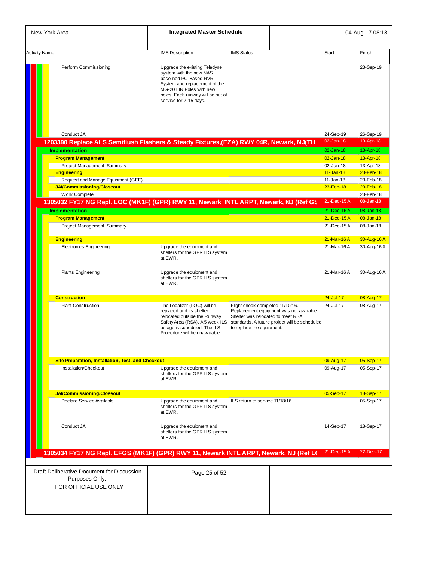| New York Area                                                                         | <b>Integrated Master Schedule</b>                                                                                                                                                                              |                                                                                                    |                                                                                           |                            | 04-Aug-17 08:18           |
|---------------------------------------------------------------------------------------|----------------------------------------------------------------------------------------------------------------------------------------------------------------------------------------------------------------|----------------------------------------------------------------------------------------------------|-------------------------------------------------------------------------------------------|----------------------------|---------------------------|
| <b>Activity Name</b>                                                                  | <b>IMS</b> Description                                                                                                                                                                                         | <b>IMS Status</b>                                                                                  |                                                                                           | <b>Start</b>               | Finish                    |
| Perform Commissioning                                                                 | Upgrade the existing Teledyne<br>system with the new NAS<br>baselined PC-Based RVR<br>System and replacement of the<br>MG-20 LIR Poles with new<br>poles. Each runway will be out of<br>service for 7-15 days. |                                                                                                    |                                                                                           |                            | 23-Sep-19                 |
|                                                                                       |                                                                                                                                                                                                                |                                                                                                    |                                                                                           |                            |                           |
| Conduct JAI                                                                           |                                                                                                                                                                                                                |                                                                                                    |                                                                                           | 24-Sep-19                  | 26-Sep-19                 |
| 1203390 Replace ALS Semiflush Flashers & Steady Fixtures,(EZA) RWY 04R, Newark, NJ(TH |                                                                                                                                                                                                                |                                                                                                    |                                                                                           | $02$ -Jan-18               | 13-Apr-18                 |
| <b>Implementation</b>                                                                 |                                                                                                                                                                                                                |                                                                                                    |                                                                                           | $02 - Jan-18$              | 13-Apr-18                 |
| <b>Program Management</b>                                                             |                                                                                                                                                                                                                |                                                                                                    |                                                                                           | $02$ -Jan-18               | 13-Apr-18                 |
| Project Management Summary                                                            |                                                                                                                                                                                                                |                                                                                                    |                                                                                           | 02-Jan-18                  | 13-Apr-18                 |
| <b>Engineering</b>                                                                    |                                                                                                                                                                                                                |                                                                                                    |                                                                                           | $11 - Jan-18$              | $23$ -Feb-18              |
| Request and Manage Equipment (GFE)<br><b>JAI/Commissioning/Closeout</b>               |                                                                                                                                                                                                                |                                                                                                    |                                                                                           | $11 - Jan-18$<br>23-Feb-18 | 23-Feb-18<br>$23$ -Feb-18 |
| Work Complete                                                                         |                                                                                                                                                                                                                |                                                                                                    |                                                                                           |                            | 23-Feb-18                 |
| 1305032 FY17 NG Repl. LOC (MK1F) (GPR) RWY 11, Newark INTL ARPT, Newark, NJ (Ref GS   |                                                                                                                                                                                                                |                                                                                                    |                                                                                           | $21$ -Dec-15A              | 08-Jan-18                 |
| <b>Implementation</b>                                                                 |                                                                                                                                                                                                                |                                                                                                    |                                                                                           | 21-Dec-15A                 | 08-Jan-18                 |
| <b>Program Management</b>                                                             |                                                                                                                                                                                                                |                                                                                                    |                                                                                           | $21 - Dec - 15A$           | $08 - Jan-18$             |
| Project Management Summary                                                            |                                                                                                                                                                                                                |                                                                                                    |                                                                                           | 21-Dec-15A                 | 08-Jan-18                 |
|                                                                                       |                                                                                                                                                                                                                |                                                                                                    |                                                                                           |                            |                           |
| <b>Engineering</b>                                                                    |                                                                                                                                                                                                                |                                                                                                    |                                                                                           | 21-Mar-16A                 | 30-Aug-16 A               |
| <b>Electronics Engineering</b>                                                        | Upgrade the equipment and<br>shelters for the GPR ILS system<br>at EWR.                                                                                                                                        |                                                                                                    |                                                                                           | 21-Mar-16A                 | 30-Aug-16 A               |
| <b>Plants Engineering</b>                                                             | Upgrade the equipment and<br>shelters for the GPR ILS system<br>at EWR.                                                                                                                                        |                                                                                                    |                                                                                           | 21-Mar-16A                 | 30-Aug-16 A               |
| <b>Construction</b>                                                                   |                                                                                                                                                                                                                |                                                                                                    |                                                                                           | $24 - July - 17$           | 08-Aug-17                 |
| <b>Plant Construction</b>                                                             | The Localizer (LOC) will be<br>replaced and its shelter<br>relocated outside the Runway<br>Safety Area (RSA). A 5 week ILS<br>outage is scheduled. The ILS<br>Procedure will be unavailable.                   | Flight check completed 11/10/16.<br>Shelter was relocated to meet RSA<br>to replace the equipment. | Replacement equipment was not available.<br>standards. A future project will be scheduled | 24-Jul-17                  | 08-Aug-17                 |
| <b>Site Preparation, Installation, Test, and Checkout</b>                             |                                                                                                                                                                                                                |                                                                                                    |                                                                                           | 09-Aug-17                  | 05-Sep-17                 |
| Installation/Checkout                                                                 | Upgrade the equipment and<br>shelters for the GPR ILS system<br>at EWR.                                                                                                                                        |                                                                                                    |                                                                                           | 09-Aug-17                  | 05-Sep-17                 |
| <b>JAI/Commissioning/Closeout</b>                                                     |                                                                                                                                                                                                                |                                                                                                    |                                                                                           | 05-Sep-17                  | 18-Sep-17                 |
| Declare Service Available                                                             | Upgrade the equipment and<br>shelters for the GPR ILS system<br>at EWR.                                                                                                                                        | ILS return to service 11/18/16.                                                                    |                                                                                           |                            | 05-Sep-17                 |
| Conduct JAI                                                                           | Upgrade the equipment and<br>shelters for the GPR ILS system<br>at EWR.                                                                                                                                        |                                                                                                    |                                                                                           | 14-Sep-17                  | 18-Sep-17                 |
| 1305034 FY17 NG Repl. EFGS (MK1F) (GPR) RWY 11, Newark INTL ARPT, Newark, NJ (Ref L(  |                                                                                                                                                                                                                |                                                                                                    |                                                                                           | 21-Dec-15A                 | 22-Dec-17                 |
| Draft Deliberative Document for Discussion<br>Purposes Only.<br>FOR OFFICIAL USE ONLY | Page 25 of 52                                                                                                                                                                                                  |                                                                                                    |                                                                                           |                            |                           |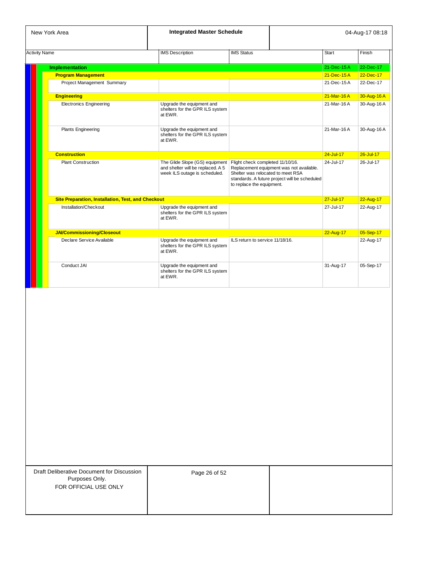| New York Area                                             | <b>Integrated Master Schedule</b>                                                                    |                                                                                                                                                                                                 | 04-Aug-17 08:18 |               |
|-----------------------------------------------------------|------------------------------------------------------------------------------------------------------|-------------------------------------------------------------------------------------------------------------------------------------------------------------------------------------------------|-----------------|---------------|
| <b>Activity Name</b>                                      | <b>IMS</b> Description                                                                               | <b>IMS Status</b>                                                                                                                                                                               | <b>Start</b>    | Finish        |
| <b>Implementation</b>                                     |                                                                                                      |                                                                                                                                                                                                 | 21-Dec-15A      | 22-Dec-17     |
| <b>Program Management</b>                                 |                                                                                                      |                                                                                                                                                                                                 | 21-Dec-15A      | 22-Dec-17     |
| Project Management Summary                                |                                                                                                      |                                                                                                                                                                                                 | 21-Dec-15A      | 22-Dec-17     |
| <b>Engineering</b>                                        |                                                                                                      |                                                                                                                                                                                                 | 21-Mar-16A      | 30-Aug-16 A   |
| Electronics Engineering                                   | Upgrade the equipment and<br>shelters for the GPR ILS system<br>at EWR.                              |                                                                                                                                                                                                 | 21-Mar-16A      | 30-Aug-16 A   |
| <b>Plants Engineering</b>                                 | Upgrade the equipment and<br>shelters for the GPR ILS system<br>at EWR.                              |                                                                                                                                                                                                 | 21-Mar-16A      | 30-Aug-16 A   |
| <b>Construction</b>                                       |                                                                                                      |                                                                                                                                                                                                 | $24 -$ Jul-17   | $26 -$ Jul-17 |
| <b>Plant Construction</b>                                 | The Glide Slope (GS) equipment<br>and shelter will be replaced. A 5<br>week ILS outage is scheduled. | Flight check completed 11/10/16.<br>Replacement equipment was not available.<br>Shelter was relocated to meet RSA<br>standards. A future project will be scheduled<br>to replace the equipment. | 24-Jul-17       | 26-Jul-17     |
| <b>Site Preparation, Installation, Test, and Checkout</b> |                                                                                                      |                                                                                                                                                                                                 | $27 -$ Jul-17   | 22-Aug-17     |
| Installation/Checkout                                     | Upgrade the equipment and<br>shelters for the GPR ILS system<br>at EWR.                              |                                                                                                                                                                                                 | 27-Jul-17       | 22-Aug-17     |
| JAI/Commissioning/Closeout                                |                                                                                                      |                                                                                                                                                                                                 | 22-Aug-17       | 05-Sep-17     |
| Declare Service Available                                 | Upgrade the equipment and<br>shelters for the GPR ILS system<br>at EWR.                              | ILS return to service 11/18/16.                                                                                                                                                                 |                 | 22-Aug-17     |
| Conduct JAI                                               | Upgrade the equipment and<br>shelters for the GPR ILS system<br>at EWR.                              |                                                                                                                                                                                                 | 31-Aug-17       | 05-Sep-17     |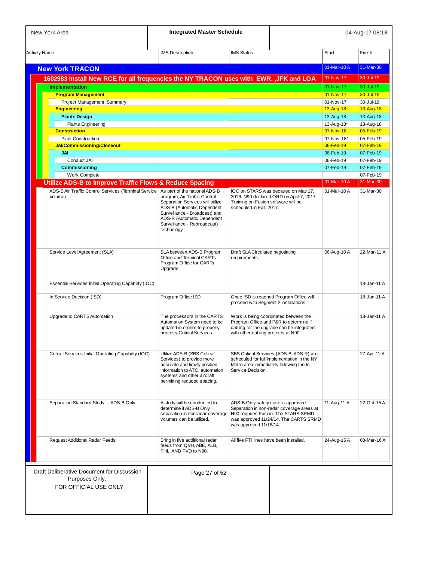| New York Area                                                                          | <b>Integrated Master Schedule</b>                                                                                                                                                                           |                                                                 |                                                                                                                                                                  |                        | 04-Aug-17 08:18        |
|----------------------------------------------------------------------------------------|-------------------------------------------------------------------------------------------------------------------------------------------------------------------------------------------------------------|-----------------------------------------------------------------|------------------------------------------------------------------------------------------------------------------------------------------------------------------|------------------------|------------------------|
| <b>Activity Name</b>                                                                   | <b>IMS</b> Description                                                                                                                                                                                      | <b>IMS Status</b>                                               |                                                                                                                                                                  | <b>Start</b>           | Finish                 |
| <b>New York TRACON</b>                                                                 |                                                                                                                                                                                                             |                                                                 |                                                                                                                                                                  | 01-Mar-10A             | 31-Mar-30              |
| 1602983 Install New RCE for all frequencies the NY TRACON uses with EWR, , JFK and LGA |                                                                                                                                                                                                             |                                                                 |                                                                                                                                                                  | 01-Nov-17              | 30-Jul-19              |
|                                                                                        |                                                                                                                                                                                                             |                                                                 |                                                                                                                                                                  | 01-Nov-17              | 30-Jul-19              |
| <b>Implementation</b><br><b>Program Management</b>                                     |                                                                                                                                                                                                             |                                                                 |                                                                                                                                                                  | 01-Nov-17              | $30 -$ Jul-19          |
| Project Management Summary                                                             |                                                                                                                                                                                                             |                                                                 |                                                                                                                                                                  | 01-Nov-17              | 30-Jul-19              |
| <b>Engineering</b>                                                                     |                                                                                                                                                                                                             |                                                                 |                                                                                                                                                                  | 13-Aug-18              | 13-Aug-18              |
| <b>Plants Design</b>                                                                   |                                                                                                                                                                                                             |                                                                 |                                                                                                                                                                  | 13-Aug-18              | 13-Aug-18              |
| <b>Plants Engineering</b>                                                              |                                                                                                                                                                                                             |                                                                 |                                                                                                                                                                  | 13-Aug-18*             | 13-Aug-18              |
| <b>Construction</b>                                                                    |                                                                                                                                                                                                             |                                                                 |                                                                                                                                                                  | 07-Nov-18              | 05-Feb-19              |
| <b>Plant Construction</b>                                                              |                                                                                                                                                                                                             |                                                                 |                                                                                                                                                                  | 07-Nov-18*             | 05-Feb-19              |
| <b>JAI/Commissioning/Closeout</b>                                                      |                                                                                                                                                                                                             |                                                                 |                                                                                                                                                                  | 06-Feb-19              | $07$ -Feb-19           |
| JAI                                                                                    |                                                                                                                                                                                                             |                                                                 |                                                                                                                                                                  | 06-Feb-19              | 07-Feb-19              |
| Conduct JAI<br><b>Commissioning</b>                                                    |                                                                                                                                                                                                             |                                                                 |                                                                                                                                                                  | 06-Feb-19<br>07-Feb-19 | 07-Feb-19<br>07-Feb-19 |
| Work Complete                                                                          |                                                                                                                                                                                                             |                                                                 |                                                                                                                                                                  |                        | 07-Feb-19              |
| <b>Utilize ADS-B to Improve Traffic Flows &amp; Reduce Spacing</b>                     |                                                                                                                                                                                                             |                                                                 |                                                                                                                                                                  | 01-Mar-10A             | 31-Mar-30              |
| ADS-B Air Traffic Control Services (Terminal Service   As part of the national ADS-B   |                                                                                                                                                                                                             |                                                                 | IOC on STARS was declared on May 17,                                                                                                                             | $01-Mar-10A$           | 31-Mar-30              |
| Volume)                                                                                | program, Air Traffic Control<br>Separation Services will utilize<br>ADS-B (Automatic Dependent<br>Surveillance - Broadcast) and<br>ADS-R (Automatic Dependent<br>Surveillance - Rebroadcast)<br>technology. | Training on Fusion software will be<br>scheduled in Fall, 2017. | 2016. N90 declared ORD on April 7, 2017.                                                                                                                         |                        |                        |
| Service Level Agreement (SLA)                                                          | SLA between ADS-B Program<br>Office and Terminal CARTs<br>Program Office for CARTs<br>Upgrade.                                                                                                              | Draft SLA Circulated negotiating<br>requirements.               |                                                                                                                                                                  | 06-Aug-10A             | 22-Mar-11 A            |
| Essential Services Initial Operating Capability (IOC)                                  |                                                                                                                                                                                                             |                                                                 |                                                                                                                                                                  |                        | 18-Jan-11 A            |
| In Service Decision (ISD)                                                              | Program Office ISD                                                                                                                                                                                          | proceed with Segment 2 installations                            | Once ISD is reached Program Office will                                                                                                                          |                        | 18-Jan-11 A            |
| Upgrade to CARTS Automation                                                            | The processors in the CARTS<br>Automation System need to be<br>updated in ordere to properly<br>process Critical Services.                                                                                  | with other cabling projects at N90.                             | Work is being coordinated between the<br>Program Office and P&R to determine if<br>cabling for the upgrade can be integrated                                     |                        | 18-Jan-11 A            |
| Critical Services Initial Operating Capability (IOC)                                   | Utilize ADS-B (SBS Critical<br>Services) to provide more<br>accurate and timely position<br>information to ATC, automation<br>systems and other aircraft<br>permitting reduced spacing.                     | Service Decision.                                               | SBS Critical Services (ADS-B, ADS-R) are<br>scheduled for full implementation in the NY<br>Metro area immediately following the In                               |                        | 27-Apr-11 A            |
| Separation Standard Study - ADS-B Only                                                 | A study will be conducted to<br>determine if ADS-B Only<br>separation in nonradar coverage<br>volumes can be utilized.                                                                                      | was approved 11/18/14.                                          | ADS-B Only safety case is approved.<br>Separation in non-radar coverage areas at<br>N90 requires Fusion. The STARS SRMD<br>was approved 11/24/14. The CARTS SRMD | 11-Aug-11 A            | 22-Oct-15 A            |
| Request Additional Radar Feeds                                                         | Bring in five additional radar<br>feeds from QVH, ABE, ALB,<br>PHL, AND PVD to N90.                                                                                                                         | All five FTI lines have been installed.                         |                                                                                                                                                                  | 24-Aug-15 A            | 08-Mar-16A             |
| Draft Deliberative Document for Discussion<br>Purposes Only.<br>FOR OFFICIAL USE ONLY  | Page 27 of 52                                                                                                                                                                                               |                                                                 |                                                                                                                                                                  |                        |                        |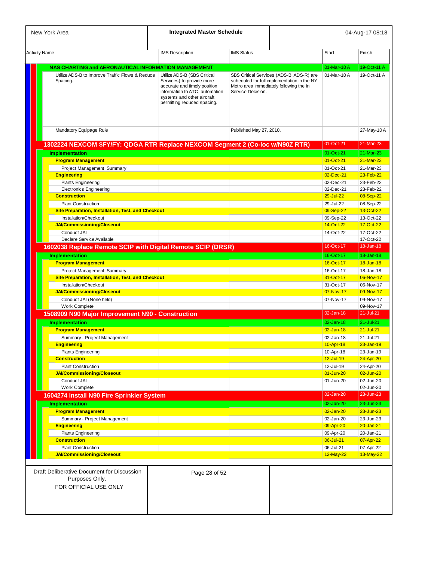| New York Area                                                                         | <b>Integrated Master Schedule</b>                                                                                                                                                       |                         |                                                                                                                                    |                        | 04-Aug-17 08:18        |
|---------------------------------------------------------------------------------------|-----------------------------------------------------------------------------------------------------------------------------------------------------------------------------------------|-------------------------|------------------------------------------------------------------------------------------------------------------------------------|------------------------|------------------------|
|                                                                                       |                                                                                                                                                                                         |                         |                                                                                                                                    |                        |                        |
| <b>Activity Name</b>                                                                  | <b>IMS Description</b>                                                                                                                                                                  | <b>IMS Status</b>       |                                                                                                                                    | <b>Start</b>           | Finish                 |
| NAS CHARTING and AERONAUTICAL INFORMATION MANAGEMENT                                  |                                                                                                                                                                                         |                         |                                                                                                                                    | 01-Mar-10A             | 19-Oct-11 A            |
| Utilize ADS-B to Improve Traffic Flows & Reduce<br>Spacing.                           | Utilize ADS-B (SBS Critical<br>Services) to provide more<br>accurate and timely position<br>information to ATC, automation<br>systems and other aircraft<br>permitting reduced spacing. | Service Decision.       | SBS Critical Services (ADS-B, ADS-R) are<br>scheduled for full implementation in the NY<br>Metro area immediately following the In | 01-Mar-10A             | 19-Oct-11 A            |
| Mandatory Equipage Rule                                                               |                                                                                                                                                                                         | Published May 27, 2010. |                                                                                                                                    |                        | 27-May-10A             |
| 1302224 NEXCOM \$FY/FY: QDGA RTR Replace NEXCOM Segment 2 (Co-loc w/N90Z RTR)         |                                                                                                                                                                                         |                         |                                                                                                                                    | 01-Oct-21              | 21-Mar-23              |
| <b>Implementation</b>                                                                 |                                                                                                                                                                                         |                         |                                                                                                                                    | 01-Oct-21              | 21-Mar-23              |
| <b>Program Management</b>                                                             |                                                                                                                                                                                         |                         |                                                                                                                                    | $01 - Oct-21$          | $21-Mar-23$            |
| Project Management Summary                                                            |                                                                                                                                                                                         |                         |                                                                                                                                    | 01-Oct-21              | 21-Mar-23              |
| <b>Engineering</b>                                                                    |                                                                                                                                                                                         |                         |                                                                                                                                    | 02-Dec-21              | 23-Feb-22              |
| <b>Plants Engineering</b>                                                             |                                                                                                                                                                                         |                         |                                                                                                                                    | 02-Dec-21              | 23-Feb-22              |
| <b>Electronics Engineering</b>                                                        |                                                                                                                                                                                         |                         |                                                                                                                                    | 02-Dec-21              | 23-Feb-22              |
| <b>Construction</b>                                                                   |                                                                                                                                                                                         |                         |                                                                                                                                    | 29-Jul-22              | 08-Sep-22              |
| <b>Plant Construction</b>                                                             |                                                                                                                                                                                         |                         |                                                                                                                                    | 29-Jul-22              | 08-Sep-22              |
| <b>Site Preparation, Installation, Test, and Checkout</b>                             |                                                                                                                                                                                         |                         |                                                                                                                                    | 09-Sep-22              | 13-Oct-22              |
| Installation/Checkout                                                                 |                                                                                                                                                                                         |                         |                                                                                                                                    |                        | 13-Oct-22              |
| <b>JAI/Commissioning/Closeout</b>                                                     |                                                                                                                                                                                         |                         |                                                                                                                                    | 09-Sep-22<br>14-Oct-22 | 17-Oct-22              |
|                                                                                       |                                                                                                                                                                                         |                         |                                                                                                                                    |                        |                        |
| Conduct JAI                                                                           |                                                                                                                                                                                         |                         |                                                                                                                                    | 14-Oct-22              | 17-Oct-22              |
| Declare Service Available                                                             |                                                                                                                                                                                         |                         |                                                                                                                                    | 16-Oct-17              | 17-Oct-22<br>18-Jan-18 |
| 1602038 Replace Remote SCIP with Digital Remote SCIP (DRSR)                           |                                                                                                                                                                                         |                         |                                                                                                                                    |                        |                        |
| <b>Implementation</b>                                                                 |                                                                                                                                                                                         |                         |                                                                                                                                    | 16-Oct-17              | 18-Jan-18              |
| <b>Program Management</b>                                                             |                                                                                                                                                                                         |                         |                                                                                                                                    | 16-Oct-17              | 18-Jan-18              |
| Project Management Summary                                                            |                                                                                                                                                                                         |                         |                                                                                                                                    | 16-Oct-17              | 18-Jan-18              |
| Site Preparation, Installation, Test, and Checkout                                    |                                                                                                                                                                                         |                         |                                                                                                                                    | 31-Oct-17              | 06-Nov-17              |
| Installation/Checkout                                                                 |                                                                                                                                                                                         |                         |                                                                                                                                    | 31-Oct-17              | 06-Nov-17              |
| <b>JAI/Commissioning/Closeout</b>                                                     |                                                                                                                                                                                         |                         |                                                                                                                                    | 07-Nov-17              | 09-Nov-17              |
| Conduct JAI (None held)                                                               |                                                                                                                                                                                         |                         |                                                                                                                                    | 07-Nov-17              | 09-Nov-17              |
| Work Complete                                                                         |                                                                                                                                                                                         |                         |                                                                                                                                    |                        | 09-Nov-17              |
| 1508909 N90 Major Improvement N90 - Construction                                      |                                                                                                                                                                                         |                         |                                                                                                                                    | $02$ -Jan-18           | $21 -$ Jul-21          |
| <b>Implementation</b>                                                                 |                                                                                                                                                                                         |                         |                                                                                                                                    | $02$ -Jan-18           | $21 -$ Jul-21          |
| <b>Program Management</b>                                                             |                                                                                                                                                                                         |                         |                                                                                                                                    | $02 - Jan-18$          | $21 - July - 21$       |
| Summary - Project Management                                                          |                                                                                                                                                                                         |                         |                                                                                                                                    | 02-Jan-18              | 21-Jul-21              |
| <b>Engineering</b>                                                                    |                                                                                                                                                                                         |                         |                                                                                                                                    | 10-Apr-18              | $23 - Jan - 19$        |
| <b>Plants Engineering</b>                                                             |                                                                                                                                                                                         |                         |                                                                                                                                    | 10-Apr-18              | 23-Jan-19              |
| <b>Construction</b>                                                                   |                                                                                                                                                                                         |                         |                                                                                                                                    | 12-Jul-19              | 24-Apr-20              |
| <b>Plant Construction</b>                                                             |                                                                                                                                                                                         |                         |                                                                                                                                    | 12-Jul-19              | 24-Apr-20              |
| <b>JAI/Commissioning/Closeout</b>                                                     |                                                                                                                                                                                         |                         |                                                                                                                                    | $01 - Jun-20$          | 02-Jun-20              |
| Conduct JAI                                                                           |                                                                                                                                                                                         |                         |                                                                                                                                    | 01-Jun-20              | 02-Jun-20              |
| Work Complete                                                                         |                                                                                                                                                                                         |                         |                                                                                                                                    |                        | 02-Jun-20              |
| 1604274 Install N90 Fire Sprinkler System                                             |                                                                                                                                                                                         |                         |                                                                                                                                    | 02-Jan-20              | 23-Jun-23              |
|                                                                                       |                                                                                                                                                                                         |                         |                                                                                                                                    |                        |                        |
| <b>Implementation</b>                                                                 |                                                                                                                                                                                         |                         |                                                                                                                                    | 02-Jan-20              | 23-Jun-23              |
| <b>Program Management</b>                                                             |                                                                                                                                                                                         |                         |                                                                                                                                    | $02$ -Jan-20           | $23 - Jun-23$          |
| Summary - Project Management                                                          |                                                                                                                                                                                         |                         |                                                                                                                                    | 02-Jan-20              | 23-Jun-23              |
| <b>Engineering</b>                                                                    |                                                                                                                                                                                         |                         |                                                                                                                                    | 09-Apr-20              | 20-Jan-21              |
| <b>Plants Engineering</b>                                                             |                                                                                                                                                                                         |                         |                                                                                                                                    | 09-Apr-20              | 20-Jan-21              |
| <b>Construction</b>                                                                   |                                                                                                                                                                                         |                         |                                                                                                                                    | $06 -$ Jul-21          | 07-Apr-22              |
| <b>Plant Construction</b>                                                             |                                                                                                                                                                                         |                         |                                                                                                                                    | 06-Jul-21              | 07-Apr-22              |
| <b>JAI/Commissioning/Closeout</b>                                                     |                                                                                                                                                                                         |                         |                                                                                                                                    | 12-May-22              | 13-May-22              |
| Draft Deliberative Document for Discussion<br>Purposes Only.<br>FOR OFFICIAL USE ONLY | Page 28 of 52                                                                                                                                                                           |                         |                                                                                                                                    |                        |                        |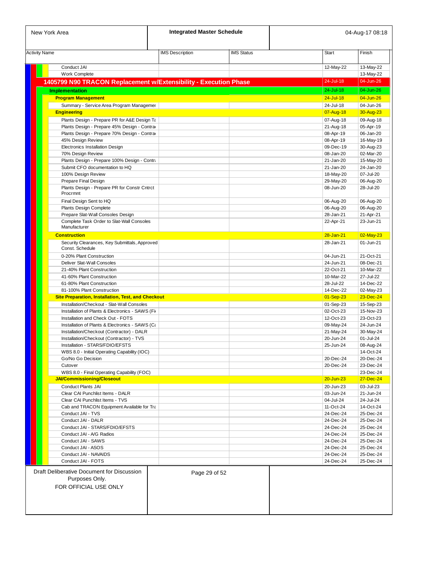| <b>Activity Name</b>                                                          | <b>IMS</b> Description | <b>IMS Status</b> | <b>Start</b>           | Finish                 |
|-------------------------------------------------------------------------------|------------------------|-------------------|------------------------|------------------------|
| Conduct JAI                                                                   |                        |                   | 12-May-22              | 13-May-22              |
| Work Complete                                                                 |                        |                   |                        | 13-May-22              |
| 1405799 N90 TRACON Replacement w/Extensibility - Execution Phase              |                        |                   | 24-Jul-18              | 04-Jun-26              |
| <b>Implementation</b>                                                         |                        |                   | 24-Jul-18              | 04-Jun-26              |
| <b>Program Management</b>                                                     |                        |                   | $24 -$ Jul-18          | 04-Jun-26              |
| Summary - Service Area Program Managemer                                      |                        |                   | 24-Jul-18              | 04-Jun-26              |
| <b>Engineering</b>                                                            |                        |                   | 07-Aug-18              | 30-Aug-23              |
| Plants Design - Prepare PR for A&E Design Ta                                  |                        |                   | 07-Aug-18              | 09-Aug-18              |
| Plants Design - Prepare 45% Design - Contra                                   |                        |                   | 21-Aug-18              | 05-Apr-19              |
| Plants Design - Prepare 70% Design - Contra                                   |                        |                   | 08-Apr-19              | 06-Jan-20              |
| 45% Design Review<br>Electronics Installation Design                          |                        |                   | 08-Apr-19<br>09-Dec-19 | 16-May-19<br>30-Aug-23 |
| 70% Design Review                                                             |                        |                   | 08-Jan-20              | 02-Mar-20              |
| Plants Design - Prepare 100% Design - Contra                                  |                        |                   | 21-Jan-20              | 15-May-20              |
| Submit CFO documentation to HQ                                                |                        |                   | 21-Jan-20              | 24-Jan-20              |
| 100% Design Review                                                            |                        |                   | 18-May-20              | 07-Jul-20              |
| Prepare Final Design                                                          |                        |                   | 29-May-20              | 06-Aug-20              |
| Plants Design - Prepare PR for Constr Cntrct<br>Procrmnt                      |                        |                   | 08-Jun-20              | 28-Jul-20              |
| Final Design Sent to HQ                                                       |                        |                   | 06-Aug-20              | 06-Aug-20              |
| Plants Design Complete                                                        |                        |                   | 06-Aug-20              | 06-Aug-20              |
| Prepare Slat-Wall Consoles Design                                             |                        |                   | 28-Jan-21              | 21-Apr-21              |
| Complete Task Order to Slat-Wall Consoles                                     |                        |                   | 22-Apr-21              | 23-Jun-21              |
| Manufacturer                                                                  |                        |                   |                        |                        |
| <b>Construction</b>                                                           |                        |                   | $28 - Jan-21$          | 02-May-23              |
| Security Clearances, Key Submittals, Approved<br>Const. Schedule              |                        |                   | 28-Jan-21              | 01-Jun-21              |
| 0-20% Plant Construction                                                      |                        |                   | 04-Jun-21              | 21-Oct-21              |
| Deliver Slat-Wall Consoles                                                    |                        |                   | 24-Jun-21              | 08-Dec-21              |
| 21-40% Plant Construction                                                     |                        |                   | 22-Oct-21              | 10-Mar-22              |
| 41-60% Plant Construction                                                     |                        |                   | 10-Mar-22              | 27-Jul-22              |
| 61-80% Plant Construction<br>81-100% Plant Construction                       |                        |                   | 28-Jul-22<br>14-Dec-22 | 14-Dec-22<br>02-May-23 |
| <b>Site Preparation, Installation, Test, and Checkout</b>                     |                        |                   | 01-Sep-23              | 23-Dec-24              |
| Installation/Checkout - Slat-Wall Consoles                                    |                        |                   | 01-Sep-23              | 15-Sep-23              |
| Installation of Plants & Electronics - SAWS (Fi-                              |                        |                   | 02-Oct-23              | 15-Nov-23              |
| Installation and Check Out - FOTS                                             |                        |                   | 12-Oct-23              | 23-Oct-23              |
| Installation of Plants & Electronics - SAWS (Ca                               |                        |                   | 09-May-24              | 24-Jun-24              |
| Installation/Checkout (Contractor) - DALR                                     |                        |                   | 21-May-24              | 30-May-24<br>01-Jul-24 |
| Installation/Checkout (Contractor) - TVS<br>Installation - STARS/FDIO/EFSTS   |                        |                   | 20-Jun-24<br>25-Jun-24 | 08-Aug-24              |
| WBS 8.0 - Initial Operating Capability (IOC)                                  |                        |                   |                        | 14-Oct-24              |
| Go/No Go Decision                                                             |                        |                   | 20-Dec-24              | 20-Dec-24              |
| Cutover                                                                       |                        |                   | 20-Dec-24              | 23-Dec-24              |
| WBS 8.0 - Final Operating Capability (FOC)                                    |                        |                   |                        | 23-Dec-24              |
| <b>JAI/Commissioning/Closeout</b>                                             |                        |                   | $20 - Jun-23$          | 27-Dec-24              |
| <b>Conduct Plants JAI</b>                                                     |                        |                   | 20-Jun-23              | 03-Jul-23              |
| Clear CAI Punchlist Items - DALR                                              |                        |                   | 03-Jun-24              | 21-Jun-24              |
| Clear CAI Punchlist Items - TVS<br>Cab and TRACON Equipment Available for Tra |                        |                   | 04-Jul-24<br>11-Oct-24 | 24-Jul-24<br>14-Oct-24 |
| Conduct JAI - TVS                                                             |                        |                   | 24-Dec-24              | 25-Dec-24              |
| Conduct JAI - DALR                                                            |                        |                   | 24-Dec-24              | 25-Dec-24              |
| Conduct JAI - STARS/FDIO/EFSTS                                                |                        |                   | 24-Dec-24              | 25-Dec-24              |
| Conduct JAI - A/G Radios                                                      |                        |                   | 24-Dec-24              | 25-Dec-24              |
| Conduct JAI - SAWS                                                            |                        |                   | 24-Dec-24              | 25-Dec-24              |
| Conduct JAI - ASOS                                                            |                        |                   | 24-Dec-24              | 25-Dec-24              |
| Conduct JAI - NAVAIDS<br>Conduct JAI - FOTS                                   |                        |                   | 24-Dec-24<br>24-Dec-24 | 25-Dec-24<br>25-Dec-24 |
|                                                                               |                        |                   |                        |                        |
| Draft Deliberative Document for Discussion<br>Purposes Only.                  | Page 29 of 52          |                   |                        |                        |
| FOR OFFICIAL USE ONLY                                                         |                        |                   |                        |                        |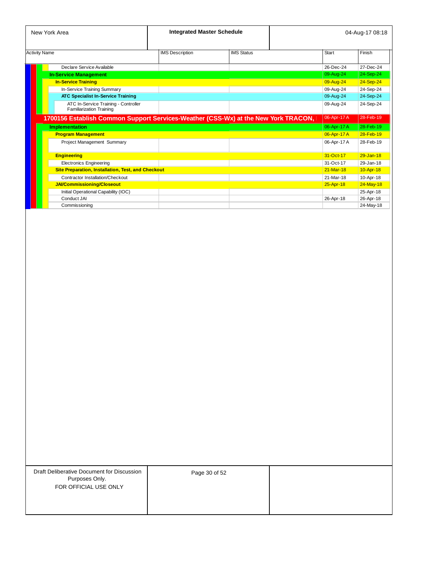|                      | New York Area                                                                      | <b>Integrated Master Schedule</b> |                   |              | 04-Aug-17 08:18 |
|----------------------|------------------------------------------------------------------------------------|-----------------------------------|-------------------|--------------|-----------------|
| <b>Activity Name</b> |                                                                                    | <b>IMS</b> Description            | <b>IMS Status</b> | <b>Start</b> | Finish          |
|                      | Declare Service Available                                                          |                                   |                   | 26-Dec-24    | 27-Dec-24       |
|                      | <b>In-Service Management</b>                                                       |                                   |                   | 09-Aug-24    | 24-Sep-24       |
|                      | <b>In-Service Training</b>                                                         |                                   |                   | 09-Aug-24    | 24-Sep-24       |
|                      | In-Service Training Summary                                                        |                                   |                   | 09-Aug-24    | 24-Sep-24       |
|                      | <b>ATC Specialist In-Service Training</b>                                          |                                   |                   | 09-Aug-24    | 24-Sep-24       |
|                      | ATC In-Service Training - Controller<br><b>Familiarization Training</b>            |                                   |                   | 09-Aug-24    | 24-Sep-24       |
|                      | 1700156 Establish Common Support Services-Weather (CSS-Wx) at the New York TRACON, |                                   |                   | 06-Apr-17 A  | 28-Feb-19       |
|                      | <b>Implementation</b>                                                              |                                   |                   | 06-Apr-17 A  | 28-Feb-19       |
|                      | <b>Program Management</b>                                                          |                                   |                   | 06-Apr-17 A  | 28-Feb-19       |
|                      | Project Management Summary                                                         |                                   |                   | 06-Apr-17 A  | 28-Feb-19       |
|                      | <b>Engineering</b>                                                                 |                                   |                   | 31-Oct-17    | $29 - Jan - 18$ |
|                      | <b>Electronics Engineering</b>                                                     |                                   |                   | 31-Oct-17    | 29-Jan-18       |
|                      | <b>Site Preparation, Installation, Test, and Checkout</b>                          |                                   |                   | $21-Mar-18$  | 10-Apr-18       |
|                      | Contractor Installation/Checkout                                                   |                                   |                   | 21-Mar-18    | 10-Apr-18       |
|                      | <b>JAI/Commissioning/Closeout</b>                                                  |                                   |                   | 25-Apr-18    | 24-May-18       |
|                      | Initial Operational Capability (IOC)                                               |                                   |                   |              | 25-Apr-18       |
|                      | Conduct JAI                                                                        |                                   |                   | 26-Apr-18    | 26-Apr-18       |
|                      | Commissioning                                                                      |                                   |                   |              | 24-May-18       |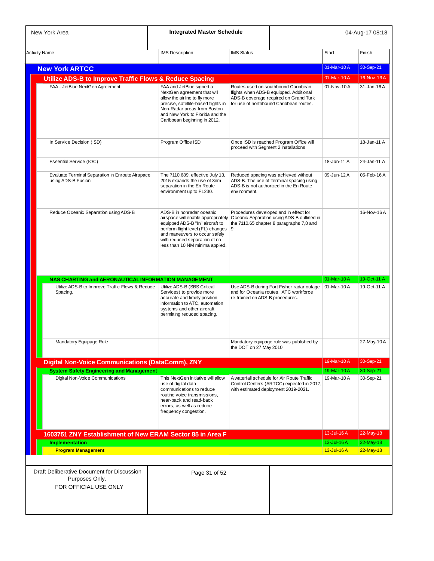| New York Area                                                                                                       | <b>Integrated Master Schedule</b>                                                                                                                                                                                                            |                                      |                                                                                                                                                                    |                          | 04-Aug-17 08:18            |
|---------------------------------------------------------------------------------------------------------------------|----------------------------------------------------------------------------------------------------------------------------------------------------------------------------------------------------------------------------------------------|--------------------------------------|--------------------------------------------------------------------------------------------------------------------------------------------------------------------|--------------------------|----------------------------|
| <b>Activity Name</b>                                                                                                | <b>IMS</b> Description                                                                                                                                                                                                                       | <b>IMS Status</b>                    |                                                                                                                                                                    | Start                    | Finish                     |
| <b>New York ARTCC</b>                                                                                               |                                                                                                                                                                                                                                              |                                      |                                                                                                                                                                    | 01-Mar-10A               | 30-Sep-21                  |
| <b>Utilize ADS-B to Improve Traffic Flows &amp; Reduce Spacing</b>                                                  |                                                                                                                                                                                                                                              |                                      |                                                                                                                                                                    | 01-Mar-10A               | 16-Nov-16A                 |
| FAA - JetBlue NextGen Agreement                                                                                     | FAA and JetBlue signed a<br>NextGen agreement that will<br>allow the airline to fly more<br>precise, satellite-based flights in<br>Non-Radar areas from Boston<br>and New York to Florida and the<br>Caribbean beginning in 2012.            |                                      | Routes used on southbound Caribbean<br>flights when ADS-B equipped. Additional<br>ADS-B coverage required on Grand Turk<br>for use of northbound Caribbean routes. | 01-Nov-10A               | 31-Jan-16A                 |
| In Service Decision (ISD)                                                                                           | Program Office ISD                                                                                                                                                                                                                           | proceed with Segment 2 installations | Once ISD is reached Program Office will                                                                                                                            |                          | 18-Jan-11 A                |
| Essential Service (IOC)                                                                                             |                                                                                                                                                                                                                                              |                                      |                                                                                                                                                                    | 18-Jan-11 A              | 24-Jan-11 A                |
| Evaluate Terminal Separation in Enroute Airspace<br>using ADS-B Fusion                                              | The 7110.689, effective July 13,<br>2015 expands the use of 3nm<br>separation in the En Route<br>environment up to FL230.                                                                                                                    | environment.                         | Reduced spacing was achieved without<br>ADS-B. The use of Terminal spacing using<br>ADS-B is not authorized in the En Route                                        | 09-Jun-12 A              | 05-Feb-16 A                |
| Reduce Oceanic Separation using ADS-B                                                                               | ADS-B in nonradar oceanic<br>airspace will enable appropriately<br>equipped ADS-B "In" aircraft to<br>perform flight level (FL) changes<br>and maneuvers to occur safely<br>with reduced separation of no<br>less than 10 NM minima applied. | 9.                                   | Procedures developed and in effect for<br>Oceanic Separation using ADS-B outlined in<br>the 7110.65 chapter 8 paragraphs 7,8 and                                   |                          | 16-Nov-16A                 |
| NAS CHARTING and AERONAUTICAL INFORMATION MANAGEMENT<br>Utilize ADS-B to Improve Traffic Flows & Reduce<br>Spacing. | Utilize ADS-B (SBS Critical<br>Services) to provide more<br>accurate and timely position<br>information to ATC, automation<br>systems and other aircraft<br>permitting reduced spacing.                                                      | re-trained on ADS-B procedures.      | Use ADS-B during Fort Fisher radar outage<br>and for Oceania routes. ATC workforce                                                                                 | 01-Mar-10A<br>01-Mar-10A | 19-Oct-11 A<br>19-Oct-11 A |
| Mandatory Equipage Rule                                                                                             |                                                                                                                                                                                                                                              | the DOT on 27 May 2010.              | Mandatory equipage rule was published by                                                                                                                           |                          | 27-May-10A                 |
| <b>Digital Non-Voice Communications (DataComm), ZNY</b>                                                             |                                                                                                                                                                                                                                              |                                      |                                                                                                                                                                    | 19-Mar-10A               | 30-Sep-21                  |
| <b>System Safety Engineering and Management</b><br>Digital Non-Voice Communications                                 | This NextGen initiative will allow<br>use of digital data<br>communications to reduce<br>routine voice transmissions,<br>hear-back and read-back<br>errors, as well as reduce<br>frequency congestion.                                       |                                      | A waterfall schedule for Air Route Traffic<br>Control Centers (ARTCC) expected in 2017,<br>with estimated deployment 2019-2021.                                    | 19-Mar-10A<br>19-Mar-10A | 30-Sep-21<br>30-Sep-21     |
|                                                                                                                     |                                                                                                                                                                                                                                              |                                      |                                                                                                                                                                    | 13-Jul-16A               | 22-May-18                  |
| 1603751 ZNY Establishment of New ERAM Sector 85 in Area F<br><b>Implementation</b>                                  |                                                                                                                                                                                                                                              |                                      |                                                                                                                                                                    | 13-Jul-16 A              | 22-May-18                  |
| <b>Program Management</b>                                                                                           |                                                                                                                                                                                                                                              |                                      |                                                                                                                                                                    | $13$ -Jul-16 $A$         | 22-May-18                  |
|                                                                                                                     |                                                                                                                                                                                                                                              |                                      |                                                                                                                                                                    |                          |                            |
| Draft Deliberative Document for Discussion<br>Purposes Only.<br>FOR OFFICIAL USE ONLY                               | Page 31 of 52                                                                                                                                                                                                                                |                                      |                                                                                                                                                                    |                          |                            |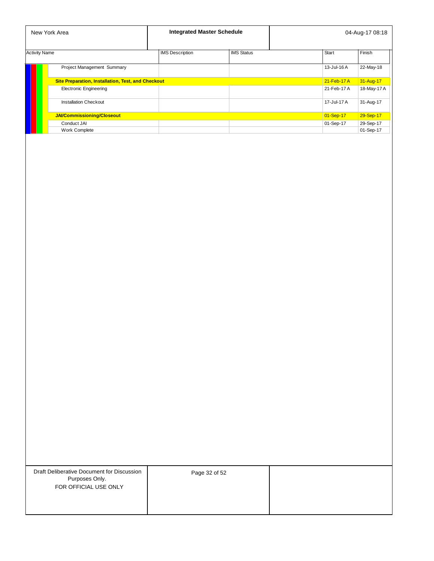|                      | New York Area                                             | <b>Integrated Master Schedule</b> |                   |               | 04-Aug-17 08:18 |
|----------------------|-----------------------------------------------------------|-----------------------------------|-------------------|---------------|-----------------|
| <b>Activity Name</b> |                                                           | <b>IMS</b> Description            | <b>IMS Status</b> | <b>Start</b>  | Finish          |
|                      | Project Management Summary                                |                                   |                   | 13-Jul-16 A   | 22-May-18       |
|                      | <b>Site Preparation, Installation, Test, and Checkout</b> |                                   |                   | $21$ -Feb-17A | 31-Aug-17       |
|                      | <b>Electronic Engineering</b>                             |                                   |                   | 21-Feb-17 A   | 18-May-17 A     |
|                      | <b>Installation Checkout</b>                              |                                   |                   | 17-Jul-17 A   | 31-Aug-17       |
|                      | JAI/Commissioning/Closeout                                |                                   |                   | 01-Sep-17     | 29-Sep-17       |
|                      | Conduct JAI                                               |                                   |                   | 01-Sep-17     | 29-Sep-17       |
|                      | <b>Work Complete</b>                                      |                                   |                   |               | 01-Sep-17       |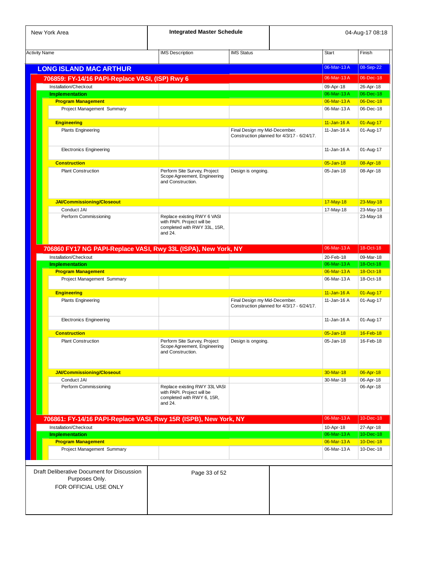| New York Area                                                                         | <b>Integrated Master Schedule</b>                                                                    |                               |                                            |                                | 04-Aug-17 08:18        |
|---------------------------------------------------------------------------------------|------------------------------------------------------------------------------------------------------|-------------------------------|--------------------------------------------|--------------------------------|------------------------|
| <b>Activity Name</b>                                                                  | <b>IMS</b> Description                                                                               | <b>IMS Status</b>             |                                            | <b>Start</b>                   | Finish                 |
|                                                                                       |                                                                                                      |                               |                                            |                                |                        |
| <b>LONG ISLAND MAC ARTHUR</b>                                                         |                                                                                                      |                               |                                            | 06-Mar-13A                     | 08-Sep-22              |
| 706859: FY-14/16 PAPI-Replace VASI, (ISP) Rwy 6                                       |                                                                                                      |                               |                                            | 06-Mar-13A                     | 06-Dec-18              |
| Installation/Checkout<br><b>Implementation</b>                                        |                                                                                                      |                               |                                            | 09-Apr-18<br>06-Mar-13A        | 26-Apr-18<br>06-Dec-18 |
| <b>Program Management</b>                                                             |                                                                                                      |                               |                                            | 06-Mar-13A                     | 06-Dec-18              |
| Project Management Summary                                                            |                                                                                                      |                               |                                            | 06-Mar-13A                     | 06-Dec-18              |
| <b>Engineering</b><br><b>Plants Engineering</b>                                       |                                                                                                      | Final Design my Mid-December. | Construction planned for 4/3/17 - 6/24/17. | $11 -$ Jan-16 A<br>11-Jan-16 A | 01-Aug-17<br>01-Aug-17 |
| <b>Electronics Engineering</b>                                                        |                                                                                                      |                               |                                            | 11-Jan-16 A                    | 01-Aug-17              |
| <b>Construction</b>                                                                   |                                                                                                      |                               |                                            | $05 - Jan-18$                  | 08-Apr-18              |
| <b>Plant Construction</b>                                                             | Perform Site Survey, Project<br>Scope Agreement, Engineering<br>and Construction.                    | Design is ongoing.            |                                            | 05-Jan-18                      | 08-Apr-18              |
| JAI/Commissioning/Closeout                                                            |                                                                                                      |                               |                                            | 17-May-18                      | $23$ -May-18           |
| Conduct JAI                                                                           |                                                                                                      |                               |                                            | 17-May-18                      | 23-May-18              |
| Perform Commissioning                                                                 | Replace existing RWY 6 VASI<br>with PAPI. Project will be<br>completed with RWY 33L, 15R,<br>and 24. |                               |                                            |                                | 23-May-18              |
| 706860 FY17 NG PAPI-Replace VASI, Rwy 33L (ISPA), New York, NY                        |                                                                                                      |                               |                                            | 06-Mar-13A                     | 18-Oct-18              |
| Installation/Checkout                                                                 |                                                                                                      |                               |                                            | 20-Feb-18                      | 09-Mar-18              |
| <b>Implementation</b>                                                                 |                                                                                                      |                               |                                            | 06-Mar-13A                     | 18-Oct-18              |
| <b>Program Management</b>                                                             |                                                                                                      |                               |                                            | 06-Mar-13A                     | 18-Oct-18              |
| Project Management Summary                                                            |                                                                                                      |                               |                                            | 06-Mar-13A                     | 18-Oct-18              |
| <b>Engineering</b>                                                                    |                                                                                                      |                               |                                            | 11-Jan-16 A                    | 01-Aug-17              |
| <b>Plants Engineering</b>                                                             |                                                                                                      | Final Design my Mid-December. | Construction planned for 4/3/17 - 6/24/17. | 11-Jan-16 $A$                  | 01-Aug-17              |
| <b>Electronics Engineering</b>                                                        |                                                                                                      |                               |                                            | 11-Jan-16 A                    | 01-Aug-17              |
| <b>Construction</b>                                                                   |                                                                                                      |                               |                                            | $05 - Jan-18$                  | 16-Feb-18              |
| <b>Plant Construction</b>                                                             | Perform Site Survey, Project<br>Scope Agreement, Engineering<br>and Construction.                    | Design is ongoing.            |                                            | 05-Jan-18                      | 16-Feb-18              |
| <b>JAI/Commissioning/Closeout</b>                                                     |                                                                                                      |                               |                                            | 30-Mar-18                      | 06-Apr-18              |
| Conduct JAI                                                                           |                                                                                                      |                               |                                            | 30-Mar-18                      | 06-Apr-18              |
| Perform Commissioning                                                                 | Replace existing RWY 33L VASI<br>with PAPI. Project will be<br>completed with RWY 6, 15R,<br>and 24. |                               |                                            |                                | 06-Apr-18              |
| 706861: FY-14/16 PAPI-Replace VASI, Rwy 15R (ISPB), New York, NY                      |                                                                                                      |                               |                                            | 06-Mar-13A                     | 10-Dec-18              |
| Installation/Checkout                                                                 |                                                                                                      |                               |                                            | 10-Apr-18                      | 27-Apr-18              |
| <b>Implementation</b>                                                                 |                                                                                                      |                               |                                            | 06-Mar-13A                     | 10-Dec-18              |
| <b>Program Management</b>                                                             |                                                                                                      |                               |                                            | 06-Mar-13A                     | 10-Dec-18              |
| Project Management Summary                                                            |                                                                                                      |                               |                                            | 06-Mar-13A                     | 10-Dec-18              |
| Draft Deliberative Document for Discussion<br>Purposes Only.<br>FOR OFFICIAL USE ONLY | Page 33 of 52                                                                                        |                               |                                            |                                |                        |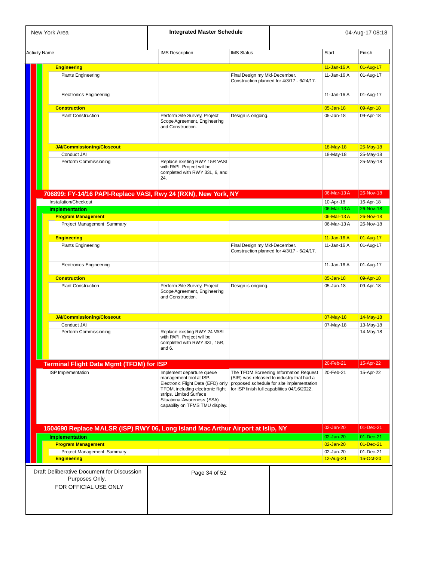| New York Area                                                                         | <b>Integrated Master Schedule</b>                                                                                                                                                                                           |                               |                                                                                                                                                                                  |               | 04-Aug-17 08:18        |
|---------------------------------------------------------------------------------------|-----------------------------------------------------------------------------------------------------------------------------------------------------------------------------------------------------------------------------|-------------------------------|----------------------------------------------------------------------------------------------------------------------------------------------------------------------------------|---------------|------------------------|
| <b>Activity Name</b>                                                                  | <b>IMS Description</b>                                                                                                                                                                                                      | <b>IMS Status</b>             |                                                                                                                                                                                  | <b>Start</b>  | Finish                 |
|                                                                                       |                                                                                                                                                                                                                             |                               |                                                                                                                                                                                  |               |                        |
| <b>Engineering</b>                                                                    |                                                                                                                                                                                                                             |                               |                                                                                                                                                                                  | 11-Jan-16 A   | 01-Aug-17              |
| <b>Plants Engineering</b>                                                             |                                                                                                                                                                                                                             | Final Design my Mid-December. | Construction planned for 4/3/17 - 6/24/17.                                                                                                                                       | 11-Jan-16 A   | 01-Aug-17              |
| <b>Electronics Engineering</b>                                                        |                                                                                                                                                                                                                             |                               |                                                                                                                                                                                  | 11-Jan-16 A   | 01-Aug-17              |
| <b>Construction</b>                                                                   |                                                                                                                                                                                                                             |                               |                                                                                                                                                                                  | $05 - Jan-18$ | 09-Apr-18              |
| <b>Plant Construction</b>                                                             | Perform Site Survey, Project<br>Scope Agreement, Engineering<br>and Construction.                                                                                                                                           | Design is ongoing.            |                                                                                                                                                                                  | 05-Jan-18     | 09-Apr-18              |
| <b>JAI/Commissioning/Closeout</b>                                                     |                                                                                                                                                                                                                             |                               |                                                                                                                                                                                  | 18-May-18     | $25$ -May-18           |
| Conduct JAI                                                                           |                                                                                                                                                                                                                             |                               |                                                                                                                                                                                  | 18-May-18     | 25-May-18              |
| Perform Commissioning                                                                 | Replace existing RWY 15R VASI<br>with PAPI. Project will be<br>completed with RWY 33L, 6, and<br>24.                                                                                                                        |                               |                                                                                                                                                                                  |               | 25-May-18              |
| 706899: FY-14/16 PAPI-Replace VASI, Rwy 24 (RXN), New York, NY                        |                                                                                                                                                                                                                             |                               |                                                                                                                                                                                  | 06-Mar-13A    | 26-Nov-18              |
| Installation/Checkout                                                                 |                                                                                                                                                                                                                             |                               |                                                                                                                                                                                  | 10-Apr-18     | 16-Apr-18              |
| <b>Implementation</b>                                                                 |                                                                                                                                                                                                                             |                               |                                                                                                                                                                                  | 06-Mar-13A    | 26-Nov-18              |
| <b>Program Management</b>                                                             |                                                                                                                                                                                                                             |                               |                                                                                                                                                                                  | 06-Mar-13A    | 26-Nov-18              |
| Project Management Summary                                                            |                                                                                                                                                                                                                             |                               |                                                                                                                                                                                  | 06-Mar-13A    | 26-Nov-18              |
|                                                                                       |                                                                                                                                                                                                                             |                               |                                                                                                                                                                                  |               |                        |
| <b>Engineering</b>                                                                    |                                                                                                                                                                                                                             |                               |                                                                                                                                                                                  | 11-Jan-16 A   | 01-Aug-17              |
| <b>Plants Engineering</b>                                                             |                                                                                                                                                                                                                             | Final Design my Mid-December. |                                                                                                                                                                                  | 11-Jan-16 A   | 01-Aug-17              |
|                                                                                       |                                                                                                                                                                                                                             |                               | Construction planned for 4/3/17 - 6/24/17.                                                                                                                                       |               |                        |
| <b>Electronics Engineering</b>                                                        |                                                                                                                                                                                                                             |                               |                                                                                                                                                                                  | 11-Jan-16 A   | 01-Aug-17              |
| <b>Construction</b>                                                                   |                                                                                                                                                                                                                             |                               |                                                                                                                                                                                  | $05 - Jan-18$ | 09-Apr-18              |
| <b>Plant Construction</b>                                                             | Perform Site Survey, Project<br>Scope Agreement, Engineering<br>and Construction.                                                                                                                                           | Design is ongoing.            |                                                                                                                                                                                  | 05-Jan-18     | 09-Apr-18              |
| <b>JAI/Commissioning/Closeout</b>                                                     |                                                                                                                                                                                                                             |                               |                                                                                                                                                                                  | 07-May-18     | 14-May-18              |
| Conduct JAI                                                                           |                                                                                                                                                                                                                             |                               |                                                                                                                                                                                  |               |                        |
| Perform Commissioning                                                                 | Replace existing RWY 24 VASI<br>with PAPI. Project will be<br>completed with RWY 33L, 15R,<br>and 6.                                                                                                                        |                               |                                                                                                                                                                                  | 07-May-18     | 13-May-18<br>14-May-18 |
| <b>Terminal Flight Data Mgmt (TFDM) for ISP</b>                                       |                                                                                                                                                                                                                             |                               |                                                                                                                                                                                  | 20-Feb-21     | 15-Apr-22              |
| ISP Implementation                                                                    | Implement departure queue<br>management tool at ISP.<br>Electronic Flight Data (EFD) only<br>TFDM, including electronic flight<br>strips. Limited Surface<br>Situational Awareness (SSA)<br>capability on TFMS TMU display. |                               | The TFDM Screening Information Request<br>(SIR) was released to industry that had a<br>proposed schedule for site implementation<br>for ISP finish full capabilities 04/16/2022. | 20-Feb-21     | 15-Apr-22              |
|                                                                                       |                                                                                                                                                                                                                             |                               |                                                                                                                                                                                  | 02-Jan-20     | 01-Dec-21              |
| 1504690 Replace MALSR (ISP) RWY 06, Long Island Mac Arthur Airport at Islip, NY       |                                                                                                                                                                                                                             |                               |                                                                                                                                                                                  |               |                        |
| <b>Implementation</b>                                                                 |                                                                                                                                                                                                                             |                               |                                                                                                                                                                                  | 02-Jan-20     | 01-Dec-21              |
| <b>Program Management</b>                                                             |                                                                                                                                                                                                                             |                               |                                                                                                                                                                                  | 02-Jan-20     | $01 - Dec-21$          |
| Project Management Summary                                                            |                                                                                                                                                                                                                             |                               |                                                                                                                                                                                  | 02-Jan-20     | 01-Dec-21              |
| <b>Engineering</b>                                                                    |                                                                                                                                                                                                                             |                               |                                                                                                                                                                                  | 12-Aug-20     | 15-Oct-20              |
| Draft Deliberative Document for Discussion<br>Purposes Only.<br>FOR OFFICIAL USE ONLY | Page 34 of 52                                                                                                                                                                                                               |                               |                                                                                                                                                                                  |               |                        |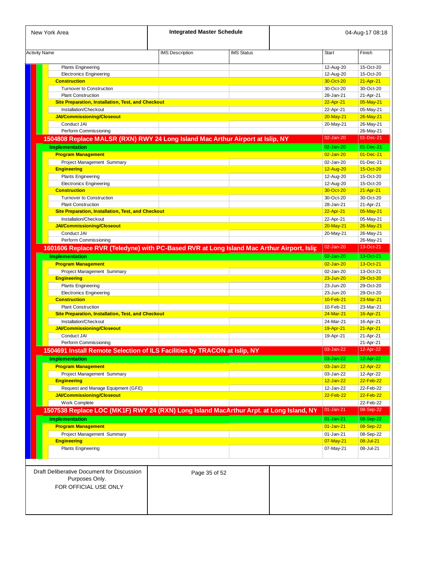| New York Area                                                                             | <b>Integrated Master Schedule</b> |                   |                 | 04-Aug-17 08:18 |
|-------------------------------------------------------------------------------------------|-----------------------------------|-------------------|-----------------|-----------------|
| <b>Activity Name</b>                                                                      | <b>IMS Description</b>            | <b>IMS Status</b> | <b>Start</b>    | Finish          |
|                                                                                           |                                   |                   |                 |                 |
| <b>Plants Engineering</b>                                                                 |                                   |                   | 12-Aug-20       | 15-Oct-20       |
| <b>Electronics Engineering</b>                                                            |                                   |                   | 12-Aug-20       | 15-Oct-20       |
| <b>Construction</b>                                                                       |                                   |                   | 30-Oct-20       | 21-Apr-21       |
| <b>Turnover to Construction</b>                                                           |                                   |                   | 30-Oct-20       | 30-Oct-20       |
| <b>Plant Construction</b>                                                                 |                                   |                   | 28-Jan-21       | 21-Apr-21       |
| <b>Site Preparation, Installation, Test, and Checkout</b>                                 |                                   |                   | 22-Apr-21       | 05-May-21       |
| Installation/Checkout                                                                     |                                   |                   | 22-Apr-21       | 05-May-21       |
| <b>JAI/Commissioning/Closeout</b>                                                         |                                   |                   | 20-May-21       | 26-May-21       |
| Conduct JAI                                                                               |                                   |                   | 20-May-21       | 26-May-21       |
| Perform Commissioning                                                                     |                                   |                   |                 | 26-May-21       |
| 1504808 Replace MALSR (RXN) RWY 24 Long Island Mac Arthur Airport at Islip, NY            |                                   |                   | 02-Jan-20       | 01-Dec-21       |
| <b>Implementation</b>                                                                     |                                   |                   | 02-Jan-20       | 01-Dec-21       |
| <b>Program Management</b>                                                                 |                                   |                   | 02-Jan-20       | $01 - Dec-21$   |
| Project Management Summary                                                                |                                   |                   | 02-Jan-20       | 01-Dec-21       |
| <b>Engineering</b>                                                                        |                                   |                   | 12-Aug-20       | 15-Oct-20       |
| <b>Plants Engineering</b>                                                                 |                                   |                   | 12-Aug-20       | 15-Oct-20       |
| <b>Electronics Engineering</b>                                                            |                                   |                   | 12-Aug-20       | 15-Oct-20       |
| <b>Construction</b>                                                                       |                                   |                   | 30-Oct-20       | 21-Apr-21       |
| <b>Turnover to Construction</b>                                                           |                                   |                   | 30-Oct-20       | 30-Oct-20       |
| <b>Plant Construction</b>                                                                 |                                   |                   | 28-Jan-21       | 21-Apr-21       |
| <b>Site Preparation, Installation, Test, and Checkout</b>                                 |                                   |                   | 22-Apr-21       | 05-May-21       |
|                                                                                           |                                   |                   |                 |                 |
| Installation/Checkout                                                                     |                                   |                   | 22-Apr-21       | 05-May-21       |
| <b>JAI/Commissioning/Closeout</b>                                                         |                                   |                   | $20 - May - 21$ | 26-May-21       |
| Conduct JAI                                                                               |                                   |                   | 20-May-21       | 26-May-21       |
| Perform Commissioning                                                                     |                                   |                   |                 | 26-May-21       |
| 1601606 Replace RVR (Teledyne) with PC-Based RVR at Long Island Mac Arthur Airport, Islip |                                   |                   | 02-Jan-20       | 13-Oct-21       |
| <b>Implementation</b>                                                                     |                                   |                   | $02$ -Jan-20    | 13-Oct-21       |
| <b>Program Management</b>                                                                 |                                   |                   | $02$ -Jan-20    | 13-Oct-21       |
| Project Management Summary                                                                |                                   |                   | 02-Jan-20       | 13-Oct-21       |
| <b>Engineering</b>                                                                        |                                   |                   | 23-Jun-20       | 29-Oct-20       |
| <b>Plants Engineering</b>                                                                 |                                   |                   | 23-Jun-20       | 29-Oct-20       |
| <b>Electronics Engineering</b>                                                            |                                   |                   | 23-Jun-20       | 29-Oct-20       |
| <b>Construction</b>                                                                       |                                   |                   | 10-Feb-21       | 23-Mar-21       |
| <b>Plant Construction</b>                                                                 |                                   |                   | 10-Feb-21       | 23-Mar-21       |
| <b>Site Preparation, Installation, Test, and Checkout</b>                                 |                                   |                   | 24-Mar-21       | 16-Apr-21       |
| Installation/Checkout                                                                     |                                   |                   | 24-Mar-21       | 16-Apr-21       |
| <b>JAI/Commissioning/Closeout</b>                                                         |                                   |                   | 19-Apr-21       | 21-Apr-21       |
| Conduct JAI                                                                               |                                   |                   | 19-Apr-21       | 21-Apr-21       |
| Perform Commissioning                                                                     |                                   |                   |                 | 21-Apr-21       |
| 1504691 Install Remote Selection of ILS Facilities by TRACON at Islip, NY                 |                                   |                   | 03-Jan-22       | 12-Apr-22       |
|                                                                                           |                                   |                   |                 |                 |
| <b>Implementation</b>                                                                     |                                   |                   | 03-Jan-22       | 12-Apr-22       |
| <b>Program Management</b>                                                                 |                                   |                   | 03-Jan-22       | 12-Apr-22       |
| Project Management Summary                                                                |                                   |                   | 03-Jan-22       | 12-Apr-22       |
| <b>Engineering</b>                                                                        |                                   |                   | $12 - Jan-22$   | $22$ -Feb-22    |
| Request and Manage Equipment (GFE)                                                        |                                   |                   | 12-Jan-22       | 22-Feb-22       |
| <b>JAI/Commissioning/Closeout</b>                                                         |                                   |                   | 22-Feb-22       | 22-Feb-22       |
| Work Complete                                                                             |                                   |                   |                 | 22-Feb-22       |
| 1507538 Replace LOC (MK1F) RWY 24 (RXN) Long Island MacArthur Arpt. at Long Island, NY    |                                   |                   | $01 - Jan-21$   | 08-Sep-22       |
| <b>Implementation</b>                                                                     |                                   |                   | $01-Jan-21$     | 08-Sep-22       |
|                                                                                           |                                   |                   |                 | 08-Sep-22       |
| <b>Program Management</b>                                                                 |                                   |                   | $01 - Jan-21$   |                 |
| Project Management Summary                                                                |                                   |                   | 01-Jan-21       | 08-Sep-22       |
| <b>Engineering</b>                                                                        |                                   |                   | 07-May-21       | 08-Jul-21       |
| <b>Plants Engineering</b>                                                                 |                                   |                   | 07-May-21       | 08-Jul-21       |
|                                                                                           |                                   |                   |                 |                 |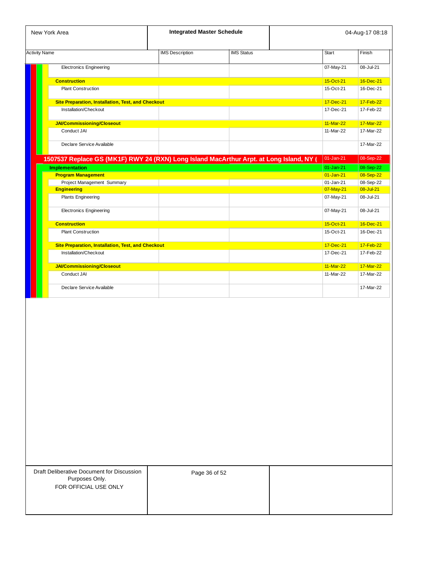| New York Area                                                                           |                           | <b>Integrated Master Schedule</b> |                   |               | 04-Aug-17 08:18 |
|-----------------------------------------------------------------------------------------|---------------------------|-----------------------------------|-------------------|---------------|-----------------|
| <b>Activity Name</b>                                                                    |                           | <b>IMS</b> Description            | <b>IMS Status</b> | Start         | Finish          |
| <b>Electronics Engineering</b>                                                          |                           |                                   |                   | 07-May-21     | 08-Jul-21       |
| <b>Construction</b>                                                                     |                           |                                   |                   | 15-Oct-21     | 16-Dec-21       |
| <b>Plant Construction</b>                                                               |                           |                                   |                   | 15-Oct-21     | 16-Dec-21       |
| Site Preparation, Installation, Test, and Checkout                                      |                           |                                   |                   | 17-Dec-21     | 17-Feb-22       |
| Installation/Checkout                                                                   |                           |                                   |                   | 17-Dec-21     | 17-Feb-22       |
| <b>JAI/Commissioning/Closeout</b>                                                       |                           |                                   |                   | 11-Mar-22     | 17-Mar-22       |
| Conduct JAI                                                                             |                           |                                   |                   | 11-Mar-22     | 17-Mar-22       |
| Declare Service Available                                                               |                           |                                   |                   |               | 17-Mar-22       |
| 1507537 Replace GS (MK1F) RWY 24 (RXN) Long Island MacArthur Arpt. at Long Island, NY ( |                           |                                   |                   | $01$ -Jan-21  | 08-Sep-22       |
| <b>Implementation</b>                                                                   |                           |                                   |                   | $01$ -Jan-21  | 08-Sep-22       |
| <b>Program Management</b>                                                               |                           |                                   |                   | $01 - Jan-21$ | 08-Sep-22       |
| Project Management Summary                                                              |                           |                                   |                   | $01$ -Jan-21  | 08-Sep-22       |
| <b>Engineering</b>                                                                      |                           |                                   |                   | 07-May-21     | 08-Jul-21       |
| <b>Plants Engineering</b>                                                               |                           |                                   |                   | 07-May-21     | 08-Jul-21       |
| <b>Electronics Engineering</b>                                                          |                           |                                   |                   | 07-May-21     | 08-Jul-21       |
| <b>Construction</b>                                                                     |                           |                                   |                   | 15-Oct-21     | 16-Dec-21       |
| <b>Plant Construction</b>                                                               |                           |                                   |                   | 15-Oct-21     | 16-Dec-21       |
| Site Preparation, Installation, Test, and Checkout                                      |                           |                                   |                   | 17-Dec-21     | 17-Feb-22       |
| Installation/Checkout                                                                   |                           |                                   |                   | 17-Dec-21     | 17-Feb-22       |
| <b>JAI/Commissioning/Closeout</b>                                                       |                           |                                   |                   | 11-Mar-22     | 17-Mar-22       |
| Conduct JAI                                                                             |                           |                                   |                   | 11-Mar-22     | 17-Mar-22       |
|                                                                                         | Declare Service Available |                                   |                   |               | 17-Mar-22       |

| Draft Deliberative Document for Discussion |  |
|--------------------------------------------|--|
| Purposes Only.                             |  |
| FOR OFFICIAL USE ONLY                      |  |

Page 36 of 52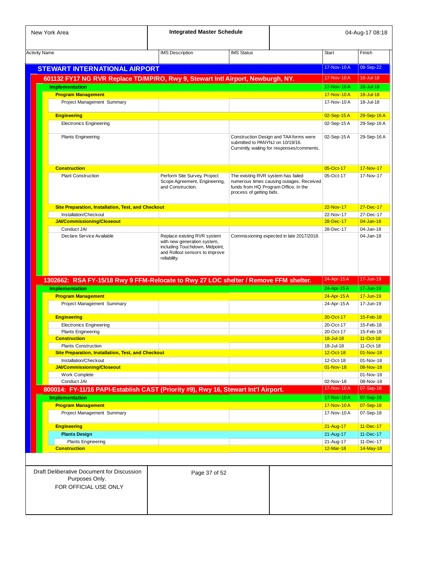|                                                                                       | <b>Integrated Master Schedule</b>                                                                                                              |                                    |                                                                                  |                          | 04-Aug-17 08:18                                                                                                                                                                                              |
|---------------------------------------------------------------------------------------|------------------------------------------------------------------------------------------------------------------------------------------------|------------------------------------|----------------------------------------------------------------------------------|--------------------------|--------------------------------------------------------------------------------------------------------------------------------------------------------------------------------------------------------------|
| <b>Activity Name</b>                                                                  | <b>IMS</b> Description                                                                                                                         | <b>IMS Status</b>                  |                                                                                  | Start                    | Finish                                                                                                                                                                                                       |
| <b>STEWART INTERNATIONAL AIRPORT</b>                                                  |                                                                                                                                                |                                    |                                                                                  | 17-Nov-10A               | 08-Sep-22                                                                                                                                                                                                    |
|                                                                                       |                                                                                                                                                |                                    |                                                                                  |                          |                                                                                                                                                                                                              |
| 601132 FY17 NG RVR Replace TD/MP/RO, Rwy 9, Stewart Intl Airport, Newburgh, NY.       |                                                                                                                                                |                                    |                                                                                  | 17-Nov-10A               | 18-Jul-18                                                                                                                                                                                                    |
| <b>Implementation</b>                                                                 |                                                                                                                                                |                                    |                                                                                  | 17-Nov-10A               | 18-Jul-18                                                                                                                                                                                                    |
| <b>Program Management</b>                                                             |                                                                                                                                                |                                    |                                                                                  | 17-Nov-10A<br>17-Nov-10A | 18-Jul-18<br>18-Jul-18                                                                                                                                                                                       |
| Project Management Summary                                                            |                                                                                                                                                |                                    |                                                                                  |                          |                                                                                                                                                                                                              |
| <b>Engineering</b>                                                                    |                                                                                                                                                |                                    |                                                                                  | 02-Sep-15A               | 29-Sep-16 A                                                                                                                                                                                                  |
| <b>Electronics Engineering</b>                                                        |                                                                                                                                                |                                    |                                                                                  | 02-Sep-15A               | 29-Sep-16 A                                                                                                                                                                                                  |
| <b>Plants Engineering</b>                                                             |                                                                                                                                                |                                    | Construction Design and TAA forms were                                           | 02-Sep-15A               | 29-Sep-16 A                                                                                                                                                                                                  |
|                                                                                       |                                                                                                                                                | submitted to PANYNJ on 10/19/16.   | Currently, waiting for responses/comments.                                       |                          |                                                                                                                                                                                                              |
| <b>Construction</b>                                                                   |                                                                                                                                                |                                    |                                                                                  | 05-Oct-17                | 17-Nov-17                                                                                                                                                                                                    |
| <b>Plant Construction</b>                                                             | Perform Site Survey, Project                                                                                                                   | The existing RVR system has failed |                                                                                  | 05-Oct-17                | 17-Nov-17                                                                                                                                                                                                    |
|                                                                                       | Scope Agreement, Engineering,<br>and Construction.                                                                                             | process of getting bids.           | numerous times causing outages. Received<br>funds from HQ Program Office. In the |                          |                                                                                                                                                                                                              |
| <b>Site Preparation, Installation, Test, and Checkout</b>                             |                                                                                                                                                |                                    |                                                                                  | 22-Nov-17                | 27-Dec-17                                                                                                                                                                                                    |
| Installation/Checkout                                                                 |                                                                                                                                                |                                    |                                                                                  | 22-Nov-17                | 27-Dec-17                                                                                                                                                                                                    |
| <b>JAI/Commissioning/Closeout</b>                                                     |                                                                                                                                                |                                    |                                                                                  | 28-Dec-17                | $04 - Jan-18$                                                                                                                                                                                                |
| Conduct JAI                                                                           |                                                                                                                                                |                                    |                                                                                  | 28-Dec-17                | 04-Jan-18                                                                                                                                                                                                    |
| Declare Service Available                                                             | Replace existing RVR system<br>with new generation system,<br>including Touchdown, Midpoint,<br>and Rollout sensors to improve<br>reliability. |                                    | Commissioning expected in late 2017/2018.                                        |                          | 04-Jan-18                                                                                                                                                                                                    |
| 1302662: RSA FY-15/18 Rwy 9 FFM-Relocate to Rwy 27 LOC shelter / Remove FFM shelter.  |                                                                                                                                                |                                    |                                                                                  | 24-Apr-15 A              | 17-Jun-19                                                                                                                                                                                                    |
| <b>Implementation</b>                                                                 |                                                                                                                                                |                                    |                                                                                  | 24-Apr-15 A              | 17-Jun-19                                                                                                                                                                                                    |
| <b>Program Management</b>                                                             |                                                                                                                                                |                                    |                                                                                  | 24-Apr-15 A              | 17-Jun-19                                                                                                                                                                                                    |
| Project Management Summary                                                            |                                                                                                                                                |                                    |                                                                                  | 24-Apr-15 A              | 17-Jun-19                                                                                                                                                                                                    |
| <b>Engineering</b>                                                                    |                                                                                                                                                |                                    |                                                                                  |                          |                                                                                                                                                                                                              |
|                                                                                       |                                                                                                                                                |                                    |                                                                                  | 20-Oct-17                |                                                                                                                                                                                                              |
| <b>Electronics Engineering</b>                                                        |                                                                                                                                                |                                    |                                                                                  | 20-Oct-17                |                                                                                                                                                                                                              |
| <b>Plants Engineering</b>                                                             |                                                                                                                                                |                                    |                                                                                  | 20-Oct-17                |                                                                                                                                                                                                              |
| <b>Construction</b>                                                                   |                                                                                                                                                |                                    |                                                                                  | 18-Jul-18                |                                                                                                                                                                                                              |
| <b>Plants Construction</b>                                                            |                                                                                                                                                |                                    |                                                                                  | 18-Jul-18                |                                                                                                                                                                                                              |
| <b>Site Preparation, Installation, Test, and Checkout</b><br>Installation/Checkout    |                                                                                                                                                |                                    |                                                                                  | 12-Oct-18                |                                                                                                                                                                                                              |
| <b>JAI/Commissioning/Closeout</b>                                                     |                                                                                                                                                |                                    |                                                                                  | 12-Oct-18<br>01-Nov-18   |                                                                                                                                                                                                              |
| Work Complete                                                                         |                                                                                                                                                |                                    |                                                                                  |                          |                                                                                                                                                                                                              |
| Conduct JAI                                                                           |                                                                                                                                                |                                    |                                                                                  | 02-Nov-18                |                                                                                                                                                                                                              |
|                                                                                       |                                                                                                                                                |                                    |                                                                                  | 17-Nov-10A               |                                                                                                                                                                                                              |
| 800014: FY-11/16 PAPI-Establish CAST (Priority #9), Rwy 16, Stewart Int'l Airport.    |                                                                                                                                                |                                    |                                                                                  |                          |                                                                                                                                                                                                              |
| <b>Implementation</b>                                                                 |                                                                                                                                                |                                    |                                                                                  | 17-Nov-10A               |                                                                                                                                                                                                              |
| <b>Program Management</b><br>Project Management Summary                               |                                                                                                                                                |                                    |                                                                                  | 17-Nov-10A<br>17-Nov-10A |                                                                                                                                                                                                              |
| <b>Engineering</b>                                                                    |                                                                                                                                                |                                    |                                                                                  | 21-Aug-17                |                                                                                                                                                                                                              |
| <b>Plants Design</b>                                                                  |                                                                                                                                                |                                    |                                                                                  | 21-Aug-17                | 15-Feb-18<br>15-Feb-18<br>15-Feb-18<br>11-Oct-18<br>11-Oct-18<br>01-Nov-18<br>01-Nov-18<br>08-Nov-18<br>01-Nov-18<br>08-Nov-18<br>07-Sep-18<br>07-Sep-18<br>07-Sep-18<br>07-Sep-18<br>11-Dec-17<br>11-Dec-17 |
| <b>Plants Engineering</b>                                                             |                                                                                                                                                |                                    |                                                                                  | 21-Aug-17                | 11-Dec-17                                                                                                                                                                                                    |
| <b>Construction</b>                                                                   |                                                                                                                                                |                                    |                                                                                  | 12-Mar-18                |                                                                                                                                                                                                              |
|                                                                                       | Page 37 of 52                                                                                                                                  |                                    |                                                                                  |                          | 14-May-18                                                                                                                                                                                                    |
| Draft Deliberative Document for Discussion<br>Purposes Only.<br>FOR OFFICIAL USE ONLY |                                                                                                                                                |                                    |                                                                                  |                          |                                                                                                                                                                                                              |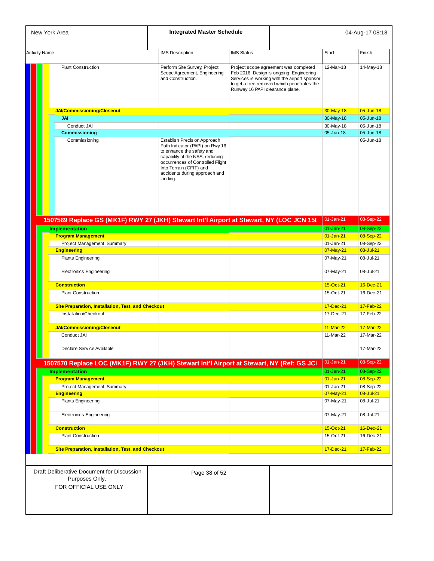| New York Area                                                                             | <b>Integrated Master Schedule</b>                                                                                                                                                                                                           |                                 |                                                                                                                                                                                 | 04-Aug-17 08:18        |                        |
|-------------------------------------------------------------------------------------------|---------------------------------------------------------------------------------------------------------------------------------------------------------------------------------------------------------------------------------------------|---------------------------------|---------------------------------------------------------------------------------------------------------------------------------------------------------------------------------|------------------------|------------------------|
| <b>Activity Name</b>                                                                      | <b>IMS Description</b>                                                                                                                                                                                                                      | <b>IMS Status</b>               |                                                                                                                                                                                 | Start                  | Finish                 |
| <b>Plant Construction</b>                                                                 | Perform Site Survey, Project<br>Scope Agreement, Engineering<br>and Construction.                                                                                                                                                           | Runway 16 PAPI clearance plane. | Project scope agreement was completed<br>Feb 2016. Design is ongoing. Engineering<br>Services is working with the airport sponsor<br>to get a tree removed which penetrates the | 12-Mar-18              | 14-May-18              |
| <b>JAI/Commissioning/Closeout</b>                                                         |                                                                                                                                                                                                                                             |                                 |                                                                                                                                                                                 | 30-May-18              | 05-Jun-18              |
| JAI                                                                                       |                                                                                                                                                                                                                                             |                                 |                                                                                                                                                                                 | 30-May-18              | 05-Jun-18              |
| Conduct JAI                                                                               |                                                                                                                                                                                                                                             |                                 |                                                                                                                                                                                 | 30-May-18              | 05-Jun-18              |
| <b>Commissioning</b>                                                                      |                                                                                                                                                                                                                                             |                                 |                                                                                                                                                                                 | 05-Jun-18              | 05-Jun-18              |
| Commissioning                                                                             | Establish Precision Approach<br>Path Indicator (PAPI) on Rwy 16<br>to enhance the safety and<br>capability of the NAS, reducing<br>occurrences of Controlled Flight<br>Into Terrain (CFIT) and<br>accidents during approach and<br>landing. |                                 |                                                                                                                                                                                 |                        | 05-Jun-18              |
| 1507569 Replace GS (MK1F) RWY 27 (JKH) Stewart Int'l Airport at Stewart, NY (LOC JCN 15(  |                                                                                                                                                                                                                                             |                                 |                                                                                                                                                                                 | 01-Jan-21              | 08-Sep-22              |
| <b>Implementation</b>                                                                     |                                                                                                                                                                                                                                             |                                 |                                                                                                                                                                                 | 01-Jan-21              | 08-Sep-22              |
| <b>Program Management</b>                                                                 |                                                                                                                                                                                                                                             |                                 |                                                                                                                                                                                 | $01$ -Jan-21           | 08-Sep-22              |
| Project Management Summary<br><b>Engineering</b>                                          |                                                                                                                                                                                                                                             |                                 |                                                                                                                                                                                 | 01-Jan-21<br>07-May-21 | 08-Sep-22<br>08-Jul-21 |
| <b>Plants Engineering</b>                                                                 |                                                                                                                                                                                                                                             |                                 |                                                                                                                                                                                 | 07-May-21              | 08-Jul-21              |
| <b>Electronics Engineering</b>                                                            |                                                                                                                                                                                                                                             |                                 |                                                                                                                                                                                 | 07-May-21              | 08-Jul-21              |
|                                                                                           |                                                                                                                                                                                                                                             |                                 |                                                                                                                                                                                 |                        |                        |
| <b>Construction</b>                                                                       |                                                                                                                                                                                                                                             |                                 |                                                                                                                                                                                 | 15-Oct-21              | 16-Dec-21              |
| <b>Plant Construction</b>                                                                 |                                                                                                                                                                                                                                             |                                 |                                                                                                                                                                                 | 15-Oct-21              | 16-Dec-21              |
| Site Preparation, Installation, Test, and Checkout                                        |                                                                                                                                                                                                                                             |                                 |                                                                                                                                                                                 | 17-Dec-21              | 17-Feb-22              |
| Installation/Checkout                                                                     |                                                                                                                                                                                                                                             |                                 |                                                                                                                                                                                 | 17-Dec-21              | 17-Feb-22              |
| <b>JAI/Commissioning/Closeout</b>                                                         |                                                                                                                                                                                                                                             |                                 |                                                                                                                                                                                 | 11-Mar-22              | 17-Mar-22              |
| Conduct JAI                                                                               |                                                                                                                                                                                                                                             |                                 |                                                                                                                                                                                 | 11-Mar-22              | 17-Mar-22              |
|                                                                                           |                                                                                                                                                                                                                                             |                                 |                                                                                                                                                                                 |                        |                        |
| Declare Service Available                                                                 |                                                                                                                                                                                                                                             |                                 |                                                                                                                                                                                 |                        | 17-Mar-22              |
| 1507570 Replace LOC (MK1F) RWY 27 (JKH) Stewart Int'l Airport at Stewart, NY (Ref: GS JCI |                                                                                                                                                                                                                                             |                                 |                                                                                                                                                                                 | 01-Jan-21              | 08-Sep-22              |
| <b>Implementation</b>                                                                     |                                                                                                                                                                                                                                             |                                 |                                                                                                                                                                                 | $01 - Jan-21$          | 08-Sep-22              |
| <b>Program Management</b>                                                                 |                                                                                                                                                                                                                                             |                                 |                                                                                                                                                                                 | $01 - Jan-21$          | 08-Sep-22              |
| Project Management Summary                                                                |                                                                                                                                                                                                                                             |                                 |                                                                                                                                                                                 | 01-Jan-21              | 08-Sep-22              |
| <b>Engineering</b>                                                                        |                                                                                                                                                                                                                                             |                                 |                                                                                                                                                                                 | 07-May-21              | 08-Jul-21              |
| <b>Plants Engineering</b>                                                                 |                                                                                                                                                                                                                                             |                                 |                                                                                                                                                                                 | 07-May-21              | 08-Jul-21              |
| <b>Electronics Engineering</b>                                                            |                                                                                                                                                                                                                                             |                                 |                                                                                                                                                                                 | 07-May-21              | 08-Jul-21              |
| <b>Construction</b>                                                                       |                                                                                                                                                                                                                                             |                                 |                                                                                                                                                                                 | 15-Oct-21              | 16-Dec-21              |
| <b>Plant Construction</b>                                                                 |                                                                                                                                                                                                                                             |                                 |                                                                                                                                                                                 | 15-Oct-21              | 16-Dec-21              |
| <b>Site Preparation, Installation, Test, and Checkout</b>                                 |                                                                                                                                                                                                                                             |                                 |                                                                                                                                                                                 | 17-Dec-21              | 17-Feb-22              |
|                                                                                           |                                                                                                                                                                                                                                             |                                 |                                                                                                                                                                                 |                        |                        |
| Draft Deliberative Document for Discussion<br>Purposes Only.<br>FOR OFFICIAL USE ONLY     | Page 38 of 52                                                                                                                                                                                                                               |                                 |                                                                                                                                                                                 |                        |                        |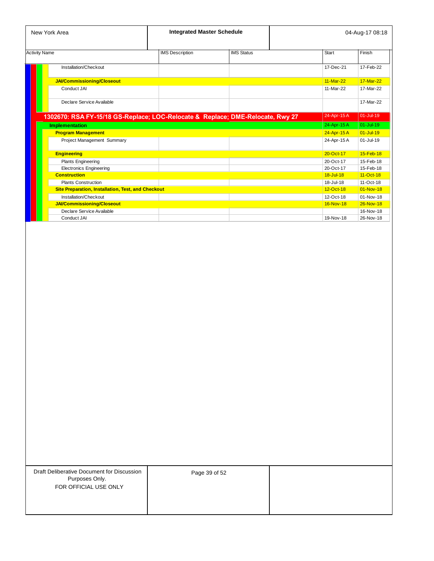| New York Area                                                                  |                        | <b>Integrated Master Schedule</b> |              | 04-Aug-17 08:18 |  |  |
|--------------------------------------------------------------------------------|------------------------|-----------------------------------|--------------|-----------------|--|--|
| <b>Activity Name</b>                                                           | <b>IMS</b> Description | <b>IMS Status</b>                 | <b>Start</b> | Finish          |  |  |
| Installation/Checkout                                                          |                        |                                   | 17-Dec-21    | 17-Feb-22       |  |  |
| <b>JAI/Commissioning/Closeout</b>                                              |                        |                                   | 11-Mar-22    | 17-Mar-22       |  |  |
| Conduct JAI                                                                    |                        |                                   | 11-Mar-22    | 17-Mar-22       |  |  |
| Declare Service Available                                                      |                        |                                   |              | 17-Mar-22       |  |  |
| 1302670: RSA FY-15/18 GS-Replace; LOC-Relocate & Replace; DME-Relocate, Rwy 27 |                        |                                   | 24-Apr-15A   | 01-Jul-19       |  |  |
| <b>Implementation</b>                                                          |                        |                                   | 24-Apr-15 A  | $01 -$ Jul-19   |  |  |
| <b>Program Management</b>                                                      |                        |                                   | 24-Apr-15 A  | $01 -$ Jul-19   |  |  |
| Project Management Summary                                                     |                        |                                   | 24-Apr-15 A  | 01-Jul-19       |  |  |
| <b>Engineering</b>                                                             |                        |                                   | 20-Oct-17    | 15-Feb-18       |  |  |
| <b>Plants Engineering</b>                                                      |                        |                                   | 20-Oct-17    | 15-Feb-18       |  |  |
| <b>Electronics Engineering</b>                                                 |                        |                                   | 20-Oct-17    | 15-Feb-18       |  |  |
| <b>Construction</b>                                                            |                        |                                   | 18-Jul-18    | $11-Ort-18$     |  |  |
| <b>Plants Construction</b>                                                     |                        |                                   | 18-Jul-18    | $11-Ort-18$     |  |  |
| <b>Site Preparation, Installation, Test, and Checkout</b>                      |                        |                                   | $12-Ort-18$  | $01-Nov-18$     |  |  |
| Installation/Checkout                                                          |                        |                                   | 12-Oct-18    | 01-Nov-18       |  |  |
| <b>JAI/Commissioning/Closeout</b>                                              |                        |                                   | 16-Nov-18    | $26-Nov-18$     |  |  |
| Declare Service Available                                                      |                        |                                   |              | 16-Nov-18       |  |  |
| Conduct JAI                                                                    |                        |                                   | 19-Nov-18    | 26-Nov-18       |  |  |

| Draft Deliberative Document for Discussion |  |
|--------------------------------------------|--|
| Purposes Only.                             |  |
| FOR OFFICIAL USE ONLY                      |  |

Page 39 of 52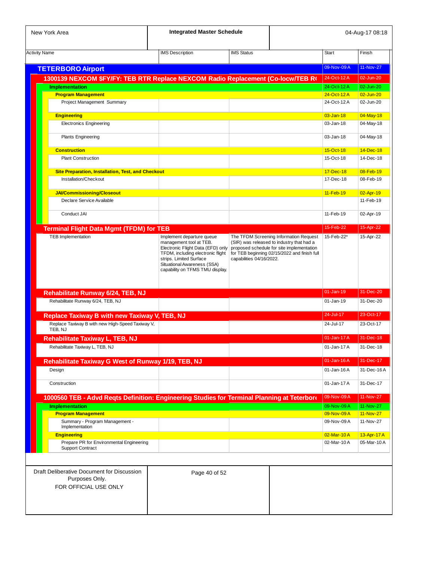| New York Area                                                                                     | <b>Integrated Master Schedule</b>                                                                                                                                                              |                          |                                                                                                                                        |                        | 04-Aug-17 08:18        |
|---------------------------------------------------------------------------------------------------|------------------------------------------------------------------------------------------------------------------------------------------------------------------------------------------------|--------------------------|----------------------------------------------------------------------------------------------------------------------------------------|------------------------|------------------------|
| <b>Activity Name</b>                                                                              | <b>IMS Description</b>                                                                                                                                                                         | <b>IMS Status</b>        |                                                                                                                                        | <b>Start</b>           | Finish                 |
| <b>TETERBORO Airport</b>                                                                          |                                                                                                                                                                                                |                          |                                                                                                                                        | 09-Nov-09 A            | 11-Nov-27              |
| 1300139 NEXCOM \$FY/FY: TEB RTR Replace NEXCOM Radio Replacement (Co-locw/TEB R)                  |                                                                                                                                                                                                |                          |                                                                                                                                        | 24-Oct-12 A            | 02-Jun-20              |
| <b>Implementation</b>                                                                             |                                                                                                                                                                                                |                          |                                                                                                                                        | 24-Oct-12 A            | 02-Jun-20              |
| <b>Program Management</b>                                                                         |                                                                                                                                                                                                |                          |                                                                                                                                        | 24-Oct-12 A            | $02 - Jun-20$          |
| Project Management Summary                                                                        |                                                                                                                                                                                                |                          |                                                                                                                                        | 24-Oct-12 A            | 02-Jun-20              |
| <b>Engineering</b>                                                                                |                                                                                                                                                                                                |                          |                                                                                                                                        | $03 - Jan-18$          | 04-May-18              |
| <b>Electronics Engineering</b>                                                                    |                                                                                                                                                                                                |                          |                                                                                                                                        | 03-Jan-18              | 04-May-18              |
| <b>Plants Engineering</b>                                                                         |                                                                                                                                                                                                |                          |                                                                                                                                        | 03-Jan-18              | 04-May-18              |
| <b>Construction</b>                                                                               |                                                                                                                                                                                                |                          |                                                                                                                                        | 15-Oct-18              | 14-Dec-18              |
| <b>Plant Construction</b>                                                                         |                                                                                                                                                                                                |                          |                                                                                                                                        | 15-Oct-18              | 14-Dec-18              |
|                                                                                                   |                                                                                                                                                                                                |                          |                                                                                                                                        |                        |                        |
| <b>Site Preparation, Installation, Test, and Checkout</b><br>Installation/Checkout                |                                                                                                                                                                                                |                          |                                                                                                                                        | 17-Dec-18<br>17-Dec-18 | 08-Feb-19<br>08-Feb-19 |
|                                                                                                   |                                                                                                                                                                                                |                          |                                                                                                                                        |                        |                        |
| <b>JAI/Commissioning/Closeout</b>                                                                 |                                                                                                                                                                                                |                          |                                                                                                                                        | 11-Feb-19              | 02-Apr-19              |
| Declare Service Available                                                                         |                                                                                                                                                                                                |                          |                                                                                                                                        |                        | 11-Feb-19              |
| Conduct JAI                                                                                       |                                                                                                                                                                                                |                          |                                                                                                                                        | 11-Feb-19              | 02-Apr-19              |
| <b>Terminal Flight Data Mgmt (TFDM) for TEB</b>                                                   |                                                                                                                                                                                                |                          |                                                                                                                                        | 15-Feb-22              | 15-Apr-22              |
|                                                                                                   | management tool at TEB.<br>Electronic Flight Data (EFD) only<br>TFDM, including electronic flight<br>strips. Limited Surface<br>Situational Awareness (SSA)<br>capability on TFMS TMU display. | capabilities 04/16/2022. | (SIR) was released to industry that had a<br>proposed schedule for site implementation<br>for TEB beginning 02/15/2022 and finish full |                        |                        |
| Rehabilitate Runway 6/24, TEB, NJ                                                                 |                                                                                                                                                                                                |                          |                                                                                                                                        | $01$ -Jan-19           | 31-Dec-20              |
| Rehabilitate Runway 6/24, TEB, NJ                                                                 |                                                                                                                                                                                                |                          |                                                                                                                                        | 01-Jan-19              | 31-Dec-20              |
|                                                                                                   |                                                                                                                                                                                                |                          |                                                                                                                                        | 24-Jul-17              | 23-Oct-17              |
| Replace Taxiway B with new Taxiway V, TEB, NJ<br>Replace Taxiway B with new High-Speed Taxiway V, |                                                                                                                                                                                                |                          |                                                                                                                                        | 24-Jul-17              | 23-Oct-17              |
| TEB, NJ                                                                                           |                                                                                                                                                                                                |                          |                                                                                                                                        |                        |                        |
| Rehabilitate Taxiway L, TEB, NJ                                                                   |                                                                                                                                                                                                |                          |                                                                                                                                        | 01-Jan-17 A            | 31-Dec-18              |
| Rehabilitate Taxiway L, TEB, NJ                                                                   |                                                                                                                                                                                                |                          |                                                                                                                                        | 01-Jan-17 A            | 31-Dec-18              |
| Rehabilitate Taxiway G West of Runway 1/19, TEB, NJ                                               |                                                                                                                                                                                                |                          |                                                                                                                                        | $01$ -Jan-16 $A$       | 31-Dec-17              |
| Design                                                                                            |                                                                                                                                                                                                |                          |                                                                                                                                        | 01-Jan-16A             | 31-Dec-16A             |
|                                                                                                   |                                                                                                                                                                                                |                          |                                                                                                                                        | 01-Jan-17 A            | 31-Dec-17              |
| Construction                                                                                      |                                                                                                                                                                                                |                          |                                                                                                                                        |                        |                        |
|                                                                                                   |                                                                                                                                                                                                |                          |                                                                                                                                        |                        |                        |
| 1000560 TEB - Advd Reqts Definition: Engineering Studies for Terminal Planning at Teterboro       |                                                                                                                                                                                                |                          |                                                                                                                                        | 09-Nov-09 A            | 11-Nov-27              |
| <b>Implementation</b>                                                                             |                                                                                                                                                                                                |                          |                                                                                                                                        | 09-Nov-09 A            | 11-Nov-27              |
| <b>Program Management</b>                                                                         |                                                                                                                                                                                                |                          |                                                                                                                                        | 09-Nov-09 A            | 11-Nov-27              |
| Summary - Program Management -<br>Implementation                                                  |                                                                                                                                                                                                |                          |                                                                                                                                        | 09-Nov-09 A            | 11-Nov-27              |
| <b>Engineering</b>                                                                                |                                                                                                                                                                                                |                          |                                                                                                                                        | 02-Mar-10A             | 13-Apr-17 A            |
| Prepare PR for Environmental Engineering<br><b>Support Contract</b>                               |                                                                                                                                                                                                |                          |                                                                                                                                        | 02-Mar-10A             |                        |
|                                                                                                   |                                                                                                                                                                                                |                          |                                                                                                                                        |                        |                        |
| Draft Deliberative Document for Discussion                                                        | Page 40 of 52                                                                                                                                                                                  |                          |                                                                                                                                        |                        |                        |
| Purposes Only.<br>FOR OFFICIAL USE ONLY                                                           |                                                                                                                                                                                                |                          |                                                                                                                                        |                        | 05-Mar-10A             |
|                                                                                                   |                                                                                                                                                                                                |                          |                                                                                                                                        |                        |                        |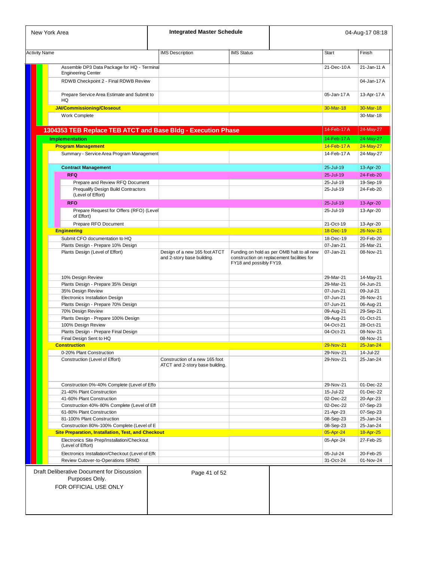| New York Area                                                                                            | <b>Integrated Master Schedule</b>                                 |                         |                                                                                          |                        | 04-Aug-17 08:18        |
|----------------------------------------------------------------------------------------------------------|-------------------------------------------------------------------|-------------------------|------------------------------------------------------------------------------------------|------------------------|------------------------|
| <b>Activity Name</b>                                                                                     | <b>IMS Description</b>                                            | <b>IMS Status</b>       |                                                                                          | <b>Start</b>           | Finish                 |
| Assemble DP3 Data Package for HQ - Terminal                                                              |                                                                   |                         |                                                                                          | 21-Dec-10A             | 21-Jan-11 A            |
| <b>Engineering Center</b><br>RDWB Checkpoint 2 - Final RDWB Review                                       |                                                                   |                         |                                                                                          |                        | 04-Jan-17 A            |
| Prepare Service Area Estimate and Submit to<br>HQ                                                        |                                                                   |                         |                                                                                          | 05-Jan-17 A            | 13-Apr-17 A            |
| <b>JAI/Commissioning/Closeout</b>                                                                        |                                                                   |                         |                                                                                          | 30-Mar-18              | 30-Mar-18              |
| Work Complete                                                                                            |                                                                   |                         |                                                                                          |                        | 30-Mar-18              |
| 1304353 TEB Replace TEB ATCT and Base Bldg - Execution Phase                                             |                                                                   |                         |                                                                                          | 14-Feb-17 A            | 24-May-27              |
| <b>Implementation</b>                                                                                    |                                                                   |                         |                                                                                          | 14-Feb-17 A            | 24-May-27              |
| <b>Program Management</b>                                                                                |                                                                   |                         |                                                                                          | 14-Feb-17A             | 24-May-27              |
| Summary - Service Area Program Management                                                                |                                                                   |                         |                                                                                          | 14-Feb-17 A            | 24-May-27              |
|                                                                                                          |                                                                   |                         |                                                                                          |                        |                        |
| <b>Contract Management</b>                                                                               |                                                                   |                         |                                                                                          | 25-Jul-19              | 13-Apr-20              |
| <b>RFQ</b>                                                                                               |                                                                   |                         |                                                                                          | 25-Jul-19              | 24-Feb-20              |
| Prepare and Review RFQ Document<br><b>Prequalify Design Build Contractors</b>                            |                                                                   |                         |                                                                                          | 25-Jul-19<br>25-Jul-19 | 19-Sep-19<br>24-Feb-20 |
| (Level of Effort)                                                                                        |                                                                   |                         |                                                                                          |                        |                        |
| <b>RFO</b>                                                                                               |                                                                   |                         |                                                                                          | 25-Jul-19              | 13-Apr-20              |
| Prepare Request for Offers (RFO) (Level<br>of Effort)                                                    |                                                                   |                         |                                                                                          | 25-Jul-19              | 13-Apr-20              |
| Prepare RFO Document                                                                                     |                                                                   |                         |                                                                                          | 21-Oct-19              | 13-Apr-20              |
| <b>Engineering</b>                                                                                       |                                                                   |                         |                                                                                          | 18-Dec-19              | 26-Nov-21              |
| Submit CFO documentation to HQ                                                                           |                                                                   |                         |                                                                                          | 18-Dec-19              | 20-Feb-20              |
| Plants Design - Prepare 10% Design                                                                       |                                                                   |                         |                                                                                          | 07-Jan-21              | 26-Mar-21              |
| Plants Design (Level of Effort)                                                                          | Design of a new 165 foot ATCT<br>and 2-story base building.       | FY18 and possibly FY19. | Funding on hold as per OMB halt to all new<br>construction on replacement facilities for | 07-Jan-21              | 08-Nov-21              |
| 10% Design Review                                                                                        |                                                                   |                         |                                                                                          | 29-Mar-21              | 14-May-21              |
| Plants Design - Prepare 35% Design                                                                       |                                                                   |                         |                                                                                          | 29-Mar-21              | 04-Jun-21              |
| 35% Design Review                                                                                        |                                                                   |                         |                                                                                          | 07-Jun-21              | 09-Jul-21              |
| Electronics Installation Design                                                                          |                                                                   |                         |                                                                                          | 07-Jun-21              | 26-Nov-21              |
| Plants Design - Prepare 70% Design                                                                       |                                                                   |                         |                                                                                          | 07-Jun-21              | 06-Aug-21              |
| 70% Design Review                                                                                        |                                                                   |                         |                                                                                          | 09-Aug-21              | 29-Sep-21              |
| Plants Design - Prepare 100% Design                                                                      |                                                                   |                         |                                                                                          | 09-Aug-21              | 01-Oct-21              |
| 100% Design Review                                                                                       |                                                                   |                         |                                                                                          | 04-Oct-21              | 28-Oct-21              |
| Plants Design - Prepare Final Design                                                                     |                                                                   |                         |                                                                                          | 04-Oct-21              | 08-Nov-21              |
| Final Design Sent to HQ                                                                                  |                                                                   |                         |                                                                                          |                        | 08-Nov-21              |
| <b>Construction</b>                                                                                      |                                                                   |                         |                                                                                          | 29-Nov-21              | $25 - Jan-24$          |
| 0-20% Plant Construction                                                                                 |                                                                   |                         |                                                                                          | 29-Nov-21              | 14-Jul-22              |
| Construction (Level of Effort)                                                                           | Construction of a new 165 foot<br>ATCT and 2-story base building. |                         |                                                                                          | 29-Nov-21              | 25-Jan-24              |
|                                                                                                          |                                                                   |                         |                                                                                          |                        |                        |
| Construction 0%-40% Complete (Level of Effo<br>21-40% Plant Construction                                 |                                                                   |                         |                                                                                          | 29-Nov-21<br>15-Jul-22 | 01-Dec-22<br>01-Dec-22 |
|                                                                                                          |                                                                   |                         |                                                                                          |                        |                        |
| 41-60% Plant Construction                                                                                |                                                                   |                         |                                                                                          | 02-Dec-22              | 20-Apr-23              |
| Construction 40%-80% Complete (Level of Eff                                                              |                                                                   |                         |                                                                                          | 02-Dec-22              | 07-Sep-23              |
| 61-80% Plant Construction<br>81-100% Plant Construction                                                  |                                                                   |                         |                                                                                          | 21-Apr-23              | 07-Sep-23<br>25-Jan-24 |
|                                                                                                          |                                                                   |                         |                                                                                          | 08-Sep-23              |                        |
| Construction 80%-100% Complete (Level of E                                                               |                                                                   |                         |                                                                                          | 08-Sep-23              | 25-Jan-24              |
| <b>Site Preparation, Installation, Test, and Checkout</b><br>Electronics Site Prep/Installation/Checkout |                                                                   |                         |                                                                                          | 05-Apr-24<br>05-Apr-24 | 18-Apr-25<br>27-Feb-25 |
| (Level of Effort)                                                                                        |                                                                   |                         |                                                                                          |                        |                        |
| Electronics Installation/Checkout (Level of Effo                                                         |                                                                   |                         |                                                                                          | 05-Jul-24              | 20-Feb-25              |
| Review Cutover-to-Operations SRMD                                                                        |                                                                   |                         |                                                                                          | 31-Oct-24              | 01-Nov-24              |
| Draft Deliberative Document for Discussion<br>Purposes Only.<br>FOR OFFICIAL USE ONLY                    | Page 41 of 52                                                     |                         |                                                                                          |                        |                        |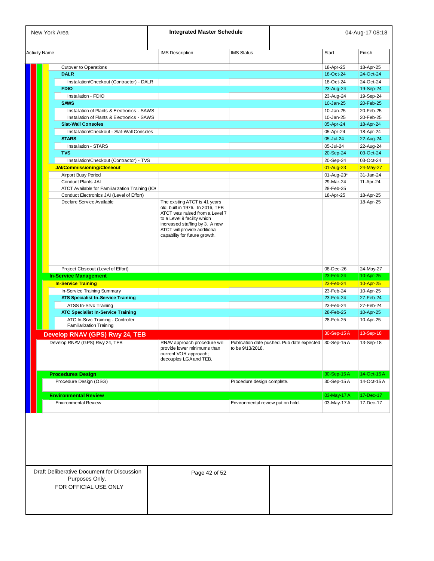| <b>Activity Name</b><br><b>Cutover to Operations</b><br><b>DALR</b><br>Installation/Checkout (Contractor) - DALR<br><b>FDIO</b> | <b>IMS</b> Description                                                                                                          |                                                                                                                |              | 04-Aug-17 08:18        |
|---------------------------------------------------------------------------------------------------------------------------------|---------------------------------------------------------------------------------------------------------------------------------|----------------------------------------------------------------------------------------------------------------|--------------|------------------------|
|                                                                                                                                 |                                                                                                                                 | <b>IMS Status</b>                                                                                              | <b>Start</b> | Finish                 |
|                                                                                                                                 |                                                                                                                                 |                                                                                                                | 18-Apr-25    | 18-Apr-25              |
|                                                                                                                                 |                                                                                                                                 |                                                                                                                | 18-Oct-24    | 24-Oct-24              |
|                                                                                                                                 |                                                                                                                                 |                                                                                                                | 18-Oct-24    | 24-Oct-24              |
|                                                                                                                                 |                                                                                                                                 |                                                                                                                | 23-Aug-24    | 19-Sep-24              |
| Installation - FDIO                                                                                                             |                                                                                                                                 |                                                                                                                | 23-Aug-24    | 19-Sep-24              |
| <b>SAWS</b>                                                                                                                     |                                                                                                                                 |                                                                                                                | 10-Jan-25    | 20-Feb-25              |
| Installation of Plants & Electronics - SAWS                                                                                     |                                                                                                                                 |                                                                                                                | 10-Jan-25    | 20-Feb-25              |
| Installation of Plants & Electronics - SAWS                                                                                     |                                                                                                                                 |                                                                                                                | 10-Jan-25    | 20-Feb-25              |
| <b>Slat-Wall Consoles</b>                                                                                                       |                                                                                                                                 |                                                                                                                | 05-Apr-24    | 18-Apr-24              |
| Installation/Checkout - Slat-Wall Consoles                                                                                      |                                                                                                                                 |                                                                                                                | 05-Apr-24    | 18-Apr-24              |
| <b>STARS</b>                                                                                                                    |                                                                                                                                 |                                                                                                                | 05-Jul-24    | 22-Aug-24              |
| <b>Installation - STARS</b>                                                                                                     |                                                                                                                                 |                                                                                                                | 05-Jul-24    |                        |
| <b>TVS</b>                                                                                                                      |                                                                                                                                 |                                                                                                                | 20-Sep-24    | 22-Aug-24<br>03-Oct-24 |
|                                                                                                                                 |                                                                                                                                 |                                                                                                                |              |                        |
| Installation/Checkout (Contractor) - TVS                                                                                        |                                                                                                                                 |                                                                                                                | 20-Sep-24    | 03-Oct-24              |
| <b>JAI/Commissioning/Closeout</b>                                                                                               |                                                                                                                                 |                                                                                                                | 01-Aug-23    | 24-May-27              |
| Airport Busy Period                                                                                                             |                                                                                                                                 |                                                                                                                | 01-Aug-23*   | 31-Jan-24              |
| <b>Conduct Plants JAI</b>                                                                                                       |                                                                                                                                 |                                                                                                                | 29-Mar-24    | 11-Apr-24              |
| ATCT Available for Familiarization Training (IO<br>Conduct Electronics JAI (Level of Effort)                                    |                                                                                                                                 |                                                                                                                | 28-Feb-25    |                        |
| Declare Service Available                                                                                                       | The existing ATCT is 41 years<br>old, built in 1976. In 2016, TEB                                                               |                                                                                                                | 18-Apr-25    | 18-Apr-25<br>18-Apr-25 |
|                                                                                                                                 | ATCT was raised from a Level 7<br>to a Level 9 facility which<br>increased staffing by 3. A new<br>ATCT will provide additional |                                                                                                                |              |                        |
|                                                                                                                                 | capability for future growth.                                                                                                   |                                                                                                                |              |                        |
| Project Closeout (Level of Effort)                                                                                              |                                                                                                                                 |                                                                                                                | 08-Dec-26    | 24-May-27              |
| <b>In-Service Management</b>                                                                                                    |                                                                                                                                 |                                                                                                                | 23-Feb-24    | 10-Apr-25              |
| <b>In-Service Training</b>                                                                                                      |                                                                                                                                 |                                                                                                                | 23-Feb-24    | 10-Apr-25              |
| In-Service Training Summary                                                                                                     |                                                                                                                                 |                                                                                                                | 23-Feb-24    | 10-Apr-25              |
| <b>ATS Specialist In-Service Training</b>                                                                                       |                                                                                                                                 |                                                                                                                | 23-Feb-24    | 27-Feb-24              |
|                                                                                                                                 |                                                                                                                                 |                                                                                                                | 23-Feb-24    |                        |
| <b>ATSS In-Srvc Training</b>                                                                                                    |                                                                                                                                 |                                                                                                                |              | 27-Feb-24              |
| <b>ATC Specialist In-Service Training</b>                                                                                       |                                                                                                                                 |                                                                                                                | 28-Feb-25    | 10-Apr-25              |
| ATC In-Srvc Training - Controller<br><b>Familiarization Training</b>                                                            |                                                                                                                                 |                                                                                                                | 28-Feb-25    | 10-Apr-25              |
|                                                                                                                                 |                                                                                                                                 |                                                                                                                | 30-Sep-15A   | 13-Sep-18              |
| Develop RNAV (GPS) Rwy 24, TEB<br>Develop RNAV (GPS) Rwy 24, TEB                                                                | provide lower minimums than<br>current VOR approach;<br>decouples LGA and TEB.                                                  | RNAV approach procedure will   Publication date pushed. Pub date expected   30-Sep-15 A<br>to be $9/13/2018$ . |              | $13-Sep-18$            |
|                                                                                                                                 |                                                                                                                                 |                                                                                                                |              |                        |
| <b>Procedures Design</b>                                                                                                        |                                                                                                                                 |                                                                                                                | 30-Sep-15A   | 14-Oct-15A             |
| Procedure Design (OSG)                                                                                                          |                                                                                                                                 | Procedure design complete.                                                                                     | 30-Sep-15A   | 14-Oct-15 A            |
| <b>Environmental Review</b>                                                                                                     |                                                                                                                                 |                                                                                                                | 03-May-17 A  | 17-Dec-17              |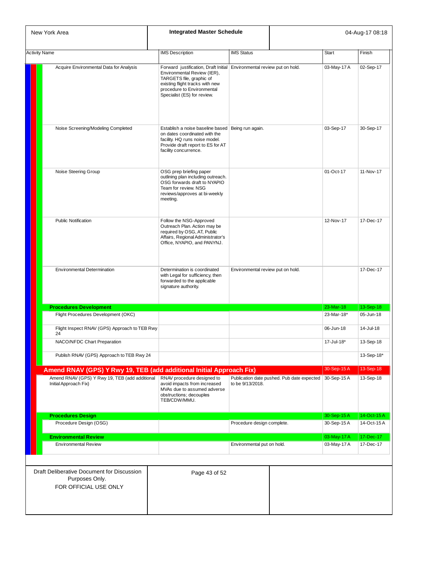| New York Area                                                                         | <b>Integrated Master Schedule</b>                                                                                                                                                                                                 |                                   | 04-Aug-17 08:18                            |              |             |
|---------------------------------------------------------------------------------------|-----------------------------------------------------------------------------------------------------------------------------------------------------------------------------------------------------------------------------------|-----------------------------------|--------------------------------------------|--------------|-------------|
| <b>Activity Name</b>                                                                  | <b>IMS</b> Description                                                                                                                                                                                                            | <b>IMS Status</b>                 |                                            | <b>Start</b> | Finish      |
| Acquire Environmental Data for Analysis                                               | Forward justification, Draft Initial Environmental review put on hold.<br>Environmental Review (IER),<br>TARGETS file, graphic of<br>existing flight tracks with new<br>procedure to Environmental<br>Specialist (ES) for review. |                                   |                                            | 03-May-17 A  | 02-Sep-17   |
| Noise Screening/Modeling Completed                                                    | Establish a noise baseline based   Being run again.<br>on dates coordinated with the<br>facility. HQ runs noise model.<br>Provide draft report to ES for AT<br>facility concurrence.                                              |                                   |                                            | 03-Sep-17    | 30-Sep-17   |
| Noise Steering Group                                                                  | OSG prep briefing paper<br>outlining plan including outreach.<br>OSG forwards draft to NYAPIO<br>Team for review. NSG<br>reviews/approves at bi-weekly<br>meeting.                                                                |                                   |                                            | 01-Oct-17    | 11-Nov-17   |
| <b>Public Notification</b>                                                            | Follow the NSG-Approved<br>Outreach Plan. Action may be<br>required by OSG, AT, Public<br>Affairs, Regional Administrator's<br>Office, NYAPIO, and PANYNJ.                                                                        |                                   |                                            | 12-Nov-17    | 17-Dec-17   |
| <b>Environmental Determination</b>                                                    | Determination is coordinated<br>with Legal for sufficiency, then<br>forwarded to the applicable<br>signature authority.                                                                                                           | Environmental review put on hold. |                                            |              | 17-Dec-17   |
| <b>Procedures Development</b>                                                         |                                                                                                                                                                                                                                   |                                   |                                            | 23-Mar-18    | 13-Sep-18   |
| Flight Procedures Development (OKC)                                                   |                                                                                                                                                                                                                                   |                                   |                                            | 23-Mar-18*   | 05-Jun-18   |
| Flight Inspect RNAV (GPS) Approach to TEB Rwy<br>24                                   |                                                                                                                                                                                                                                   |                                   |                                            | 06-Jun-18    | 14-Jul-18   |
| NACO/NFDC Chart Preparation                                                           |                                                                                                                                                                                                                                   |                                   |                                            | 17-Jul-18*   | 13-Sep-18   |
| Publish RNAV (GPS) Approach to TEB Rwy 24                                             |                                                                                                                                                                                                                                   |                                   |                                            |              | 13-Sep-18*  |
| Amend RNAV (GPS) Y Rwy 19, TEB (add additional Initial Approach Fix)                  |                                                                                                                                                                                                                                   |                                   |                                            | 30-Sep-15A   | 13-Sep-18   |
| Amend RNAV (GPS) Y Rwy 19, TEB (add additional<br>Initial Approach Fix)               | RNAV procedure designed to<br>avoid impacts from increased<br>MVAs due to assumed adverse<br>obstructions; decouples<br>TEB/CDW/MMU.                                                                                              | to be 9/13/2018.                  | Publication date pushed. Pub date expected | 30-Sep-15A   | 13-Sep-18   |
| <b>Procedures Design</b>                                                              |                                                                                                                                                                                                                                   |                                   |                                            | 30-Sep-15A   | 14-Oct-15 A |
| Procedure Design (OSG)                                                                |                                                                                                                                                                                                                                   | Procedure design complete.        |                                            | 30-Sep-15A   | 14-Oct-15A  |
| <b>Environmental Review</b>                                                           |                                                                                                                                                                                                                                   |                                   |                                            | 03-May-17 A  | 17-Dec-17   |
| <b>Environmental Review</b>                                                           |                                                                                                                                                                                                                                   | Environmental put on hold.        |                                            | 03-May-17 A  | 17-Dec-17   |
| Draft Deliberative Document for Discussion<br>Purposes Only.<br>FOR OFFICIAL USE ONLY | Page 43 of 52                                                                                                                                                                                                                     |                                   |                                            |              |             |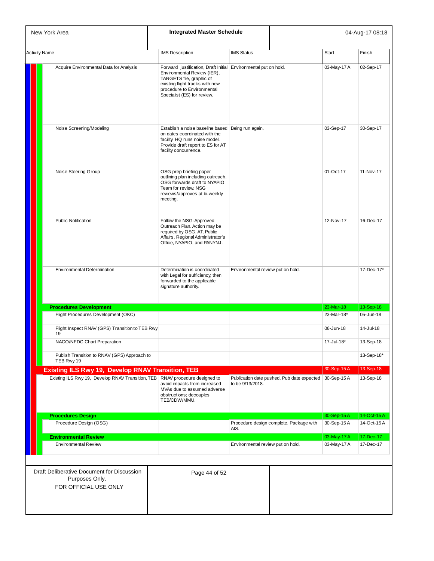| New York Area                                                                         | <b>Integrated Master Schedule</b>                                                                                                                                                                                          |                                   |                                            |              | 04-Aug-17 08:18 |
|---------------------------------------------------------------------------------------|----------------------------------------------------------------------------------------------------------------------------------------------------------------------------------------------------------------------------|-----------------------------------|--------------------------------------------|--------------|-----------------|
| <b>Activity Name</b>                                                                  | <b>IMS Description</b>                                                                                                                                                                                                     | <b>IMS Status</b>                 |                                            | <b>Start</b> | Finish          |
| Acquire Environmental Data for Analysis                                               | Forward justification, Draft Initial Environmental put on hold.<br>Environmental Review (IER),<br>TARGETS file, graphic of<br>existing flight tracks with new<br>procedure to Environmental<br>Specialist (ES) for review. |                                   |                                            | 03-May-17 A  | 02-Sep-17       |
| Noise Screening/Modeling                                                              | Establish a noise baseline based   Being run again.<br>on dates coordinated with the<br>facility. HQ runs noise model.<br>Provide draft report to ES for AT<br>facility concurrence.                                       |                                   |                                            | 03-Sep-17    | 30-Sep-17       |
| Noise Steering Group                                                                  | OSG prep briefing paper<br>outlining plan including outreach.<br>OSG forwards draft to NYAPIO<br>Team for review. NSG<br>reviews/approves at bi-weekly<br>meeting.                                                         |                                   |                                            | 01-Oct-17    | 11-Nov-17       |
| <b>Public Notification</b>                                                            | Follow the NSG-Approved<br>Outreach Plan. Action may be<br>required by OSG, AT, Public<br>Affairs, Regional Administrator's<br>Office, NYAPIO, and PANYNJ.                                                                 |                                   |                                            | 12-Nov-17    | 16-Dec-17       |
| <b>Environmental Determination</b>                                                    | Determination is coordinated<br>with Legal for sufficiency, then<br>forwarded to the applicable<br>signature authority.                                                                                                    | Environmental review put on hold. |                                            |              | 17-Dec-17*      |
| <b>Procedures Development</b>                                                         |                                                                                                                                                                                                                            |                                   |                                            | 23-Mar-18    | 13-Sep-18       |
| Flight Procedures Development (OKC)                                                   |                                                                                                                                                                                                                            |                                   |                                            | 23-Mar-18*   | 05-Jun-18       |
| Flight Inspect RNAV (GPS) Transition to TEB Rwy<br>19                                 |                                                                                                                                                                                                                            |                                   |                                            | 06-Jun-18    | 14-Jul-18       |
| NACO/NFDC Chart Preparation                                                           |                                                                                                                                                                                                                            |                                   |                                            | 17-Jul-18*   | 13-Sep-18       |
| Publish Transition to RNAV (GPS) Approach to<br>TEB Rwy 19                            |                                                                                                                                                                                                                            |                                   |                                            |              | 13-Sep-18*      |
| <b>Existing ILS Rwy 19, Develop RNAV Transition, TEB</b>                              |                                                                                                                                                                                                                            |                                   |                                            | 30-Sep-15A   | 13-Sep-18       |
| Existing ILS Rwy 19, Develop RNAV Transition, TEB RNAV procedure designed to          | avoid impacts from increased<br>MVAs due to assumed adverse<br>obstructions; decouples<br>TEB/CDW/MMU.                                                                                                                     | to be 9/13/2018.                  | Publication date pushed. Pub date expected | 30-Sep-15A   | 13-Sep-18       |
| <b>Procedures Design</b>                                                              |                                                                                                                                                                                                                            |                                   |                                            | 30-Sep-15A   | 14-Oct-15A      |
| Procedure Design (OSG)                                                                |                                                                                                                                                                                                                            | AIS.                              | Procedure design complete. Package with    | 30-Sep-15A   | 14-Oct-15 A     |
| <b>Environmental Review</b>                                                           |                                                                                                                                                                                                                            |                                   |                                            | 03-May-17 A  | 17-Dec-17       |
| <b>Environmental Review</b>                                                           |                                                                                                                                                                                                                            | Environmental review put on hold. |                                            | 03-May-17 A  | 17-Dec-17       |
| Draft Deliberative Document for Discussion<br>Purposes Only.<br>FOR OFFICIAL USE ONLY | Page 44 of 52                                                                                                                                                                                                              |                                   |                                            |              |                 |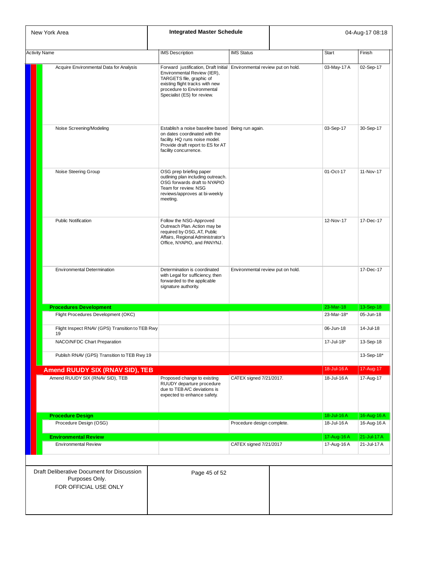| New York Area                                                                         | <b>Integrated Master Schedule</b>                                                                                                                                                                                                 |                                   |              | 04-Aug-17 08:18 |
|---------------------------------------------------------------------------------------|-----------------------------------------------------------------------------------------------------------------------------------------------------------------------------------------------------------------------------------|-----------------------------------|--------------|-----------------|
| <b>Activity Name</b>                                                                  | <b>IMS</b> Description                                                                                                                                                                                                            | <b>IMS Status</b>                 | <b>Start</b> | Finish          |
| Acquire Environmental Data for Analysis                                               | Forward justification, Draft Initial Environmental review put on hold.<br>Environmental Review (IER),<br>TARGETS file, graphic of<br>existing flight tracks with new<br>procedure to Environmental<br>Specialist (ES) for review. |                                   | 03-May-17 A  | 02-Sep-17       |
| Noise Screening/Modeling                                                              | Establish a noise baseline based   Being run again.<br>on dates coordinated with the<br>facility. HQ runs noise model.<br>Provide draft report to ES for AT<br>facility concurrence.                                              |                                   | 03-Sep-17    | 30-Sep-17       |
| Noise Steering Group                                                                  | OSG prep briefing paper<br>outlining plan including outreach.<br>OSG forwards draft to NYAPIO<br>Team for review. NSG<br>reviews/approves at bi-weekly<br>meeting.                                                                |                                   | 01-Oct-17    | 11-Nov-17       |
| <b>Public Notification</b>                                                            | Follow the NSG-Approved<br>Outreach Plan. Action may be<br>required by OSG, AT, Public<br>Affairs, Regional Administrator's<br>Office, NYAPIO, and PANYNJ.                                                                        |                                   | 12-Nov-17    | 17-Dec-17       |
| <b>Environmental Determination</b>                                                    | Determination is coordinated<br>with Legal for sufficiency, then<br>forwarded to the applicable<br>signature authority.                                                                                                           | Environmental review put on hold. |              | 17-Dec-17       |
| <b>Procedures Development</b>                                                         |                                                                                                                                                                                                                                   |                                   | 23-Mar-18    | 13-Sep-18       |
| Flight Procedures Development (OKC)                                                   |                                                                                                                                                                                                                                   |                                   | 23-Mar-18*   | 05-Jun-18       |
| Flight Inspect RNAV (GPS) Transition to TEB Rwy<br>19                                 |                                                                                                                                                                                                                                   |                                   | 06-Jun-18    | 14-Jul-18       |
| NACO/NFDC Chart Preparation                                                           |                                                                                                                                                                                                                                   |                                   | 17-Jul-18*   | 13-Sep-18       |
| Publish RNAV (GPS) Transition to TEB Rwy 19                                           |                                                                                                                                                                                                                                   |                                   |              | 13-Sep-18*      |
| <b>Amend RUUDY SIX (RNAV SID), TEB</b>                                                |                                                                                                                                                                                                                                   |                                   | 18-Jul-16 A  | 17-Aug-17       |
| Amend RUUDY SIX (RNAV SID), TEB                                                       | Proposed change to existing<br>RUUDY departure procedure<br>due to TEB A/C deviations is<br>expected to enhance safety.                                                                                                           | CATEX signed 7/21/2017.           | 18-Jul-16A   | 17-Aug-17       |
| <b>Procedure Design</b>                                                               |                                                                                                                                                                                                                                   |                                   | 18-Jul-16 A  | 16-Aug-16 A     |
| Procedure Design (OSG)                                                                |                                                                                                                                                                                                                                   | Procedure design complete.        | 18-Jul-16A   | 16-Aug-16 A     |
| <b>Environmental Review</b>                                                           |                                                                                                                                                                                                                                   |                                   | 17-Aug-16 A  | 21-Jul-17 A     |
| <b>Environmental Review</b>                                                           |                                                                                                                                                                                                                                   | CATEX signed 7/21/2017            | 17-Aug-16A   | 21-Jul-17 A     |
| Draft Deliberative Document for Discussion<br>Purposes Only.<br>FOR OFFICIAL USE ONLY | Page 45 of 52                                                                                                                                                                                                                     |                                   |              |                 |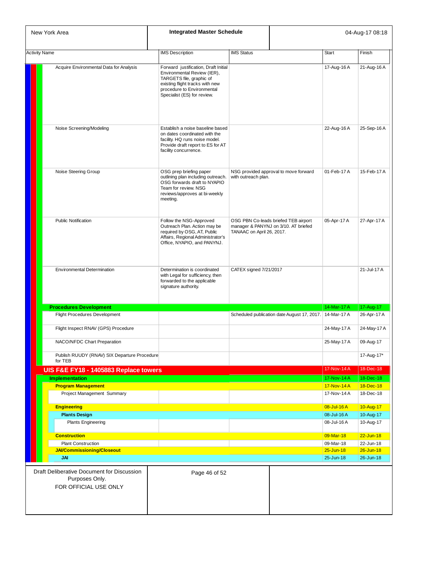|                      | New York Area                                                                         |                                                                                                                                                                                                 | <b>Integrated Master Schedule</b> |                                                                              | 04-Aug-17 08:18            |                              |  |
|----------------------|---------------------------------------------------------------------------------------|-------------------------------------------------------------------------------------------------------------------------------------------------------------------------------------------------|-----------------------------------|------------------------------------------------------------------------------|----------------------------|------------------------------|--|
| <b>Activity Name</b> |                                                                                       | <b>IMS</b> Description                                                                                                                                                                          | <b>IMS Status</b>                 |                                                                              | <b>Start</b>               | Finish                       |  |
|                      | Acquire Environmental Data for Analysis                                               | Forward justification, Draft Initial<br>Environmental Review (IER),<br>TARGETS file, graphic of<br>existing flight tracks with new<br>procedure to Environmental<br>Specialist (ES) for review. |                                   |                                                                              | 17-Aug-16 A                | 21-Aug-16 A                  |  |
|                      | Noise Screening/Modeling                                                              | Establish a noise baseline based<br>on dates coordinated with the<br>facility. HQ runs noise model.<br>Provide draft report to ES for AT<br>facility concurrence.                               |                                   |                                                                              | 22-Aug-16 A                | 25-Sep-16 A                  |  |
|                      | Noise Steering Group                                                                  | OSG prep briefing paper<br>outlining plan including outreach.<br>OSG forwards draft to NYAPIO<br>Team for review. NSG<br>reviews/approves at bi-weekly<br>meeting.                              | with outreach plan.               | NSG provided approval to move forward                                        | 01-Feb-17A                 | 15-Feb-17 A                  |  |
|                      | <b>Public Notification</b>                                                            | Follow the NSG-Approved<br>Outreach Plan. Action may be<br>required by OSG, AT, Public<br>Affairs, Regional Administrator's<br>Office, NYAPIO, and PANYNJ.                                      | TANAAC on April 26, 2017.         | OSG PBN Co-leads briefed TEB airport<br>manager & PANYNJ on 3/10. AT briefed | 05-Apr-17 A                | 27-Apr-17 A                  |  |
|                      | Environmental Determination                                                           | Determination is coordinated<br>with Legal for sufficiency, then<br>forwarded to the applicable<br>signature authority.                                                                         | CATEX signed 7/21/2017            |                                                                              |                            | 21-Jul-17 A                  |  |
|                      | <b>Procedures Development</b>                                                         |                                                                                                                                                                                                 |                                   |                                                                              | 14-Mar-17 A                | 17-Aug-17                    |  |
|                      | <b>Flight Procedures Development</b>                                                  |                                                                                                                                                                                                 |                                   | Scheduled publication date August 17, 2017. 14-Mar-17 A                      |                            | 26-Apr-17 A                  |  |
|                      | Flight Inspect RNAV (GPS) Procedure                                                   |                                                                                                                                                                                                 |                                   |                                                                              | 24-May-17 A                | 24-May-17 A                  |  |
|                      | NACO/NFDC Chart Preparation                                                           |                                                                                                                                                                                                 |                                   |                                                                              | 25-May-17 A                | 09-Aug-17                    |  |
|                      | Publish RUUDY (RNAV) SIX Departure Procedure<br>for TEB                               |                                                                                                                                                                                                 |                                   |                                                                              |                            | 17-Aug-17*                   |  |
|                      | UIS F&E FY18 - 1405883 Replace towers                                                 |                                                                                                                                                                                                 |                                   |                                                                              | 17-Nov-14 A                | 18-Dec-18                    |  |
|                      | <b>Implementation</b>                                                                 |                                                                                                                                                                                                 |                                   |                                                                              | 17-Nov-14 A                | 18-Dec-18                    |  |
|                      | <b>Program Management</b><br>Project Management Summary                               |                                                                                                                                                                                                 |                                   |                                                                              | 17-Nov-14 A<br>17-Nov-14 A | 18-Dec-18<br>18-Dec-18       |  |
|                      | <b>Engineering</b>                                                                    |                                                                                                                                                                                                 |                                   |                                                                              | 08-Jul-16 A                | 10-Aug-17                    |  |
|                      | <b>Plants Design</b>                                                                  |                                                                                                                                                                                                 |                                   |                                                                              | 08-Jul-16A                 | 10-Aug-17                    |  |
|                      | <b>Plants Engineering</b>                                                             |                                                                                                                                                                                                 |                                   |                                                                              | 08-Jul-16A                 | 10-Aug-17                    |  |
|                      | <b>Construction</b>                                                                   |                                                                                                                                                                                                 |                                   |                                                                              | 09-Mar-18                  | $22 - Jun-18$                |  |
|                      | <b>Plant Construction</b><br>JAI/Commissioning/Closeout                               |                                                                                                                                                                                                 |                                   |                                                                              | 09-Mar-18<br>$25 - Jun-18$ | 22-Jun-18<br>$26 - Jun - 18$ |  |
|                      | <b>JAI</b>                                                                            |                                                                                                                                                                                                 |                                   |                                                                              | 25-Jun-18                  | 26-Jun-18                    |  |
|                      | Draft Deliberative Document for Discussion<br>Purposes Only.<br>FOR OFFICIAL USE ONLY | Page 46 of 52                                                                                                                                                                                   |                                   |                                                                              |                            |                              |  |
|                      |                                                                                       |                                                                                                                                                                                                 |                                   |                                                                              |                            |                              |  |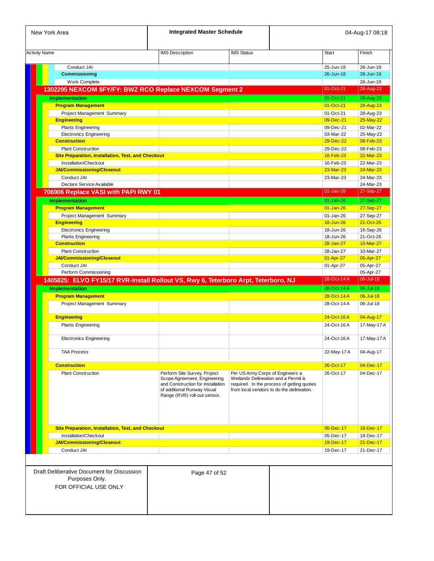| New York Area                                                                      | <b>Integrated Master Schedule</b>                                                                                                |                                                                                   |                                            | 04-Aug-17 08:18        |
|------------------------------------------------------------------------------------|----------------------------------------------------------------------------------------------------------------------------------|-----------------------------------------------------------------------------------|--------------------------------------------|------------------------|
| <b>Activity Name</b>                                                               | <b>IMS</b> Description                                                                                                           | <b>IMS Status</b>                                                                 | <b>Start</b>                               | Finish                 |
|                                                                                    |                                                                                                                                  |                                                                                   |                                            |                        |
| Conduct JAI<br><b>Commissioning</b>                                                |                                                                                                                                  |                                                                                   | 25-Jun-18<br>26-Jun-18                     | 26-Jun-18<br>26-Jun-18 |
|                                                                                    |                                                                                                                                  |                                                                                   |                                            |                        |
| Work Complete                                                                      |                                                                                                                                  |                                                                                   | 01-Oct-21                                  | 26-Jun-18              |
| 1302295 NEXCOM \$FY/FY: BWZ RCO Replace NEXCOM Segment 2                           |                                                                                                                                  |                                                                                   |                                            | 28-Aug-23              |
| <b>Implementation</b>                                                              |                                                                                                                                  |                                                                                   | 01-Oct-21                                  | 28-Aug-23              |
| <b>Program Management</b>                                                          |                                                                                                                                  |                                                                                   | 01-Oct-21                                  | 28-Aug-23              |
| Project Management Summary                                                         |                                                                                                                                  |                                                                                   | 01-Oct-21                                  | 28-Aug-23              |
| <b>Engineering</b>                                                                 |                                                                                                                                  |                                                                                   | 09-Dec-21                                  | 25-May-22              |
| <b>Plants Engineering</b>                                                          |                                                                                                                                  |                                                                                   | 09-Dec-21                                  | 02-Mar-22              |
| <b>Electronics Engineering</b>                                                     |                                                                                                                                  |                                                                                   | 03-Mar-22                                  | 25-May-22              |
| <b>Construction</b>                                                                |                                                                                                                                  |                                                                                   | 29-Dec-22                                  | 08-Feb-23              |
| <b>Plant Construction</b>                                                          |                                                                                                                                  |                                                                                   | 29-Dec-22                                  | 08-Feb-23              |
| Site Preparation, Installation, Test, and Checkout                                 |                                                                                                                                  |                                                                                   | 16-Feb-23                                  | 22-Mar-23              |
| Installation/Checkout                                                              |                                                                                                                                  |                                                                                   | 16-Feb-23                                  | 22-Mar-23              |
| <b>JAI/Commissioning/Closeout</b>                                                  |                                                                                                                                  |                                                                                   | 23-Mar-23                                  | 24-Mar-23              |
| Conduct JAI                                                                        |                                                                                                                                  |                                                                                   | 23-Mar-23                                  | 24-Mar-23              |
| Declare Service Available                                                          |                                                                                                                                  |                                                                                   |                                            | 24-Mar-23              |
| 706906 Replace VASI with PAPI RWY 01                                               |                                                                                                                                  |                                                                                   | 01-Jan-26                                  | 27-Sep-27              |
|                                                                                    |                                                                                                                                  |                                                                                   | $01 - Jan-26$                              | 27-Sep-27              |
| <b>Implementation</b>                                                              |                                                                                                                                  |                                                                                   |                                            |                        |
| <b>Program Management</b>                                                          |                                                                                                                                  |                                                                                   | $01 - Jan-26$                              | 27-Sep-27              |
| Project Management Summary                                                         |                                                                                                                                  |                                                                                   | 01-Jan-26                                  | 27-Sep-27              |
| <b>Engineering</b>                                                                 |                                                                                                                                  |                                                                                   | 18-Jun-26                                  | 21-Oct-26              |
| <b>Electronics Engineering</b>                                                     |                                                                                                                                  |                                                                                   | 18-Jun-26                                  | 16-Sep-26              |
| <b>Plants Engineering</b>                                                          |                                                                                                                                  |                                                                                   | 18-Jun-26                                  | 21-Oct-26              |
| <b>Construction</b>                                                                |                                                                                                                                  |                                                                                   | 28-Jan-27                                  | 10-Mar-27              |
| <b>Plant Construction</b>                                                          |                                                                                                                                  |                                                                                   | 28-Jan-27                                  | 10-Mar-27              |
| <b>JAI/Commissioning/Closeout</b>                                                  |                                                                                                                                  |                                                                                   | 01-Apr-27                                  | 05-Apr-27              |
| Conduct JAI                                                                        |                                                                                                                                  |                                                                                   | 01-Apr-27                                  | 05-Apr-27              |
| Perform Commissioning                                                              |                                                                                                                                  |                                                                                   |                                            | 05-Apr-27              |
| 1405825: ELVO FY15/17 RVR-Install Rollout VS, Rwy 6, Teterboro Arpt, Teterboro, NJ |                                                                                                                                  |                                                                                   | 28-Oct-14 A                                | 06-Jul-18              |
| <b>Implementation</b>                                                              |                                                                                                                                  |                                                                                   | 28-Oct-14 A                                | 06-Jul-18              |
| <b>Program Management</b>                                                          |                                                                                                                                  |                                                                                   | 28-Oct-14 A                                | 06-Jul-18              |
| Project Management Summary                                                         |                                                                                                                                  |                                                                                   | 28-Oct-14 A                                | 06-Jul-18              |
|                                                                                    |                                                                                                                                  |                                                                                   |                                            |                        |
| <b>Engineering</b>                                                                 |                                                                                                                                  |                                                                                   | 24-Oct-16A                                 | 04-Aug-17              |
| <b>Plants Engineering</b>                                                          |                                                                                                                                  |                                                                                   | 24-Oct-16A                                 | 17-May-17 A            |
|                                                                                    |                                                                                                                                  |                                                                                   |                                            |                        |
| <b>Electronics Engineering</b>                                                     |                                                                                                                                  |                                                                                   | 24-Oct-16A                                 | 17-May-17 A            |
| <b>TAA Process</b>                                                                 |                                                                                                                                  |                                                                                   | 22-May-17 A                                | 04-Aug-17              |
| <b>Construction</b>                                                                |                                                                                                                                  |                                                                                   | 26-Oct-17                                  | 04-Dec-17              |
| <b>Plant Construction</b>                                                          | Perform Site Survey, Project                                                                                                     | Per US Army Corps of Engineers a                                                  | 26-Oct-17                                  | 04-Dec-17              |
|                                                                                    | Scope Agreement, Engineering<br>and Construction for installation<br>of additional Runway Visual<br>Range (RVR) roll-out sensor. | Wetlands Delineation and a Permit is<br>from local vendors to do the delineation. | required. In the process of getting quotes |                        |
| Site Preparation, Installation, Test, and Checkout                                 |                                                                                                                                  |                                                                                   | 05-Dec-17                                  | 18-Dec-17              |
| Installation/Checkout                                                              |                                                                                                                                  |                                                                                   | 05-Dec-17                                  | 18-Dec-17              |
| <b>JAI/Commissioning/Closeout</b>                                                  |                                                                                                                                  |                                                                                   | 19-Dec-17                                  | 21-Dec-17              |
| Conduct JAI                                                                        |                                                                                                                                  |                                                                                   | 19-Dec-17                                  | 21-Dec-17              |
|                                                                                    |                                                                                                                                  |                                                                                   |                                            |                        |
| Draft Deliberative Document for Discussion<br>Purposes Only.                       | Page 47 of 52                                                                                                                    |                                                                                   |                                            |                        |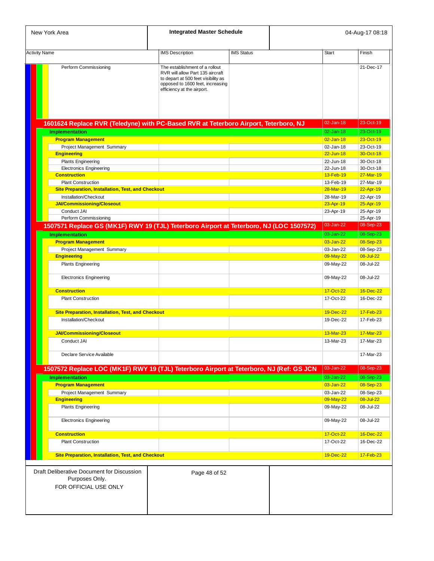| New York Area                                                                                                    | <b>Integrated Master Schedule</b>                                                                                                                                           |                   | 04-Aug-17 08:18 |                        |                        |
|------------------------------------------------------------------------------------------------------------------|-----------------------------------------------------------------------------------------------------------------------------------------------------------------------------|-------------------|-----------------|------------------------|------------------------|
|                                                                                                                  |                                                                                                                                                                             |                   |                 |                        |                        |
| <b>Activity Name</b>                                                                                             | <b>IMS Description</b>                                                                                                                                                      | <b>IMS Status</b> |                 | <b>Start</b>           | Finish                 |
| Perform Commissioning                                                                                            | The establishment of a rollout<br>RVR will allow Part 135 aircraft<br>to depart at 500 feet visibility as<br>opposed to 1600 feet, increasing<br>efficiency at the airport. |                   |                 |                        | 21-Dec-17              |
| 1601624 Replace RVR (Teledyne) with PC-Based RVR at Teterboro Airport, Teterboro, NJ                             |                                                                                                                                                                             |                   |                 | 02-Jan-18              | 23-Oct-19              |
| <b>Implementation</b>                                                                                            |                                                                                                                                                                             |                   |                 | $02 - Jan-18$          | 23-Oct-19              |
| <b>Program Management</b>                                                                                        |                                                                                                                                                                             |                   |                 | $02$ -Jan-18           | 23-Oct-19              |
| Project Management Summary                                                                                       |                                                                                                                                                                             |                   |                 | 02-Jan-18              | 23-Oct-19              |
| <b>Engineering</b>                                                                                               |                                                                                                                                                                             |                   |                 | $22 - Jun-18$          | 30-Oct-18              |
| <b>Plants Engineering</b>                                                                                        |                                                                                                                                                                             |                   |                 | 22-Jun-18              | 30-Oct-18              |
| <b>Electronics Engineering</b><br><b>Construction</b>                                                            |                                                                                                                                                                             |                   |                 | 22-Jun-18<br>13-Feb-19 | 30-Oct-18<br>27-Mar-19 |
| <b>Plant Construction</b>                                                                                        |                                                                                                                                                                             |                   |                 | 13-Feb-19              | 27-Mar-19              |
| <b>Site Preparation, Installation, Test, and Checkout</b>                                                        |                                                                                                                                                                             |                   |                 | 28-Mar-19              | 22-Apr-19              |
| Installation/Checkout                                                                                            |                                                                                                                                                                             |                   |                 | 28-Mar-19              | 22-Apr-19              |
| <b>JAI/Commissioning/Closeout</b>                                                                                |                                                                                                                                                                             |                   |                 | 23-Apr-19              | 25-Apr-19              |
| Conduct JAI                                                                                                      |                                                                                                                                                                             |                   |                 | 23-Apr-19              | 25-Apr-19              |
| Perform Commissioning<br>1507571 Replace GS (MK1F) RWY 19 (TJL) Teterboro Airport at Teterboro, NJ (LOC 1507572) |                                                                                                                                                                             |                   |                 | 03-Jan-22              | 25-Apr-19<br>08-Sep-23 |
| <b>Implementation</b>                                                                                            |                                                                                                                                                                             |                   |                 | 03-Jan-22              | 08-Sep-23              |
| <b>Program Management</b>                                                                                        |                                                                                                                                                                             |                   |                 | 03-Jan-22              | 08-Sep-23              |
| Project Management Summary                                                                                       |                                                                                                                                                                             |                   |                 | 03-Jan-22              | 08-Sep-23              |
| <b>Engineering</b>                                                                                               |                                                                                                                                                                             |                   |                 | 09-May-22              | 08-Jul-22              |
| <b>Plants Engineering</b>                                                                                        |                                                                                                                                                                             |                   |                 | 09-May-22              | 08-Jul-22              |
| <b>Electronics Engineering</b>                                                                                   |                                                                                                                                                                             |                   |                 | 09-May-22              | 08-Jul-22              |
| <b>Construction</b>                                                                                              |                                                                                                                                                                             |                   |                 | 17-Oct-22              | 16-Dec-22              |
| <b>Plant Construction</b>                                                                                        |                                                                                                                                                                             |                   |                 | 17-Oct-22              | 16-Dec-22              |
| Site Preparation, Installation, Test, and Checkout                                                               |                                                                                                                                                                             |                   |                 | 19-Dec-22              | 17-Feb-23              |
| Installation/Checkout                                                                                            |                                                                                                                                                                             |                   |                 | 19-Dec-22              | 17-Feb-23              |
| <b>JAI/Commissioning/Closeout</b>                                                                                |                                                                                                                                                                             |                   |                 | 13-Mar-23              | 17-Mar-23              |
| Conduct JAI                                                                                                      |                                                                                                                                                                             |                   |                 | 13-Mar-23              | 17-Mar-23              |
| Declare Service Available                                                                                        |                                                                                                                                                                             |                   |                 |                        | 17-Mar-23              |
| 1507572 Replace LOC (MK1F) RWY 19 (TJL) Teterboro Airport at Teterboro, NJ (Ref: GS JCN                          |                                                                                                                                                                             |                   |                 | 03-Jan-22              | 08-Sep-23              |
| <b>Implementation</b>                                                                                            |                                                                                                                                                                             |                   |                 | 03-Jan-22              | 08-Sep-23              |
| <b>Program Management</b>                                                                                        |                                                                                                                                                                             |                   |                 | 03-Jan-22              | 08-Sep-23              |
| Project Management Summary                                                                                       |                                                                                                                                                                             |                   |                 | 03-Jan-22              | 08-Sep-23              |
| <b>Engineering</b>                                                                                               |                                                                                                                                                                             |                   |                 | 09-May-22              | 08-Jul-22              |
| <b>Plants Engineering</b>                                                                                        |                                                                                                                                                                             |                   |                 | 09-May-22              | 08-Jul-22              |
| <b>Electronics Engineering</b>                                                                                   |                                                                                                                                                                             |                   |                 | 09-May-22              | 08-Jul-22              |
| <b>Construction</b>                                                                                              |                                                                                                                                                                             |                   |                 | 17-Oct-22              | 16-Dec-22              |
| <b>Plant Construction</b>                                                                                        |                                                                                                                                                                             |                   |                 | 17-Oct-22              | 16-Dec-22              |
| Site Preparation, Installation, Test, and Checkout                                                               |                                                                                                                                                                             |                   |                 | 19-Dec-22              | 17-Feb-23              |
|                                                                                                                  |                                                                                                                                                                             |                   |                 |                        |                        |
| Draft Deliberative Document for Discussion<br>Purposes Only.<br>FOR OFFICIAL USE ONLY                            | Page 48 of 52                                                                                                                                                               |                   |                 |                        |                        |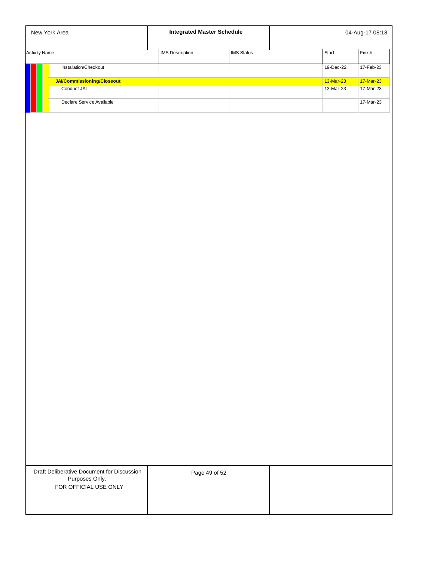|                      | New York Area              | <b>Integrated Master Schedule</b> |                   | 04-Aug-17 08:18 |           |  |
|----------------------|----------------------------|-----------------------------------|-------------------|-----------------|-----------|--|
| <b>Activity Name</b> |                            | <b>IMS</b> Description            | <b>IMS Status</b> | <b>Start</b>    | Finish    |  |
|                      | Installation/Checkout      |                                   |                   | 19-Dec-22       | 17-Feb-23 |  |
|                      | JAI/Commissioning/Closeout |                                   |                   | 13-Mar-23       | 17-Mar-23 |  |
|                      | Conduct JAI                |                                   |                   | 13-Mar-23       | 17-Mar-23 |  |
|                      | Declare Service Available  |                                   |                   |                 | 17-Mar-23 |  |

Draft Deliberative Document for Discussion Purposes Only. FOR OFFICIAL USE ONLY

Page 49 of 52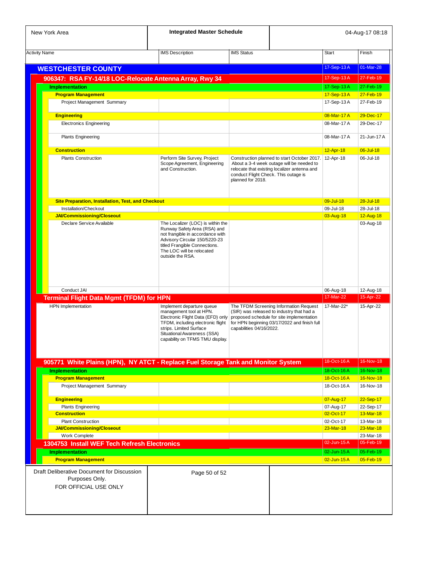| New York Area                                                                     | <b>Integrated Master Schedule</b>                                                                                                                                                                                           |                                                           |                                                                                                                                                                                  |                          | 04-Aug-17 08:18           |
|-----------------------------------------------------------------------------------|-----------------------------------------------------------------------------------------------------------------------------------------------------------------------------------------------------------------------------|-----------------------------------------------------------|----------------------------------------------------------------------------------------------------------------------------------------------------------------------------------|--------------------------|---------------------------|
| <b>Activity Name</b>                                                              | <b>IMS</b> Description<br><b>IMS Status</b>                                                                                                                                                                                 |                                                           |                                                                                                                                                                                  | <b>Start</b>             | Finish                    |
| <b>WESTCHESTER COUNTY</b>                                                         |                                                                                                                                                                                                                             |                                                           |                                                                                                                                                                                  | 17-Sep-13A               | 01-Mar-28                 |
| 906347: RSA FY-14/18 LOC-Relocate Antenna Array, Rwy 34                           |                                                                                                                                                                                                                             |                                                           |                                                                                                                                                                                  | 17-Sep-13A               | 27-Feb-19                 |
| <b>Implementation</b>                                                             |                                                                                                                                                                                                                             |                                                           |                                                                                                                                                                                  | 17-Sep-13A               | 27-Feb-19                 |
| <b>Program Management</b>                                                         |                                                                                                                                                                                                                             |                                                           |                                                                                                                                                                                  | 17-Sep-13A               | 27-Feb-19                 |
| Project Management Summary                                                        |                                                                                                                                                                                                                             |                                                           |                                                                                                                                                                                  | 17-Sep-13A               | 27-Feb-19                 |
| <b>Engineering</b>                                                                |                                                                                                                                                                                                                             |                                                           |                                                                                                                                                                                  | 08-Mar-17A               | 29-Dec-17                 |
| <b>Electronics Engineering</b>                                                    |                                                                                                                                                                                                                             |                                                           |                                                                                                                                                                                  | 08-Mar-17 A              | 29-Dec-17                 |
|                                                                                   |                                                                                                                                                                                                                             |                                                           |                                                                                                                                                                                  |                          |                           |
| <b>Plants Engineering</b>                                                         |                                                                                                                                                                                                                             |                                                           |                                                                                                                                                                                  | 08-Mar-17 A              | 21-Jun-17 A               |
| <b>Construction</b>                                                               |                                                                                                                                                                                                                             |                                                           |                                                                                                                                                                                  | 12-Apr-18                | 06-Jul-18                 |
| <b>Plants Construction</b>                                                        | Perform Site Survey, Project<br>Scope Agreement, Engineering<br>and Construction.                                                                                                                                           | conduct Flight Check. This outage is<br>planned for 2018. | Construction planned to start October 2017. 12-Apr-18<br>About a 3-4 week outage will be needed to<br>relocate that existing localizer antenna and                               |                          | 06-Jul-18                 |
| <b>Site Preparation, Installation, Test, and Checkout</b>                         |                                                                                                                                                                                                                             |                                                           |                                                                                                                                                                                  | 09-Jul-18                | $28 -$ Jul-18             |
| Installation/Checkout                                                             |                                                                                                                                                                                                                             |                                                           |                                                                                                                                                                                  | 09-Jul-18                | 28-Jul-18                 |
| <b>JAI/Commissioning/Closeout</b>                                                 |                                                                                                                                                                                                                             |                                                           |                                                                                                                                                                                  | 03-Aug-18                | 12-Aug-18                 |
| Declare Service Available                                                         | The Localizer (LOC) is within the<br>Runway Safety Area (RSA) and<br>not frangible in accordance with<br>Advisory Circular 150/5220-23<br>titled Frangible Connections.<br>The LOC will be relocated<br>outside the RSA.    |                                                           |                                                                                                                                                                                  |                          | 03-Aug-18                 |
| Conduct JAI<br><b>Terminal Flight Data Mgmt (TFDM) for HPN</b>                    |                                                                                                                                                                                                                             |                                                           |                                                                                                                                                                                  | 06-Aug-18<br>17-Mar-22   | 12-Aug-18<br>$15$ -Apr-22 |
| <b>HPN</b> Implementation                                                         | Implement departure queue<br>management tool at HPN.<br>Electronic Flight Data (EFD) only<br>TFDM, including electronic flight<br>strips. Limited Surface<br>Situational Awareness (SSA)<br>capability on TFMS TMU display. | capabilities 04/16/2022.                                  | The TFDM Screening Information Request<br>(SIR) was released to industry that had a<br>proposed schedule for site implementation<br>for HPN beginning 03/17/2022 and finish full | 17-Mar-22*               | 15-Apr-22                 |
| 905771 White Plains (HPN), NY ATCT - Replace Fuel Storage Tank and Monitor System |                                                                                                                                                                                                                             |                                                           |                                                                                                                                                                                  | 18-Oct-16A               | 16-Nov-18                 |
| <b>Implementation</b>                                                             |                                                                                                                                                                                                                             |                                                           |                                                                                                                                                                                  | 18-Oct-16A               | 16-Nov-18                 |
| <b>Program Management</b><br>Project Management Summary                           |                                                                                                                                                                                                                             |                                                           |                                                                                                                                                                                  | 18-Oct-16A<br>18-Oct-16A | 16-Nov-18<br>16-Nov-18    |
|                                                                                   |                                                                                                                                                                                                                             |                                                           |                                                                                                                                                                                  |                          |                           |
| <b>Engineering</b>                                                                |                                                                                                                                                                                                                             |                                                           |                                                                                                                                                                                  | 07-Aug-17                | 22-Sep-17                 |
| <b>Plants Engineering</b>                                                         |                                                                                                                                                                                                                             |                                                           |                                                                                                                                                                                  | 07-Aug-17                | 22-Sep-17                 |
| <b>Construction</b>                                                               |                                                                                                                                                                                                                             |                                                           |                                                                                                                                                                                  | 02-Oct-17                | 13-Mar-18                 |
| <b>Plant Construction</b>                                                         |                                                                                                                                                                                                                             |                                                           |                                                                                                                                                                                  | 02-Oct-17                | 13-Mar-18                 |
| JAI/Commissioning/Closeout                                                        |                                                                                                                                                                                                                             |                                                           |                                                                                                                                                                                  | 23-Mar-18                | 23-Mar-18                 |
| Work Complete                                                                     |                                                                                                                                                                                                                             |                                                           |                                                                                                                                                                                  |                          | 23-Mar-18                 |
| 1304753 Install WEF Tech Refresh Electronics                                      |                                                                                                                                                                                                                             |                                                           |                                                                                                                                                                                  | $02$ -Jun-15 $A$         | 05-Feb-19                 |
| <b>Implementation</b>                                                             |                                                                                                                                                                                                                             |                                                           |                                                                                                                                                                                  | 02-Jun-15 A              | 05-Feb-19                 |
| <b>Program Management</b>                                                         |                                                                                                                                                                                                                             |                                                           |                                                                                                                                                                                  | 02-Jun-15 A              | 05-Feb-19                 |
|                                                                                   |                                                                                                                                                                                                                             |                                                           |                                                                                                                                                                                  |                          |                           |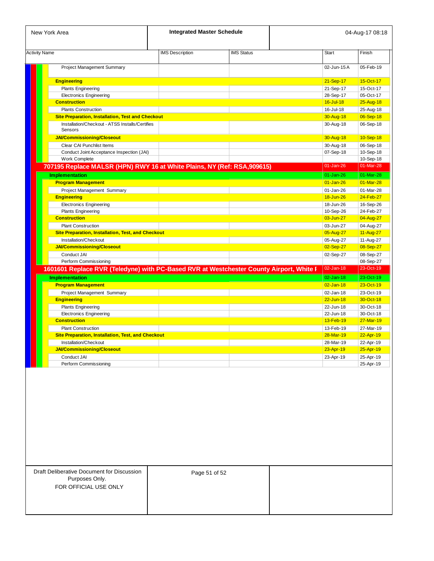| New York Area                                                                           |                        | <b>Integrated Master Schedule</b> |               | 04-Aug-17 08:18 |  |
|-----------------------------------------------------------------------------------------|------------------------|-----------------------------------|---------------|-----------------|--|
| <b>Activity Name</b>                                                                    | <b>IMS</b> Description | <b>IMS Status</b>                 | <b>Start</b>  | Finish          |  |
| Project Management Summary                                                              |                        |                                   | 02-Jun-15A    | 05-Feb-19       |  |
| <b>Engineering</b>                                                                      |                        |                                   | 21-Sep-17     | 15-Oct-17       |  |
| <b>Plants Engineering</b>                                                               |                        |                                   | 21-Sep-17     | 15-Oct-17       |  |
| <b>Electronics Engineering</b>                                                          |                        |                                   | 28-Sep-17     | 05-Oct-17       |  |
| <b>Construction</b>                                                                     |                        |                                   | 16-Jul-18     | 25-Aug-18       |  |
| <b>Plants Construction</b>                                                              |                        |                                   | 16-Jul-18     | 25-Aug-18       |  |
| <b>Site Preparation, Installation, Test and Checkout</b>                                |                        |                                   | 30-Aug-18     | 06-Sep-18       |  |
| Installation/Checkout - ATSS Installs/Certifies<br>Sensors                              |                        |                                   | 30-Aug-18     | 06-Sep-18       |  |
| <b>JAI/Commissioning/Closeout</b>                                                       |                        |                                   | 30-Aug-18     | 10-Sep-18       |  |
| Clear CAI Punchlist Items                                                               |                        |                                   | 30-Aug-18     | 06-Sep-18       |  |
| Conduct Joint Acceptance Inspection (JAI)                                               |                        |                                   | 07-Sep-18     | 10-Sep-18       |  |
| Work Complete                                                                           |                        |                                   |               | 10-Sep-18       |  |
| 707195 Replace MALSR (HPN) RWY 16 at White Plains, NY (Ref: RSA,909615)                 |                        |                                   | $01 - Jan-26$ | 01-Mar-28       |  |
| <b>Implementation</b>                                                                   |                        |                                   | $01 - Jan-26$ | 01-Mar-28       |  |
| <b>Program Management</b>                                                               |                        |                                   | $01 - Jan-26$ | 01-Mar-28       |  |
| Project Management Summary                                                              |                        |                                   | 01-Jan-26     | 01-Mar-28       |  |
| <b>Engineering</b>                                                                      |                        |                                   | 18-Jun-26     | 24-Feb-27       |  |
| <b>Electronics Engineering</b>                                                          |                        |                                   | 18-Jun-26     | 16-Sep-26       |  |
| <b>Plants Engineering</b>                                                               |                        |                                   | 10-Sep-26     | 24-Feb-27       |  |
| <b>Construction</b>                                                                     |                        |                                   | 03-Jun-27     | 04-Aug-27       |  |
| <b>Plant Construction</b>                                                               |                        |                                   | 03-Jun-27     | 04-Aug-27       |  |
| <b>Site Preparation, Installation, Test, and Checkout</b>                               |                        |                                   | 05-Aug-27     | 11-Aug-27       |  |
| Installation/Checkout                                                                   |                        |                                   | 05-Aug-27     | 11-Aug-27       |  |
| <b>JAI/Commissioning/Closeout</b>                                                       |                        |                                   | 02-Sep-27     | 08-Sep-27       |  |
| Conduct JAI                                                                             |                        |                                   | 02-Sep-27     | 08-Sep-27       |  |
| Perform Commissioning                                                                   |                        |                                   |               | 08-Sep-27       |  |
| 1601601 Replace RVR (Teledyne) with PC-Based RVR at Westchester County Airport, White F |                        |                                   | 02-Jan-18     | 23-Oct-19       |  |
| <b>Implementation</b>                                                                   |                        |                                   | $02$ -Jan-18  | 23-Oct-19       |  |
| <b>Program Management</b>                                                               |                        |                                   | $02 - Jan-18$ | 23-Oct-19       |  |
| Project Management Summary                                                              |                        |                                   | 02-Jan-18     | 23-Oct-19       |  |
| <b>Engineering</b>                                                                      |                        |                                   | $22 - Jun-18$ | 30-Oct-18       |  |
| <b>Plants Engineering</b>                                                               |                        |                                   | 22-Jun-18     | 30-Oct-18       |  |
| <b>Electronics Engineering</b>                                                          |                        |                                   | 22-Jun-18     | 30-Oct-18       |  |
| <b>Construction</b>                                                                     |                        |                                   | 13-Feb-19     | 27-Mar-19       |  |
| <b>Plant Construction</b>                                                               |                        |                                   | 13-Feb-19     | 27-Mar-19       |  |
| <b>Site Preparation, Installation, Test, and Checkout</b>                               |                        |                                   | 28-Mar-19     | 22-Apr-19       |  |
| Installation/Checkout                                                                   |                        |                                   | 28-Mar-19     | 22-Apr-19       |  |
| <b>JAI/Commissioning/Closeout</b>                                                       |                        |                                   | 23-Apr-19     | 25-Apr-19       |  |
| Conduct JAI                                                                             |                        |                                   | 23-Apr-19     | 25-Apr-19       |  |
| Perform Commissioning                                                                   |                        |                                   |               | 25-Apr-19       |  |

| <b>Draft Deliberative Document for Discussion</b> |  |
|---------------------------------------------------|--|
| Purposes Only.                                    |  |
| FOR OFFICIAL USE ONLY                             |  |